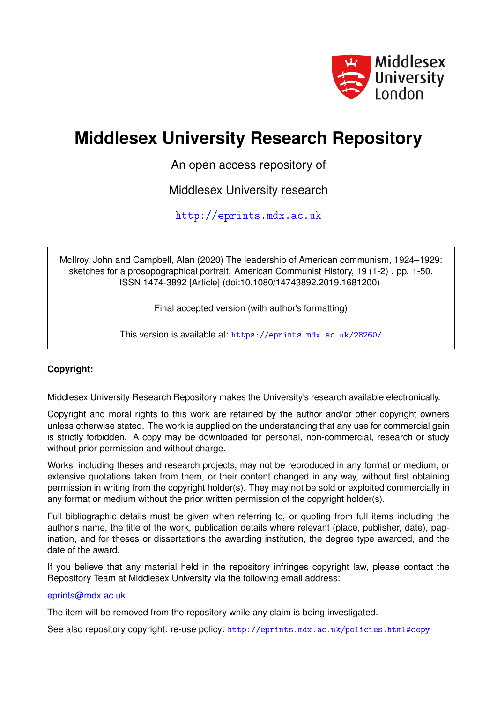

# **Middlesex University Research Repository**

An open access repository of

Middlesex University research

<http://eprints.mdx.ac.uk>

McIlroy, John and Campbell, Alan (2020) The leadership of American communism, 1924–1929: sketches for a prosopographical portrait. American Communist History, 19 (1-2) . pp. 1-50. ISSN 1474-3892 [Article] (doi:10.1080/14743892.2019.1681200)

Final accepted version (with author's formatting)

This version is available at: <https://eprints.mdx.ac.uk/28260/>

## **Copyright:**

Middlesex University Research Repository makes the University's research available electronically.

Copyright and moral rights to this work are retained by the author and/or other copyright owners unless otherwise stated. The work is supplied on the understanding that any use for commercial gain is strictly forbidden. A copy may be downloaded for personal, non-commercial, research or study without prior permission and without charge.

Works, including theses and research projects, may not be reproduced in any format or medium, or extensive quotations taken from them, or their content changed in any way, without first obtaining permission in writing from the copyright holder(s). They may not be sold or exploited commercially in any format or medium without the prior written permission of the copyright holder(s).

Full bibliographic details must be given when referring to, or quoting from full items including the author's name, the title of the work, publication details where relevant (place, publisher, date), pagination, and for theses or dissertations the awarding institution, the degree type awarded, and the date of the award.

If you believe that any material held in the repository infringes copyright law, please contact the Repository Team at Middlesex University via the following email address:

## [eprints@mdx.ac.uk](mailto:eprints@mdx.ac.uk)

The item will be removed from the repository while any claim is being investigated.

See also repository copyright: re-use policy: <http://eprints.mdx.ac.uk/policies.html#copy>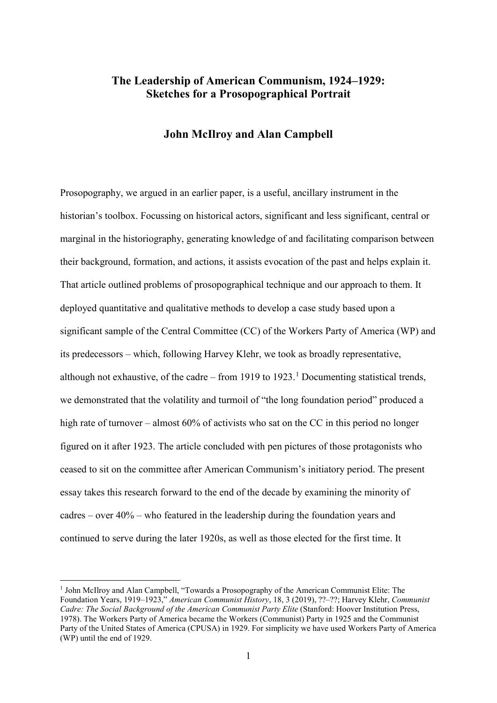# **The Leadership of American Communism, 1924–1929: Sketches for a Prosopographical Portrait**

## **John McIlroy and Alan Campbell**

Prosopography, we argued in an earlier paper, is a useful, ancillary instrument in the historian's toolbox. Focussing on historical actors, significant and less significant, central or marginal in the historiography, generating knowledge of and facilitating comparison between their background, formation, and actions, it assists evocation of the past and helps explain it. That article outlined problems of prosopographical technique and our approach to them. It deployed quantitative and qualitative methods to develop a case study based upon a significant sample of the Central Committee (CC) of the Workers Party of America (WP) and its predecessors – which, following Harvey Klehr, we took as broadly representative, although not exhaustive, of the cadre – from [1](#page-1-0)919 to 1923.<sup>1</sup> Documenting statistical trends, we demonstrated that the volatility and turmoil of "the long foundation period" produced a high rate of turnover – almost 60% of activists who sat on the CC in this period no longer figured on it after 1923. The article concluded with pen pictures of those protagonists who ceased to sit on the committee after American Communism's initiatory period. The present essay takes this research forward to the end of the decade by examining the minority of cadres – over 40% – who featured in the leadership during the foundation years and continued to serve during the later 1920s, as well as those elected for the first time. It

<span id="page-1-0"></span> <sup>1</sup> John McIlroy and Alan Campbell, "Towards a Prosopography of the American Communist Elite: The Foundation Years, 1919–1923," *American Communist History*, 18, 3 (2019), ??–??; Harvey Klehr, *Communist Cadre: The Social Background of the American Communist Party Elite* (Stanford: Hoover Institution Press, 1978). The Workers Party of America became the Workers (Communist) Party in 1925 and the Communist Party of the United States of America (CPUSA) in 1929. For simplicity we have used Workers Party of America (WP) until the end of 1929.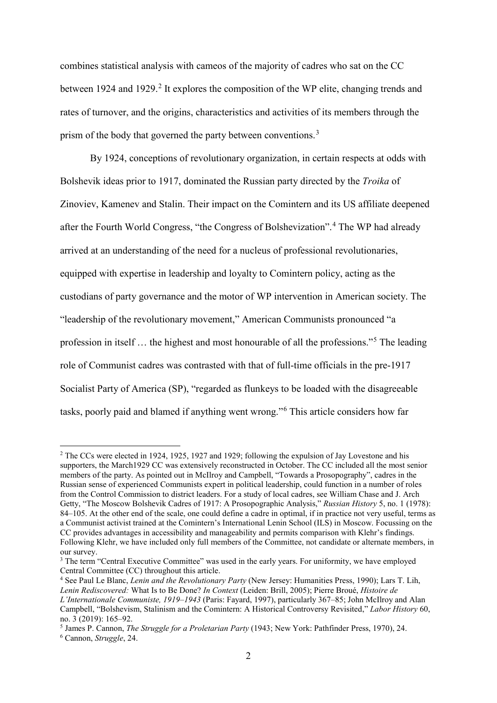combines statistical analysis with cameos of the majority of cadres who sat on the CC between 19[2](#page-2-0)4 and 1929.<sup>2</sup> It explores the composition of the WP elite, changing trends and rates of turnover, and the origins, characteristics and activities of its members through the prism of the body that governed the party between conventions.<sup>[3](#page-2-1)</sup>

By 1924, conceptions of revolutionary organization, in certain respects at odds with Bolshevik ideas prior to 1917, dominated the Russian party directed by the *Troika* of Zinoviev, Kamenev and Stalin. Their impact on the Comintern and its US affiliate deepened after the Fourth World Congress, "the Congress of Bolshevization".[4](#page-2-2) The WP had already arrived at an understanding of the need for a nucleus of professional revolutionaries, equipped with expertise in leadership and loyalty to Comintern policy, acting as the custodians of party governance and the motor of WP intervention in American society. The "leadership of the revolutionary movement," American Communists pronounced "a profession in itself … the highest and most honourable of all the professions."[5](#page-2-3) The leading role of Communist cadres was contrasted with that of full-time officials in the pre-1917 Socialist Party of America (SP), "regarded as flunkeys to be loaded with the disagreeable tasks, poorly paid and blamed if anything went wrong."[6](#page-2-4) This article considers how far

<span id="page-2-0"></span><sup>&</sup>lt;sup>2</sup> The CCs were elected in 1924, 1925, 1927 and 1929; following the expulsion of Jay Lovestone and his supporters, the March1929 CC was extensively reconstructed in October. The CC included all the most senior members of the party. As pointed out in McIlroy and Campbell, "Towards a Prosopography", cadres in the Russian sense of experienced Communists expert in political leadership, could function in a number of roles from the Control Commission to district leaders. For a study of local cadres, see William Chase and J. Arch Getty, "The Moscow Bolshevik Cadres of 1917: A Prosopographic Analysis," *Russian History* 5, no. 1 (1978): 84–105. At the other end of the scale, one could define a cadre in optimal, if in practice not very useful, terms as a Communist activist trained at the Comintern's International Lenin School (ILS) in Moscow. Focussing on the CC provides advantages in accessibility and manageability and permits comparison with Klehr's findings. Following Klehr, we have included only full members of the Committee, not candidate or alternate members, in our survey.

<span id="page-2-1"></span><sup>&</sup>lt;sup>3</sup> The term "Central Executive Committee" was used in the early years. For uniformity, we have employed Central Committee (CC) throughout this article.

<span id="page-2-2"></span><sup>4</sup> See Paul Le Blanc, *Lenin and the Revolutionary Party* (New Jersey: Humanities Press, 1990); Lars T. Lih, *Lenin Rediscovered:* What Is to Be Done? *In Context* (Leiden: Brill, 2005); Pierre Broué, *Histoire de L'Internationale Communiste, 1919–1943* (Paris: Fayard, 1997), particularly 367–85; John McIlroy and Alan Campbell, "Bolshevism, Stalinism and the Comintern: A Historical Controversy Revisited," *Labor History* 60, no. 3 (2019): 165–92.

<span id="page-2-4"></span><span id="page-2-3"></span><sup>5</sup> James P. Cannon, *The Struggle for a Proletarian Party* (1943; New York: Pathfinder Press, 1970), 24. <sup>6</sup> Cannon, *Struggle*, 24.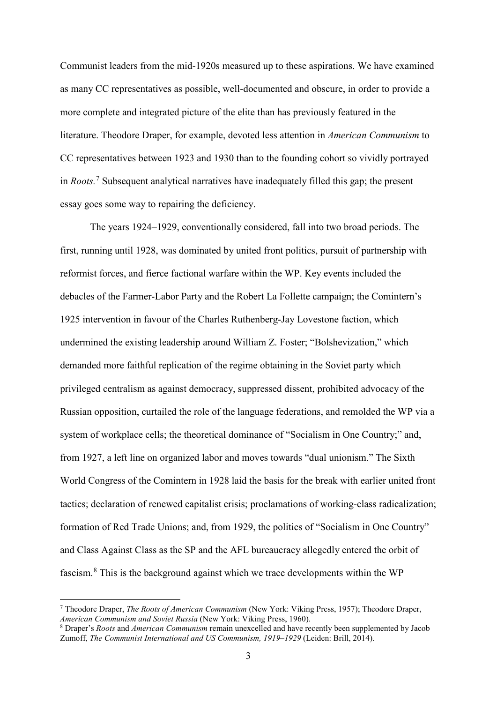Communist leaders from the mid-1920s measured up to these aspirations. We have examined as many CC representatives as possible, well-documented and obscure, in order to provide a more complete and integrated picture of the elite than has previously featured in the literature. Theodore Draper, for example, devoted less attention in *American Communism* to CC representatives between 1923 and 1930 than to the founding cohort so vividly portrayed in *Roots.*[7](#page-3-0) Subsequent analytical narratives have inadequately filled this gap; the present essay goes some way to repairing the deficiency.

The years 1924–1929, conventionally considered, fall into two broad periods. The first, running until 1928, was dominated by united front politics, pursuit of partnership with reformist forces, and fierce factional warfare within the WP. Key events included the debacles of the Farmer-Labor Party and the Robert La Follette campaign; the Comintern's 1925 intervention in favour of the Charles Ruthenberg-Jay Lovestone faction, which undermined the existing leadership around William Z. Foster; "Bolshevization," which demanded more faithful replication of the regime obtaining in the Soviet party which privileged centralism as against democracy, suppressed dissent, prohibited advocacy of the Russian opposition, curtailed the role of the language federations, and remolded the WP via a system of workplace cells; the theoretical dominance of "Socialism in One Country;" and, from 1927, a left line on organized labor and moves towards "dual unionism." The Sixth World Congress of the Comintern in 1928 laid the basis for the break with earlier united front tactics; declaration of renewed capitalist crisis; proclamations of working-class radicalization; formation of Red Trade Unions; and, from 1929, the politics of "Socialism in One Country" and Class Against Class as the SP and the AFL bureaucracy allegedly entered the orbit of fascism.[8](#page-3-1) This is the background against which we trace developments within the WP

<span id="page-3-0"></span> <sup>7</sup> Theodore Draper, *The Roots of American Communism* (New York: Viking Press, 1957); Theodore Draper, *American Communism and Soviet Russia* (New York: Viking Press, 1960).

<span id="page-3-1"></span><sup>8</sup> Draper's *Roots* and *American Communism* remain unexcelled and have recently been supplemented by Jacob Zumoff, *The Communist International and US Communism, 1919–1929* (Leiden: Brill, 2014).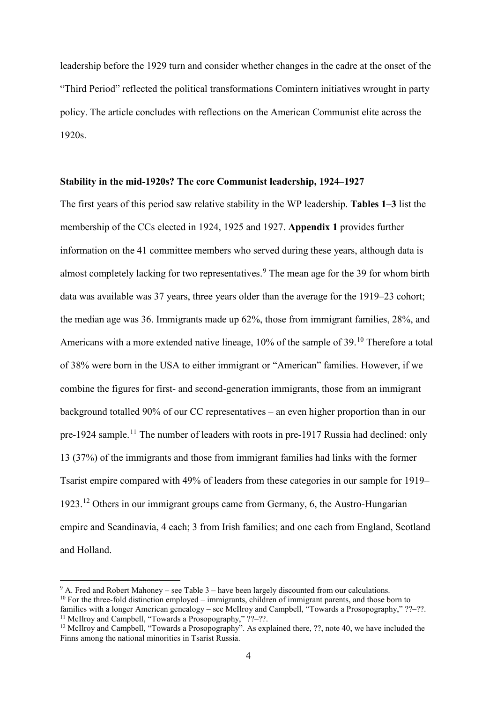leadership before the 1929 turn and consider whether changes in the cadre at the onset of the "Third Period" reflected the political transformations Comintern initiatives wrought in party policy. The article concludes with reflections on the American Communist elite across the 1920s.

### **Stability in the mid-1920s? The core Communist leadership, 1924–1927**

The first years of this period saw relative stability in the WP leadership. **Tables 1–3** list the membership of the CCs elected in 1924, 1925 and 1927. **Appendix 1** provides further information on the 41 committee members who served during these years, although data is almost completely lacking for two representatives.<sup>[9](#page-4-0)</sup> The mean age for the 39 for whom birth data was available was 37 years, three years older than the average for the 1919–23 cohort; the median age was 36. Immigrants made up 62%, those from immigrant families, 28%, and Americans with a more extended native lineage, [10](#page-4-1)% of the sample of 39.<sup>10</sup> Therefore a total of 38% were born in the USA to either immigrant or "American" families. However, if we combine the figures for first- and second-generation immigrants, those from an immigrant background totalled 90% of our CC representatives – an even higher proportion than in our pre-1924 sample.<sup>[11](#page-4-2)</sup> The number of leaders with roots in pre-1917 Russia had declined: only 13 (37%) of the immigrants and those from immigrant families had links with the former Tsarist empire compared with 49% of leaders from these categories in our sample for 1919– 1923.[12](#page-4-3) Others in our immigrant groups came from Germany, 6, the Austro-Hungarian empire and Scandinavia, 4 each; 3 from Irish families; and one each from England, Scotland and Holland.

<span id="page-4-1"></span><span id="page-4-0"></span> $9$  A. Fred and Robert Mahoney – see Table 3 – have been largely discounted from our calculations.  $10$  For the three-fold distinction employed – immigrants, children of immigrant parents, and those born to families with a longer American genealogy – see McIlroy and Campbell, "Towards a Prosopography," ??–??. <sup>11</sup> McIlroy and Campbell, "Towards a Prosopography," ??-??.

<span id="page-4-3"></span><span id="page-4-2"></span> $12$  McIlroy and Campbell, "Towards a Prosopography". As explained there, ??, note 40, we have included the Finns among the national minorities in Tsarist Russia.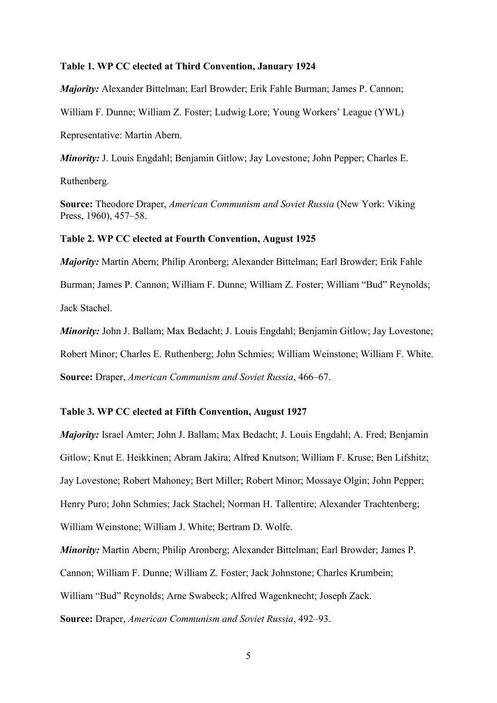#### **Table 1. WP CC elected at Third Convention, January 1924**

*Majority:* Alexander Bittelman; Earl Browder; Erik Fahle Burman; James P. Cannon;

William F. Dunne; William Z. Foster; Ludwig Lore; Young Workers' League (YWL)

Representative: Martin Abern.

*Minority: J. Louis Engdahl; Benjamin Gitlow; Jay Lovestone; John Pepper; Charles E.* 

Ruthenberg.

**Source:** Theodore Draper, *American Communism and Soviet Russia* (New York: Viking Press, 1960), 457–58.

#### **Table 2. WP CC elected at Fourth Convention, August 1925**

*Majority:* Martin Abern; Philip Aronberg; Alexander Bittelman; Earl Browder; Erik Fahle Burman; James P. Cannon; William F. Dunne; William Z. Foster; William "Bud" Reynolds; Jack Stachel.

*Minority:* John J. Ballam; Max Bedacht; J. Louis Engdahl; Benjamin Gitlow; Jay Lovestone; Robert Minor; Charles E. Ruthenberg; John Schmies; William Weinstone; William F. White. **Source:** Draper, *American Communism and Soviet Russia*, 466–67.

## **Table 3. WP CC elected at Fifth Convention, August 1927**

*Majority:* Israel Amter; John J. Ballam; Max Bedacht; J. Louis Engdahl; A. Fred; Benjamin Gitlow; Knut E. Heikkinen; Abram Jakira; Alfred Knutson; William F. Kruse; Ben Lifshitz; Jay Lovestone; Robert Mahoney; Bert Miller; Robert Minor; Mossaye Olgin; John Pepper; Henry Puro; John Schmies; Jack Stachel; Norman H. Tallentire; Alexander Trachtenberg; William Weinstone; William J. White; Bertram D. Wolfe.

*Minority:* Martin Abern; Philip Aronberg; Alexander Bittelman; Earl Browder; James P. Cannon; William F. Dunne; William Z. Foster; Jack Johnstone; Charles Krumbein; William "Bud" Reynolds; Arne Swabeck; Alfred Wagenknecht; Joseph Zack. **Source:** Draper, *American Communism and Soviet Russia*, 492–93.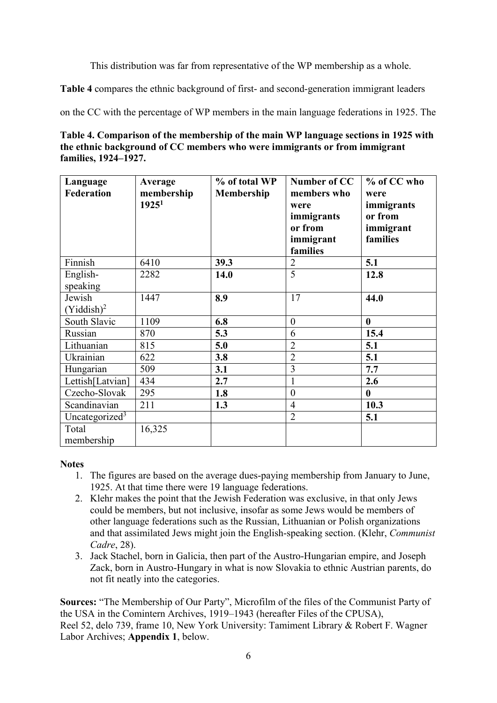This distribution was far from representative of the WP membership as a whole.

**Table 4** compares the ethnic background of first- and second-generation immigrant leaders

on the CC with the percentage of WP members in the main language federations in 1925. The

| Table 4. Comparison of the membership of the main WP language sections in 1925 with |
|-------------------------------------------------------------------------------------|
| the ethnic background of CC members who were immigrants or from immigrant           |
| families, 1924–1927.                                                                |

| Language<br><b>Federation</b> | Average<br>membership<br>1925 <sup>1</sup> | % of total WP<br><b>Membership</b> | Number of CC<br>members who<br>were<br>immigrants<br>or from<br>immigrant<br>families | % of CC who<br>were<br>immigrants<br>or from<br>immigrant<br>families |
|-------------------------------|--------------------------------------------|------------------------------------|---------------------------------------------------------------------------------------|-----------------------------------------------------------------------|
| Finnish                       | 6410                                       | 39.3                               | $\overline{2}$                                                                        | 5.1                                                                   |
| English-<br>speaking          | 2282                                       | 14.0                               | 5                                                                                     | 12.8                                                                  |
| Jewish<br>$(Yiddish)^2$       | 1447                                       | 8.9                                | 17                                                                                    | 44.0                                                                  |
| South Slavic                  | 1109                                       | 6.8                                | $\boldsymbol{0}$                                                                      | $\bf{0}$                                                              |
| Russian                       | 870                                        | 5.3                                | 6                                                                                     | 15.4                                                                  |
| Lithuanian                    | 815                                        | 5.0                                | $\overline{2}$                                                                        | 5.1                                                                   |
| Ukrainian                     | 622                                        | 3.8                                | $\overline{2}$                                                                        | 5.1                                                                   |
| Hungarian                     | 509                                        | 3.1                                | 3                                                                                     | 7.7                                                                   |
| Lettish[Latvian]              | 434                                        | 2.7                                | $\mathbf{1}$                                                                          | 2.6                                                                   |
| Czecho-Slovak                 | 295                                        | 1.8                                | $\overline{0}$                                                                        | $\bf{0}$                                                              |
| Scandinavian                  | 211                                        | 1.3                                | $\overline{4}$                                                                        | 10.3                                                                  |
| Uncategorized <sup>3</sup>    |                                            |                                    | 2                                                                                     | 5.1                                                                   |
| Total<br>membership           | 16,325                                     |                                    |                                                                                       |                                                                       |

## **Notes**

- 1. The figures are based on the average dues-paying membership from January to June, 1925. At that time there were 19 language federations.
- 2. Klehr makes the point that the Jewish Federation was exclusive, in that only Jews could be members, but not inclusive, insofar as some Jews would be members of other language federations such as the Russian, Lithuanian or Polish organizations and that assimilated Jews might join the English-speaking section. (Klehr, *Communist Cadre*, 28).
- 3. Jack Stachel, born in Galicia, then part of the Austro-Hungarian empire, and Joseph Zack, born in Austro-Hungary in what is now Slovakia to ethnic Austrian parents, do not fit neatly into the categories.

**Sources:** "The Membership of Our Party", Microfilm of the files of the Communist Party of the USA in the Comintern Archives, 1919–1943 (hereafter Files of the CPUSA), Reel 52, delo 739, frame 10, New York University: Tamiment Library & Robert F. Wagner Labor Archives; **Appendix 1**, below.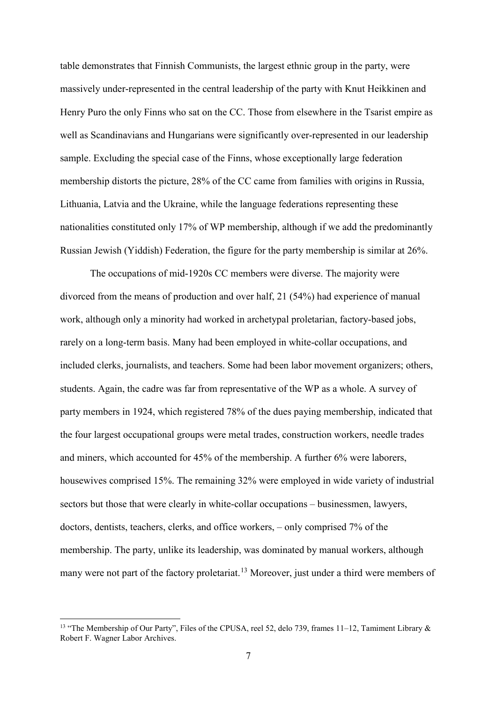table demonstrates that Finnish Communists, the largest ethnic group in the party, were massively under-represented in the central leadership of the party with Knut Heikkinen and Henry Puro the only Finns who sat on the CC. Those from elsewhere in the Tsarist empire as well as Scandinavians and Hungarians were significantly over-represented in our leadership sample. Excluding the special case of the Finns, whose exceptionally large federation membership distorts the picture, 28% of the CC came from families with origins in Russia, Lithuania, Latvia and the Ukraine, while the language federations representing these nationalities constituted only 17% of WP membership, although if we add the predominantly Russian Jewish (Yiddish) Federation, the figure for the party membership is similar at 26%.

The occupations of mid-1920s CC members were diverse. The majority were divorced from the means of production and over half, 21 (54%) had experience of manual work, although only a minority had worked in archetypal proletarian, factory-based jobs, rarely on a long-term basis. Many had been employed in white-collar occupations, and included clerks, journalists, and teachers. Some had been labor movement organizers; others, students. Again, the cadre was far from representative of the WP as a whole. A survey of party members in 1924, which registered 78% of the dues paying membership, indicated that the four largest occupational groups were metal trades, construction workers, needle trades and miners, which accounted for 45% of the membership. A further 6% were laborers, housewives comprised 15%. The remaining 32% were employed in wide variety of industrial sectors but those that were clearly in white-collar occupations – businessmen, lawyers, doctors, dentists, teachers, clerks, and office workers, – only comprised 7% of the membership. The party, unlike its leadership, was dominated by manual workers, although many were not part of the factory proletariat.<sup>[13](#page-7-0)</sup> Moreover, just under a third were members of

<span id="page-7-0"></span> <sup>13</sup> "The Membership of Our Party", Files of the CPUSA, reel 52, delo 739, frames 11–12, Tamiment Library & Robert F. Wagner Labor Archives.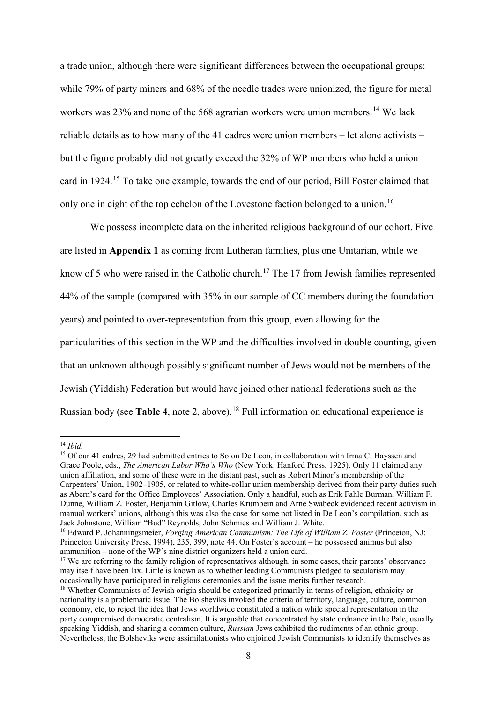a trade union, although there were significant differences between the occupational groups: while 79% of party miners and 68% of the needle trades were unionized, the figure for metal workers was 23% and none of the 568 agrarian workers were union members.<sup>[14](#page-8-0)</sup> We lack reliable details as to how many of the 41 cadres were union members – let alone activists – but the figure probably did not greatly exceed the 32% of WP members who held a union card in 1924.[15](#page-8-1) To take one example, towards the end of our period, Bill Foster claimed that only one in eight of the top echelon of the Lovestone faction belonged to a union.<sup>[16](#page-8-2)</sup>

We possess incomplete data on the inherited religious background of our cohort. Five are listed in **Appendix 1** as coming from Lutheran families, plus one Unitarian, while we know of 5 who were raised in the Catholic church.<sup>[17](#page-8-3)</sup> The 17 from Jewish families represented 44% of the sample (compared with 35% in our sample of CC members during the foundation years) and pointed to over-representation from this group, even allowing for the particularities of this section in the WP and the difficulties involved in double counting, given that an unknown although possibly significant number of Jews would not be members of the Jewish (Yiddish) Federation but would have joined other national federations such as the Russian body (see **Table 4**, note 2, above). [18](#page-8-4) Full information on educational experience is

<span id="page-8-0"></span>14 *Ibid.*

<span id="page-8-1"></span><sup>&</sup>lt;sup>15</sup> Of our 41 cadres, 29 had submitted entries to Solon De Leon, in collaboration with Irma C. Hayssen and Grace Poole, eds., *The American Labor Who's Who* (New York: Hanford Press, 1925). Only 11 claimed any union affiliation, and some of these were in the distant past, such as Robert Minor's membership of the Carpenters' Union, 1902–1905, or related to white-collar union membership derived from their party duties such as Abern's card for the Office Employees' Association. Only a handful, such as Erik Fahle Burman, William F. Dunne, William Z. Foster, Benjamin Gitlow, Charles Krumbein and Arne Swabeck evidenced recent activism in manual workers' unions, although this was also the case for some not listed in De Leon's compilation, such as Jack Johnstone, William "Bud" Reynolds, John Schmies and William J. White.

<span id="page-8-2"></span><sup>16</sup> Edward P. Johanningsmeier, *Forging American Communism: The Life of William Z. Foster* (Princeton, NJ: Princeton University Press, 1994), 235, 399, note 44. On Foster's account – he possessed animus but also ammunition – none of the WP's nine district organizers held a union card.

<span id="page-8-3"></span><sup>&</sup>lt;sup>17</sup> We are referring to the family religion of representatives although, in some cases, their parents' observance may itself have been lax. Little is known as to whether leading Communists pledged to secularism may occasionally have participated in religious ceremonies and the issue merits further research.

<span id="page-8-4"></span><sup>&</sup>lt;sup>18</sup> Whether Communists of Jewish origin should be categorized primarily in terms of religion, ethnicity or nationality is a problematic issue. The Bolsheviks invoked the criteria of territory, language, culture, common economy, etc, to reject the idea that Jews worldwide constituted a nation while special representation in the party compromised democratic centralism. It is arguable that concentrated by state ordnance in the Pale, usually speaking Yiddish, and sharing a common culture, *Russian* Jews exhibited the rudiments of an ethnic group. Nevertheless, the Bolsheviks were assimilationists who enjoined Jewish Communists to identify themselves as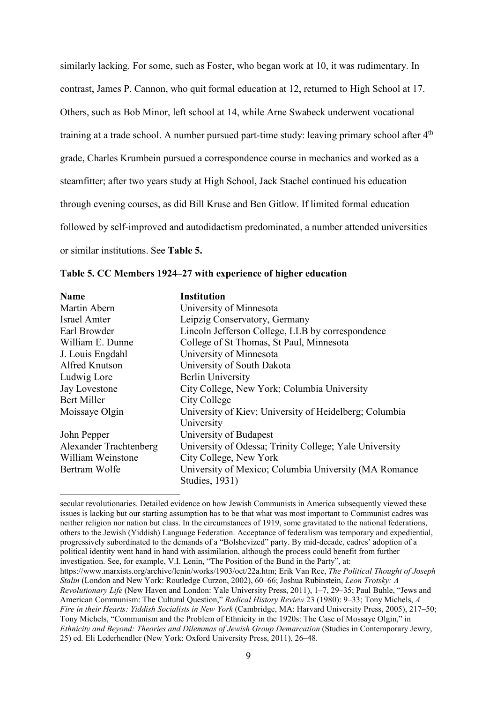similarly lacking. For some, such as Foster, who began work at 10, it was rudimentary. In contrast, James P. Cannon, who quit formal education at 12, returned to High School at 17. Others, such as Bob Minor, left school at 14, while Arne Swabeck underwent vocational training at a trade school. A number pursued part-time study: leaving primary school after  $4<sup>th</sup>$ grade, Charles Krumbein pursued a correspondence course in mechanics and worked as a steamfitter; after two years study at High School, Jack Stachel continued his education through evening courses, as did Bill Kruse and Ben Gitlow. If limited formal education followed by self-improved and autodidactism predominated, a number attended universities or similar institutions. See **Table 5.**

| Table 5. CC Members 1924–27 with experience of higher education |
|-----------------------------------------------------------------|
|-----------------------------------------------------------------|

-

| <b>Name</b>            | <b>Institution</b>                                     |
|------------------------|--------------------------------------------------------|
| Martin Abern           | University of Minnesota                                |
| <b>Israel Amter</b>    | Leipzig Conservatory, Germany                          |
| Earl Browder           | Lincoln Jefferson College, LLB by correspondence       |
| William E. Dunne       | College of St Thomas, St Paul, Minnesota               |
| J. Louis Engdahl       | University of Minnesota                                |
| Alfred Knutson         | University of South Dakota                             |
| Ludwig Lore            | <b>Berlin University</b>                               |
| Jay Lovestone          | City College, New York; Columbia University            |
| <b>Bert Miller</b>     | City College                                           |
| Moissaye Olgin         | University of Kiev; University of Heidelberg; Columbia |
|                        | University                                             |
| John Pepper            | University of Budapest                                 |
| Alexander Trachtenberg | University of Odessa; Trinity College; Yale University |
| William Weinstone      | City College, New York                                 |
| Bertram Wolfe          | University of Mexico; Columbia University (MA Romance  |
|                        | <b>Studies</b> , 1931)                                 |

secular revolutionaries. Detailed evidence on how Jewish Communists in America subsequently viewed these issues is lacking but our starting assumption has to be that what was most important to Communist cadres was neither religion nor nation but class. In the circumstances of 1919, some gravitated to the national federations, others to the Jewish (Yiddish) Language Federation. Acceptance of federalism was temporary and expediential, progressively subordinated to the demands of a "Bolshevized" party. By mid-decade, cadres' adoption of a political identity went hand in hand with assimilation, although the process could benefit from further investigation. See, for example, V.I. Lenin, "The Position of the Bund in the Party", at:

[https://www.marxists.org/archive/lenin/works/1903/oct/22a.htm;](https://www.marxists.org/archive/lenin/works/1903/oct/22a.htm) Erik Van Ree, *The Political Thought of Joseph Stalin* (London and New York: Routledge Curzon, 2002), 60–66; Joshua Rubinstein, *Leon Trotsky: A Revolutionary Life* (New Haven and London: Yale University Press, 2011), 1–7, 29–35; Paul Buhle, "Jews and American Communism: The Cultural Question," *Radical History Review* 23 (1980): 9–33; Tony Michels, *A Fire in their Hearts: Yiddish Socialists in New York* (Cambridge, MA: Harvard University Press, 2005), 217–50; Tony Michels, "Communism and the Problem of Ethnicity in the 1920s: The Case of Mossaye Olgin," in *Ethnicity and Beyond: Theories and Dilemmas of Jewish Group Demarcation* (Studies in Contemporary Jewry, 25) ed. Eli Lederhendler (New York: Oxford University Press, 2011), 26–48.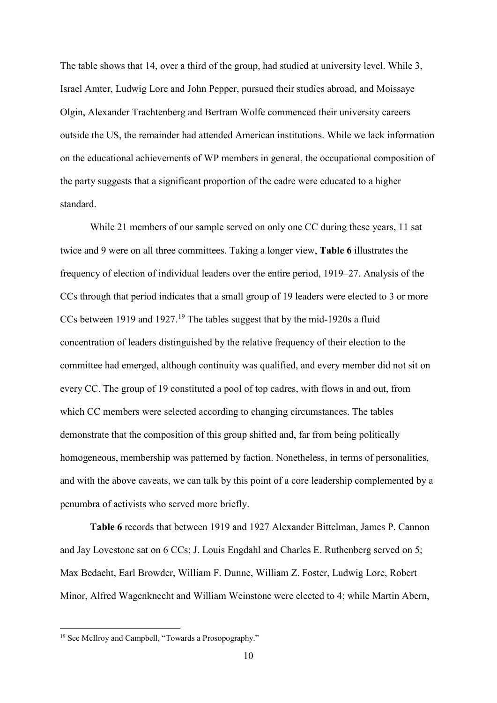The table shows that 14, over a third of the group, had studied at university level. While 3, Israel Amter, Ludwig Lore and John Pepper, pursued their studies abroad, and Moissaye Olgin, Alexander Trachtenberg and Bertram Wolfe commenced their university careers outside the US, the remainder had attended American institutions. While we lack information on the educational achievements of WP members in general, the occupational composition of the party suggests that a significant proportion of the cadre were educated to a higher standard.

While 21 members of our sample served on only one CC during these years, 11 sat twice and 9 were on all three committees. Taking a longer view, **Table 6** illustrates the frequency of election of individual leaders over the entire period, 1919–27. Analysis of the CCs through that period indicates that a small group of 19 leaders were elected to 3 or more CCs between [19](#page-10-0)19 and 1927.<sup>19</sup> The tables suggest that by the mid-1920s a fluid concentration of leaders distinguished by the relative frequency of their election to the committee had emerged, although continuity was qualified, and every member did not sit on every CC. The group of 19 constituted a pool of top cadres, with flows in and out, from which CC members were selected according to changing circumstances. The tables demonstrate that the composition of this group shifted and, far from being politically homogeneous, membership was patterned by faction. Nonetheless, in terms of personalities, and with the above caveats, we can talk by this point of a core leadership complemented by a penumbra of activists who served more briefly.

**Table 6** records that between 1919 and 1927 Alexander Bittelman, James P. Cannon and Jay Lovestone sat on 6 CCs; J. Louis Engdahl and Charles E. Ruthenberg served on 5; Max Bedacht, Earl Browder, William F. Dunne, William Z. Foster, Ludwig Lore, Robert Minor, Alfred Wagenknecht and William Weinstone were elected to 4; while Martin Abern,

<span id="page-10-0"></span> <sup>19</sup> See McIlroy and Campbell, "Towards a Prosopography."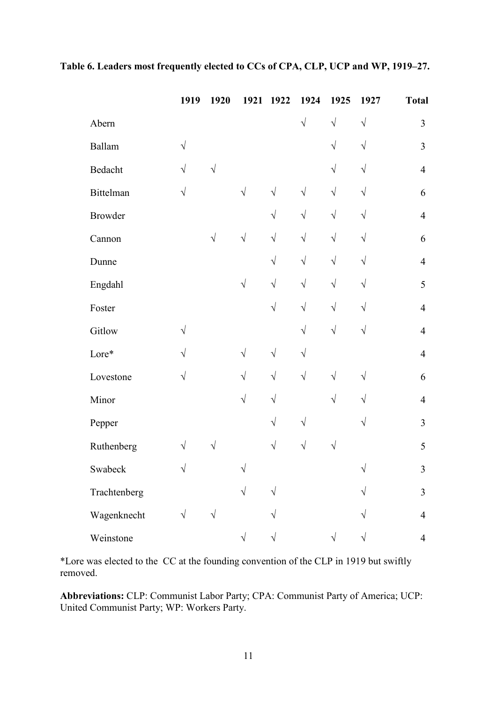|                | 1919      | 1920      |            | 1921 1922  | 1924       | 1925      | 1927      | <b>Total</b>   |
|----------------|-----------|-----------|------------|------------|------------|-----------|-----------|----------------|
| Abern          |           |           |            |            | $\sqrt{ }$ | $\sqrt{}$ | $\sqrt{}$ | 3              |
| Ballam         | $\sqrt{}$ |           |            |            |            | $\sqrt{}$ | $\sqrt{}$ | $\mathfrak{Z}$ |
| Bedacht        | $\sqrt{}$ | $\sqrt{}$ |            |            |            | $\sqrt{}$ | $\sqrt{}$ | $\overline{4}$ |
| Bittelman      | $\sqrt{}$ |           | $\sqrt{}$  | $\sqrt{ }$ | $\sqrt{}$  | $\sqrt{}$ | $\sqrt{}$ | 6              |
| <b>Browder</b> |           |           |            | $\sqrt{}$  | $\sqrt{}$  | $\sqrt{}$ | $\sqrt{}$ | $\overline{4}$ |
| Cannon         |           | $\sqrt{}$ | $\sqrt{}$  | $\sqrt{}$  | $\sqrt{}$  | $\sqrt{}$ | $\sqrt{}$ | 6              |
| Dunne          |           |           |            | $\sqrt{}$  | $\sqrt{}$  | $\sqrt{}$ | $\sqrt{}$ | $\overline{4}$ |
| Engdahl        |           |           | $\sqrt{}$  | $\sqrt{}$  | $\sqrt{}$  | $\sqrt{}$ | $\sqrt{}$ | 5              |
| Foster         |           |           |            | $\sqrt{}$  | $\sqrt{}$  | $\sqrt{}$ | $\sqrt{}$ | $\overline{4}$ |
| Gitlow         | $\sqrt{}$ |           |            |            | $\sqrt{}$  | $\sqrt{}$ | $\sqrt{}$ | $\overline{4}$ |
| Lore*          | $\sqrt{}$ |           | $\sqrt{}$  | $\sqrt{}$  | $\sqrt{}$  |           |           | $\overline{4}$ |
| Lovestone      | $\sqrt{}$ |           | $\sqrt{}$  | $\sqrt{}$  | $\sqrt{}$  | $\sqrt{}$ | $\sqrt{}$ | 6              |
| Minor          |           |           | $\sqrt{2}$ | $\sqrt{}$  |            | $\sqrt{}$ | $\sqrt{}$ | $\overline{4}$ |
| Pepper         |           |           |            | $\sqrt{}$  | $\sqrt{}$  |           | $\sqrt{}$ | $\overline{3}$ |
| Ruthenberg     | $\sqrt{}$ |           |            | $\sqrt{}$  | $\sqrt{}$  | V         |           | 5              |
| Swabeck        | $\sqrt{}$ |           | $\sqrt{}$  |            |            |           | $\sqrt{}$ | 3              |
| Trachtenberg   |           |           | $\sqrt{}$  | V          |            |           |           | 3              |
| Wagenknecht    | $\sqrt{}$ | V         |            |            |            |           |           | $\overline{4}$ |
| Weinstone      |           |           | $\sqrt{}$  |            |            | V         |           | $\overline{4}$ |

# **Table 6. Leaders most frequently elected to CCs of CPA, CLP, UCP and WP, 1919–27.**

\*Lore was elected to the CC at the founding convention of the CLP in 1919 but swiftly removed.

**Abbreviations:** CLP: Communist Labor Party; CPA: Communist Party of America; UCP: United Communist Party; WP: Workers Party.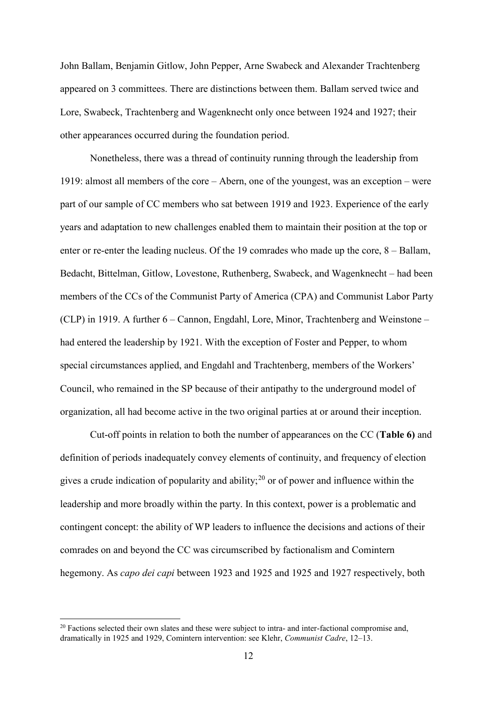John Ballam, Benjamin Gitlow, John Pepper, Arne Swabeck and Alexander Trachtenberg appeared on 3 committees. There are distinctions between them. Ballam served twice and Lore, Swabeck, Trachtenberg and Wagenknecht only once between 1924 and 1927; their other appearances occurred during the foundation period.

Nonetheless, there was a thread of continuity running through the leadership from 1919: almost all members of the core – Abern, one of the youngest, was an exception – were part of our sample of CC members who sat between 1919 and 1923. Experience of the early years and adaptation to new challenges enabled them to maintain their position at the top or enter or re-enter the leading nucleus. Of the 19 comrades who made up the core,  $8 - Ballam$ , Bedacht, Bittelman, Gitlow, Lovestone, Ruthenberg, Swabeck, and Wagenknecht – had been members of the CCs of the Communist Party of America (CPA) and Communist Labor Party (CLP) in 1919. A further 6 – Cannon, Engdahl, Lore, Minor, Trachtenberg and Weinstone – had entered the leadership by 1921. With the exception of Foster and Pepper, to whom special circumstances applied, and Engdahl and Trachtenberg, members of the Workers' Council, who remained in the SP because of their antipathy to the underground model of organization, all had become active in the two original parties at or around their inception.

Cut-off points in relation to both the number of appearances on the CC (**Table 6)** and definition of periods inadequately convey elements of continuity, and frequency of election gives a crude indication of popularity and ability;<sup>[20](#page-12-0)</sup> or of power and influence within the leadership and more broadly within the party. In this context, power is a problematic and contingent concept: the ability of WP leaders to influence the decisions and actions of their comrades on and beyond the CC was circumscribed by factionalism and Comintern hegemony. As *capo dei capi* between 1923 and 1925 and 1925 and 1927 respectively, both

<span id="page-12-0"></span><sup>&</sup>lt;sup>20</sup> Factions selected their own slates and these were subject to intra- and inter-factional compromise and, dramatically in 1925 and 1929, Comintern intervention: see Klehr, *Communist Cadre*, 12–13.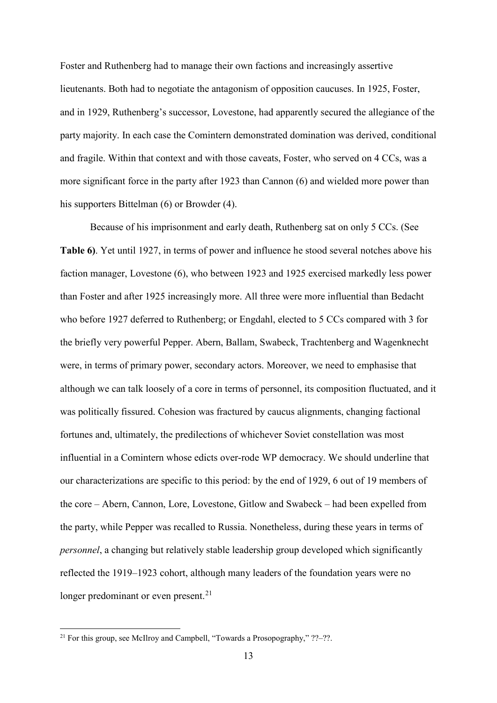Foster and Ruthenberg had to manage their own factions and increasingly assertive lieutenants. Both had to negotiate the antagonism of opposition caucuses. In 1925, Foster, and in 1929, Ruthenberg's successor, Lovestone, had apparently secured the allegiance of the party majority. In each case the Comintern demonstrated domination was derived, conditional and fragile. Within that context and with those caveats, Foster, who served on 4 CCs, was a more significant force in the party after 1923 than Cannon (6) and wielded more power than his supporters Bittelman (6) or Browder (4).

Because of his imprisonment and early death, Ruthenberg sat on only 5 CCs. (See **Table 6)**. Yet until 1927, in terms of power and influence he stood several notches above his faction manager, Lovestone (6), who between 1923 and 1925 exercised markedly less power than Foster and after 1925 increasingly more. All three were more influential than Bedacht who before 1927 deferred to Ruthenberg; or Engdahl, elected to 5 CCs compared with 3 for the briefly very powerful Pepper. Abern, Ballam, Swabeck, Trachtenberg and Wagenknecht were, in terms of primary power, secondary actors. Moreover, we need to emphasise that although we can talk loosely of a core in terms of personnel, its composition fluctuated, and it was politically fissured. Cohesion was fractured by caucus alignments, changing factional fortunes and, ultimately, the predilections of whichever Soviet constellation was most influential in a Comintern whose edicts over-rode WP democracy. We should underline that our characterizations are specific to this period: by the end of 1929, 6 out of 19 members of the core – Abern, Cannon, Lore, Lovestone, Gitlow and Swabeck – had been expelled from the party, while Pepper was recalled to Russia. Nonetheless, during these years in terms of *personnel*, a changing but relatively stable leadership group developed which significantly reflected the 1919–1923 cohort, although many leaders of the foundation years were no longer predominant or even present. $^{21}$  $^{21}$  $^{21}$ 

<span id="page-13-0"></span><sup>&</sup>lt;sup>21</sup> For this group, see McIlroy and Campbell, "Towards a Prosopography,"  $?$ ?- $?$ ?.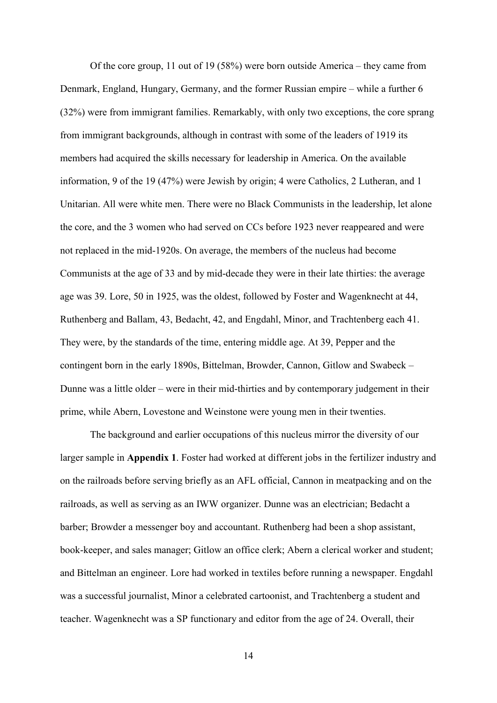Of the core group, 11 out of 19 (58%) were born outside America – they came from Denmark, England, Hungary, Germany, and the former Russian empire – while a further 6 (32%) were from immigrant families. Remarkably, with only two exceptions, the core sprang from immigrant backgrounds, although in contrast with some of the leaders of 1919 its members had acquired the skills necessary for leadership in America. On the available information, 9 of the 19 (47%) were Jewish by origin; 4 were Catholics, 2 Lutheran, and 1 Unitarian. All were white men. There were no Black Communists in the leadership, let alone the core, and the 3 women who had served on CCs before 1923 never reappeared and were not replaced in the mid-1920s. On average, the members of the nucleus had become Communists at the age of 33 and by mid-decade they were in their late thirties: the average age was 39. Lore, 50 in 1925, was the oldest, followed by Foster and Wagenknecht at 44, Ruthenberg and Ballam, 43, Bedacht, 42, and Engdahl, Minor, and Trachtenberg each 41. They were, by the standards of the time, entering middle age. At 39, Pepper and the contingent born in the early 1890s, Bittelman, Browder, Cannon, Gitlow and Swabeck – Dunne was a little older – were in their mid-thirties and by contemporary judgement in their prime, while Abern, Lovestone and Weinstone were young men in their twenties.

The background and earlier occupations of this nucleus mirror the diversity of our larger sample in **Appendix 1**. Foster had worked at different jobs in the fertilizer industry and on the railroads before serving briefly as an AFL official, Cannon in meatpacking and on the railroads, as well as serving as an IWW organizer. Dunne was an electrician; Bedacht a barber; Browder a messenger boy and accountant. Ruthenberg had been a shop assistant, book-keeper, and sales manager; Gitlow an office clerk; Abern a clerical worker and student; and Bittelman an engineer. Lore had worked in textiles before running a newspaper. Engdahl was a successful journalist, Minor a celebrated cartoonist, and Trachtenberg a student and teacher. Wagenknecht was a SP functionary and editor from the age of 24. Overall, their

14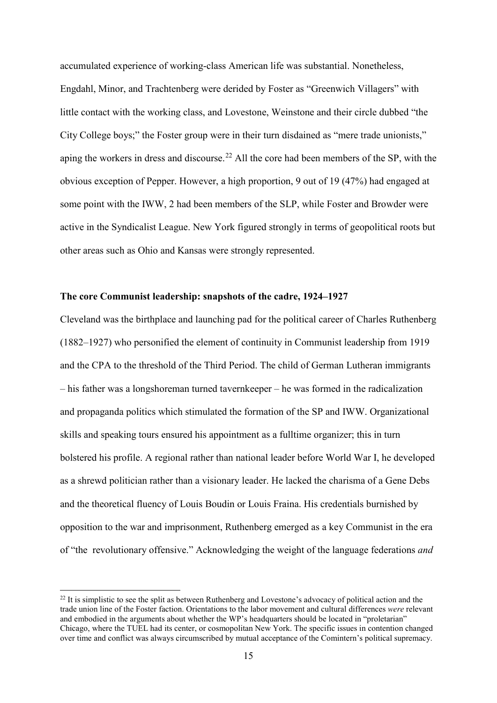accumulated experience of working-class American life was substantial. Nonetheless, Engdahl, Minor, and Trachtenberg were derided by Foster as "Greenwich Villagers" with little contact with the working class, and Lovestone, Weinstone and their circle dubbed "the City College boys;" the Foster group were in their turn disdained as "mere trade unionists," aping the workers in dress and discourse.<sup>[22](#page-15-0)</sup> All the core had been members of the SP, with the obvious exception of Pepper. However, a high proportion, 9 out of 19 (47%) had engaged at some point with the IWW, 2 had been members of the SLP, while Foster and Browder were active in the Syndicalist League. New York figured strongly in terms of geopolitical roots but other areas such as Ohio and Kansas were strongly represented.

## **The core Communist leadership: snapshots of the cadre, 1924–1927**

Cleveland was the birthplace and launching pad for the political career of Charles Ruthenberg (1882–1927) who personified the element of continuity in Communist leadership from 1919 and the CPA to the threshold of the Third Period. The child of German Lutheran immigrants – his father was a longshoreman turned tavernkeeper – he was formed in the radicalization and propaganda politics which stimulated the formation of the SP and IWW. Organizational skills and speaking tours ensured his appointment as a fulltime organizer; this in turn bolstered his profile. A regional rather than national leader before World War I, he developed as a shrewd politician rather than a visionary leader. He lacked the charisma of a Gene Debs and the theoretical fluency of Louis Boudin or Louis Fraina. His credentials burnished by opposition to the war and imprisonment, Ruthenberg emerged as a key Communist in the era of "the revolutionary offensive." Acknowledging the weight of the language federations *and*

<span id="page-15-0"></span> $^{22}$  It is simplistic to see the split as between Ruthenberg and Lovestone's advocacy of political action and the trade union line of the Foster faction. Orientations to the labor movement and cultural differences *were* relevant and embodied in the arguments about whether the WP's headquarters should be located in "proletarian" Chicago, where the TUEL had its center, or cosmopolitan New York. The specific issues in contention changed over time and conflict was always circumscribed by mutual acceptance of the Comintern's political supremacy.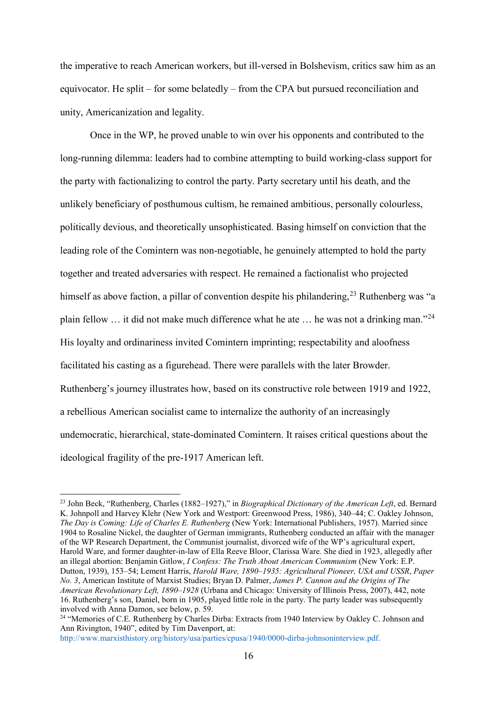the imperative to reach American workers, but ill-versed in Bolshevism, critics saw him as an equivocator. He split – for some belatedly – from the CPA but pursued reconciliation and unity, Americanization and legality.

Once in the WP, he proved unable to win over his opponents and contributed to the long-running dilemma: leaders had to combine attempting to build working-class support for the party with factionalizing to control the party. Party secretary until his death, and the unlikely beneficiary of posthumous cultism, he remained ambitious, personally colourless, politically devious, and theoretically unsophisticated. Basing himself on conviction that the leading role of the Comintern was non-negotiable, he genuinely attempted to hold the party together and treated adversaries with respect. He remained a factionalist who projected himself as above faction, a pillar of convention despite his philandering,<sup>[23](#page-16-0)</sup> Ruthenberg was "a plain fellow … it did not make much difference what he ate … he was not a drinking man."[24](#page-16-1) His loyalty and ordinariness invited Comintern imprinting; respectability and aloofness facilitated his casting as a figurehead. There were parallels with the later Browder. Ruthenberg's journey illustrates how, based on its constructive role between 1919 and 1922, a rebellious American socialist came to internalize the authority of an increasingly undemocratic, hierarchical, state-dominated Comintern. It raises critical questions about the ideological fragility of the pre-1917 American left.

[http://www.marxisthistory.org/history/usa/parties/cpusa/1940/0000-dirba-johnsoninterview.pdf.](http://www.marxisthistory.org/history/usa/parties/cpusa/1940/0000-dirba-johnsoninterview.pdf)

<span id="page-16-0"></span> <sup>23</sup> John Beck, "Ruthenberg, Charles (1882–1927)," in *Biographical Dictionary of the American Left*, ed. Bernard K. Johnpoll and Harvey Klehr (New York and Westport: Greenwood Press, 1986), 340–44; C. Oakley Johnson, *The Day is Coming: Life of Charles E. Ruthenberg* (New York: International Publishers, 1957). Married since 1904 to Rosaline Nickel, the daughter of German immigrants, Ruthenberg conducted an affair with the manager of the WP Research Department, the Communist journalist, divorced wife of the WP's agricultural expert, Harold Ware, and former daughter-in-law of Ella Reeve Bloor, Clarissa Ware. She died in 1923, allegedly after an illegal abortion: Benjamin Gitlow, *I Confess: The Truth About American Communism* (New York: E.P. Dutton, 1939), 153–54; Lement Harris, *Harold Ware, 1890–1935: Agricultural Pioneer, USA and USSR*, *Paper No. 3*, American Institute of Marxist Studies; Bryan D. Palmer, *James P. Cannon and the Origins of The American Revolutionary Left, 1890–1928* (Urbana and Chicago: University of Illinois Press, 2007), 442, note 16. Ruthenberg's son, Daniel, born in 1905, played little role in the party. The party leader was subsequently involved with Anna Damon, see below, p. 59.

<span id="page-16-1"></span><sup>24</sup> "Memories of C.E. Ruthenberg by Charles Dirba: Extracts from 1940 Interview by Oakley C. Johnson and Ann Rivington, 1940", edited by Tim Davenport, at: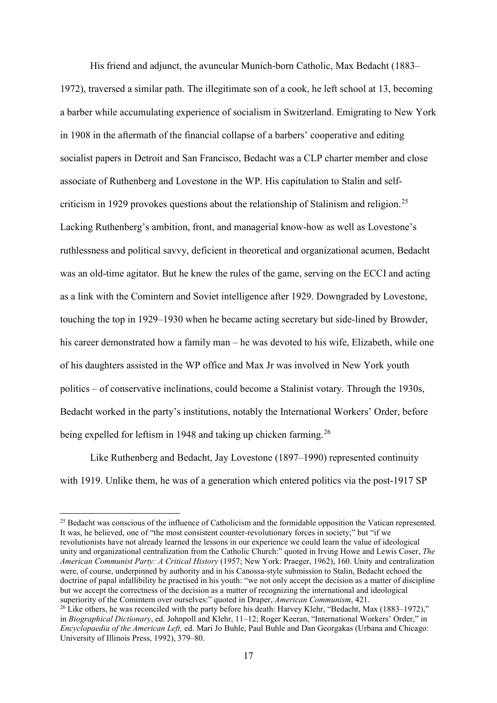His friend and adjunct, the avuncular Munich-born Catholic, Max Bedacht (1883– 1972), traversed a similar path. The illegitimate son of a cook, he left school at 13, becoming a barber while accumulating experience of socialism in Switzerland. Emigrating to New York in 1908 in the aftermath of the financial collapse of a barbers' cooperative and editing socialist papers in Detroit and San Francisco, Bedacht was a CLP charter member and close associate of Ruthenberg and Lovestone in the WP. His capitulation to Stalin and self-criticism in 1929 provokes questions about the relationship of Stalinism and religion.<sup>[25](#page-17-0)</sup> Lacking Ruthenberg's ambition, front, and managerial know-how as well as Lovestone's ruthlessness and political savvy, deficient in theoretical and organizational acumen, Bedacht was an old-time agitator. But he knew the rules of the game, serving on the ECCI and acting as a link with the Comintern and Soviet intelligence after 1929. Downgraded by Lovestone, touching the top in 1929–1930 when he became acting secretary but side-lined by Browder, his career demonstrated how a family man – he was devoted to his wife, Elizabeth, while one of his daughters assisted in the WP office and Max Jr was involved in New York youth politics – of conservative inclinations, could become a Stalinist votary. Through the 1930s, Bedacht worked in the party's institutions, notably the International Workers' Order, before being expelled for leftism in 1948 and taking up chicken farming.<sup>[26](#page-17-1)</sup>

Like Ruthenberg and Bedacht, Jay Lovestone (1897–1990) represented continuity with 1919. Unlike them, he was of a generation which entered politics via the post-1917 SP

<span id="page-17-0"></span><sup>&</sup>lt;sup>25</sup> Bedacht was conscious of the influence of Catholicism and the formidable opposition the Vatican represented. It was, he believed, one of "the most consistent counter-revolutionary forces in society;" but "if we revolutionists have not already learned the lessons in our experience we could learn the value of ideological unity and organizational centralization from the Catholic Church:" quoted in Irving Howe and Lewis Coser, *The American Communist Party: A Critical History* (1957; New York: Praeger, 1962), 160. Unity and centralization were, of course, underpinned by authority and in his Canossa-style submission to Stalin, Bedacht echoed the doctrine of papal infallibility he practised in his youth: "we not only accept the decision as a matter of discipline but we accept the correctness of the decision as a matter of recognizing the international and ideological superiority of the Comintern over ourselves:" quoted in Draper. American Communism. 421.

<span id="page-17-1"></span><sup>&</sup>lt;sup>26</sup> Like others, he was reconciled with the party before his death: Harvey Klehr, "Bedacht, Max (1883–1972)," in *Biographical Dictionary*, ed. Johnpoll and Klehr, 11–12; Roger Keeran, "International Workers' Order," in *Encyclopaedia of the American Left,* ed. Mari Jo Buhle, Paul Buhle and Dan Georgakas (Urbana and Chicago: University of Illinois Press, 1992), 379–80.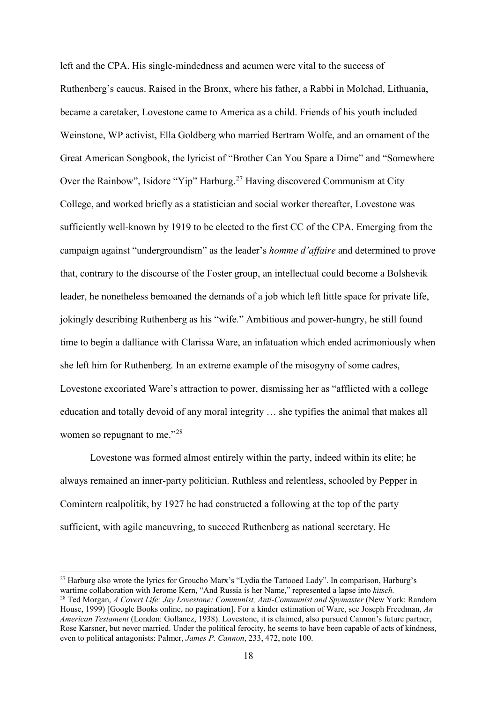left and the CPA. His single-mindedness and acumen were vital to the success of Ruthenberg's caucus. Raised in the Bronx, where his father, a Rabbi in Molchad, Lithuania, became a caretaker, Lovestone came to America as a child. Friends of his youth included Weinstone, WP activist, Ella Goldberg who married Bertram Wolfe, and an ornament of the Great American Songbook, the lyricist of "Brother Can You Spare a Dime" and "Somewhere Over the Rainbow", Isidore "Yip" Harburg.<sup>[27](#page-18-0)</sup> Having discovered Communism at City College, and worked briefly as a statistician and social worker thereafter, Lovestone was sufficiently well-known by 1919 to be elected to the first CC of the CPA. Emerging from the campaign against "undergroundism" as the leader's *homme d'affaire* and determined to prove that, contrary to the discourse of the Foster group, an intellectual could become a Bolshevik leader, he nonetheless bemoaned the demands of a job which left little space for private life, jokingly describing Ruthenberg as his "wife." Ambitious and power-hungry, he still found time to begin a dalliance with Clarissa Ware, an infatuation which ended acrimoniously when she left him for Ruthenberg. In an extreme example of the misogyny of some cadres, Lovestone excoriated Ware's attraction to power, dismissing her as "afflicted with a college education and totally devoid of any moral integrity … she typifies the animal that makes all women so repugnant to me."<sup>[28](#page-18-1)</sup>

Lovestone was formed almost entirely within the party, indeed within its elite; he always remained an inner-party politician. Ruthless and relentless, schooled by Pepper in Comintern realpolitik, by 1927 he had constructed a following at the top of the party sufficient, with agile maneuvring, to succeed Ruthenberg as national secretary. He

<span id="page-18-1"></span><span id="page-18-0"></span> <sup>27</sup> Harburg also wrote the lyrics for Groucho Marx's "Lydia the Tattooed Lady". In comparison, Harburg's wartime collaboration with Jerome Kern, "And Russia is her Name," represented a lapse into *kitsch.* <sup>28</sup> Ted Morgan, *A Covert Life: Jay Lovestone: Communist, Anti-Communist and Spymaster* (New York: Random House, 1999) [Google Books online, no pagination]. For a kinder estimation of Ware, see Joseph Freedman, *An American Testament* (London: Gollancz, 1938). Lovestone, it is claimed, also pursued Cannon's future partner, Rose Karsner, but never married. Under the political ferocity, he seems to have been capable of acts of kindness, even to political antagonists: Palmer, *James P. Cannon*, 233, 472, note 100.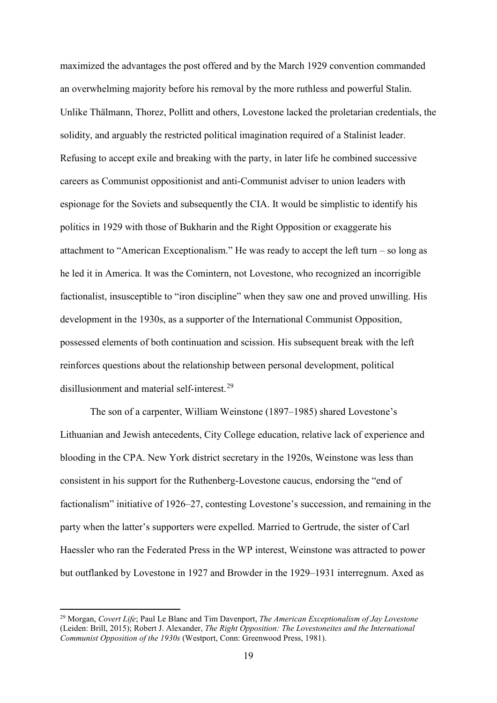maximized the advantages the post offered and by the March 1929 convention commanded an overwhelming majority before his removal by the more ruthless and powerful Stalin. Unlike Thälmann, Thorez, Pollitt and others, Lovestone lacked the proletarian credentials, the solidity, and arguably the restricted political imagination required of a Stalinist leader. Refusing to accept exile and breaking with the party, in later life he combined successive careers as Communist oppositionist and anti-Communist adviser to union leaders with espionage for the Soviets and subsequently the CIA. It would be simplistic to identify his politics in 1929 with those of Bukharin and the Right Opposition or exaggerate his attachment to "American Exceptionalism." He was ready to accept the left turn – so long as he led it in America. It was the Comintern, not Lovestone, who recognized an incorrigible factionalist, insusceptible to "iron discipline" when they saw one and proved unwilling. His development in the 1930s, as a supporter of the International Communist Opposition, possessed elements of both continuation and scission. His subsequent break with the left reinforces questions about the relationship between personal development, political disillusionment and material self-interest.[29](#page-19-0)

The son of a carpenter, William Weinstone (1897–1985) shared Lovestone's Lithuanian and Jewish antecedents, City College education, relative lack of experience and blooding in the CPA. New York district secretary in the 1920s, Weinstone was less than consistent in his support for the Ruthenberg-Lovestone caucus, endorsing the "end of factionalism" initiative of 1926–27, contesting Lovestone's succession, and remaining in the party when the latter's supporters were expelled. Married to Gertrude, the sister of Carl Haessler who ran the Federated Press in the WP interest, Weinstone was attracted to power but outflanked by Lovestone in 1927 and Browder in the 1929–1931 interregnum. Axed as

<span id="page-19-0"></span> <sup>29</sup> Morgan, *Covert Life*; Paul Le Blanc and Tim Davenport, *The American Exceptionalism of Jay Lovestone* (Leiden: Brill, 2015); Robert J. Alexander, *The Right Opposition: The Lovestoneites and the International Communist Opposition of the 1930s* (Westport, Conn: Greenwood Press, 1981).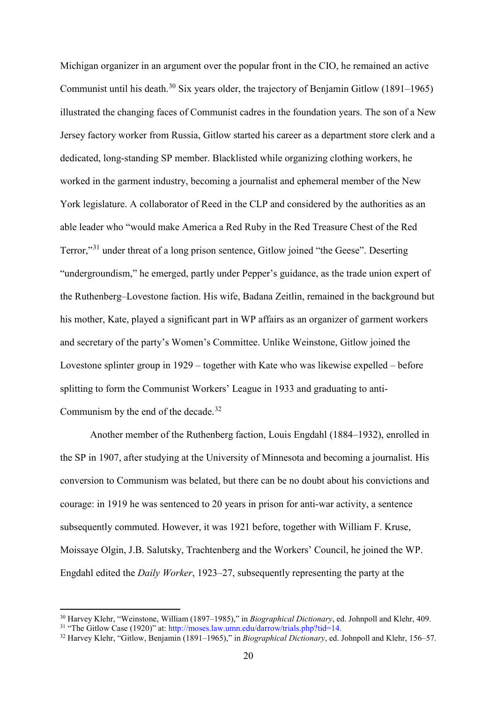Michigan organizer in an argument over the popular front in the CIO, he remained an active Communist until his death.<sup>[30](#page-20-0)</sup> Six years older, the trajectory of Benjamin Gitlow (1891–1965) illustrated the changing faces of Communist cadres in the foundation years. The son of a New Jersey factory worker from Russia, Gitlow started his career as a department store clerk and a dedicated, long-standing SP member. Blacklisted while organizing clothing workers, he worked in the garment industry, becoming a journalist and ephemeral member of the New York legislature. A collaborator of Reed in the CLP and considered by the authorities as an able leader who "would make America a Red Ruby in the Red Treasure Chest of the Red Terror,"[31](#page-20-1) under threat of a long prison sentence, Gitlow joined "the Geese". Deserting "undergroundism," he emerged, partly under Pepper's guidance, as the trade union expert of the Ruthenberg–Lovestone faction. His wife, Badana Zeitlin, remained in the background but his mother, Kate, played a significant part in WP affairs as an organizer of garment workers and secretary of the party's Women's Committee. Unlike Weinstone, Gitlow joined the Lovestone splinter group in 1929 – together with Kate who was likewise expelled – before splitting to form the Communist Workers' League in 1933 and graduating to anti-Communism by the end of the decade.<sup>[32](#page-20-2)</sup>

Another member of the Ruthenberg faction, Louis Engdahl (1884–1932), enrolled in the SP in 1907, after studying at the University of Minnesota and becoming a journalist. His conversion to Communism was belated, but there can be no doubt about his convictions and courage: in 1919 he was sentenced to 20 years in prison for anti-war activity, a sentence subsequently commuted. However, it was 1921 before, together with William F. Kruse, Moissaye Olgin, J.B. Salutsky, Trachtenberg and the Workers' Council, he joined the WP. Engdahl edited the *Daily Worker*, 1923–27, subsequently representing the party at the

<span id="page-20-0"></span> <sup>30</sup> Harvey Klehr, "Weinstone, William (1897–1985)," in *Biographical Dictionary*, ed. Johnpoll and Klehr, 409.  $31$  "The Gitlow Case (1920)" at: [http://moses.law.umn.edu/darrow/trials.php?tid=14.](http://moses.law.umn.edu/darrow/trials.php?tid=14)

<span id="page-20-2"></span><span id="page-20-1"></span><sup>32</sup> Harvey Klehr, "Gitlow, Benjamin (1891–1965)," in *Biographical Dictionary*, ed. Johnpoll and Klehr, 156–57.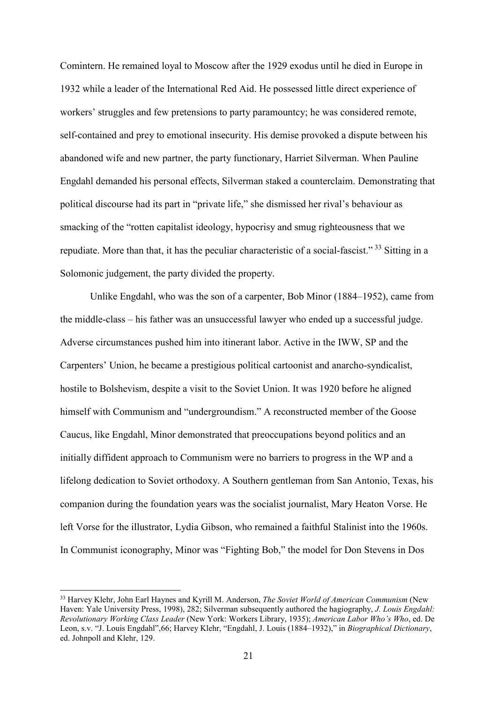Comintern. He remained loyal to Moscow after the 1929 exodus until he died in Europe in 1932 while a leader of the International Red Aid. He possessed little direct experience of workers' struggles and few pretensions to party paramountcy; he was considered remote, self-contained and prey to emotional insecurity. His demise provoked a dispute between his abandoned wife and new partner, the party functionary, Harriet Silverman. When Pauline Engdahl demanded his personal effects, Silverman staked a counterclaim. Demonstrating that political discourse had its part in "private life," she dismissed her rival's behaviour as smacking of the "rotten capitalist ideology, hypocrisy and smug righteousness that we repudiate. More than that, it has the peculiar characteristic of a social-fascist."<sup>[33](#page-21-0)</sup> Sitting in a Solomonic judgement, the party divided the property.

Unlike Engdahl, who was the son of a carpenter, Bob Minor (1884–1952), came from the middle-class – his father was an unsuccessful lawyer who ended up a successful judge. Adverse circumstances pushed him into itinerant labor. Active in the IWW, SP and the Carpenters' Union, he became a prestigious political cartoonist and anarcho-syndicalist, hostile to Bolshevism, despite a visit to the Soviet Union. It was 1920 before he aligned himself with Communism and "undergroundism." A reconstructed member of the Goose Caucus, like Engdahl, Minor demonstrated that preoccupations beyond politics and an initially diffident approach to Communism were no barriers to progress in the WP and a lifelong dedication to Soviet orthodoxy. A Southern gentleman from San Antonio, Texas, his companion during the foundation years was the socialist journalist, Mary Heaton Vorse. He left Vorse for the illustrator, Lydia Gibson, who remained a faithful Stalinist into the 1960s. In Communist iconography, Minor was "Fighting Bob," the model for Don Stevens in Dos

<span id="page-21-0"></span> <sup>33</sup> Harvey Klehr, John Earl Haynes and Kyrill M. Anderson, *The Soviet World of American Communism* (New Haven: Yale University Press, 1998), 282; Silverman subsequently authored the hagiography, *J. Louis Engdahl: Revolutionary Working Class Leader* (New York: Workers Library, 1935); *American Labor Who's Who*, ed. De Leon, s.v. "J. Louis Engdahl",66; Harvey Klehr, "Engdahl, J. Louis (1884–1932)," in *Biographical Dictionary*, ed. Johnpoll and Klehr, 129.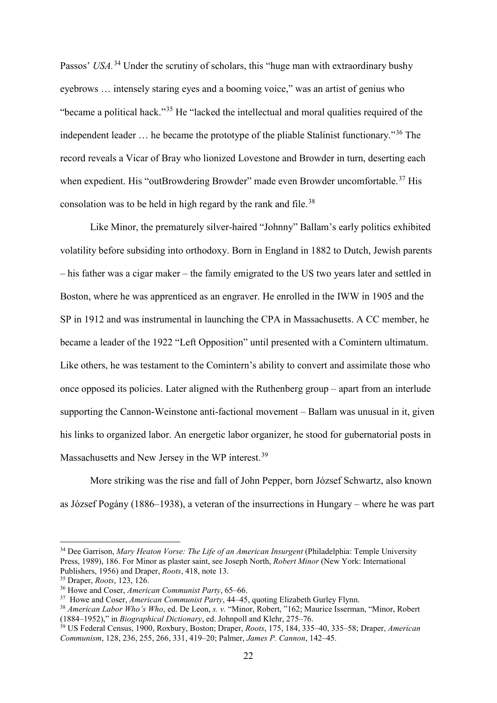Passos' *USA*.<sup>[34](#page-22-0)</sup> Under the scrutiny of scholars, this "huge man with extraordinary bushy eyebrows … intensely staring eyes and a booming voice," was an artist of genius who "became a political hack."[35](#page-22-1) He "lacked the intellectual and moral qualities required of the independent leader … he became the prototype of the pliable Stalinist functionary."[36](#page-22-2) The record reveals a Vicar of Bray who lionized Lovestone and Browder in turn, deserting each when expedient. His "outBrowdering Browder" made even Browder uncomfortable.<sup>[37](#page-22-3)</sup> His consolation was to be held in high regard by the rank and file.<sup>[38](#page-22-4)</sup>

Like Minor, the prematurely silver-haired "Johnny" Ballam's early politics exhibited volatility before subsiding into orthodoxy. Born in England in 1882 to Dutch, Jewish parents – his father was a cigar maker – the family emigrated to the US two years later and settled in Boston, where he was apprenticed as an engraver. He enrolled in the IWW in 1905 and the SP in 1912 and was instrumental in launching the CPA in Massachusetts. A CC member, he became a leader of the 1922 "Left Opposition" until presented with a Comintern ultimatum. Like others, he was testament to the Comintern's ability to convert and assimilate those who once opposed its policies. Later aligned with the Ruthenberg group – apart from an interlude supporting the Cannon-Weinstone anti-factional movement – Ballam was unusual in it, given his links to organized labor. An energetic labor organizer, he stood for gubernatorial posts in Massachusetts and New Jersey in the WP interest.<sup>[39](#page-22-5)</sup>

More striking was the rise and fall of John Pepper, born József Schwartz, also known as József Pogány (1886–1938), a veteran of the insurrections in Hungary – where he was part

<span id="page-22-0"></span> <sup>34</sup> Dee Garrison, *Mary Heaton Vorse: The Life of an American Insurgent* (Philadelphia: Temple University Press, 1989), 186. For Minor as plaster saint, see Joseph North, *Robert Minor* (New York: International Publishers, 1956) and Draper, *Roots*, 418, note 13.

<span id="page-22-1"></span><sup>&</sup>lt;sup>35</sup> Draper, *Roots*, 123, 126.<br><sup>36</sup> Howe and Coser, *American Communist Party*, 65–66.

<span id="page-22-2"></span><sup>&</sup>lt;sup>37</sup> Howe and Coser, *American Communist Party*, 44–45, quoting Elizabeth Gurley Flynn.

<span id="page-22-4"></span><span id="page-22-3"></span><sup>38</sup> *American Labor Who's Who*, ed. De Leon, *s. v.* "Minor, Robert, "162; Maurice Isserman, "Minor, Robert (1884–1952)," in *Biographical Dictionary*, ed. Johnpoll and Klehr, 275–76.

<span id="page-22-5"></span><sup>39</sup> US Federal Census, 1900, Roxbury, Boston; Draper, *Roots*, 175, 184, 335–40, 335–58; Draper, *American Communism*, 128, 236, 255, 266, 331, 419–20; Palmer, *James P. Cannon*, 142–45.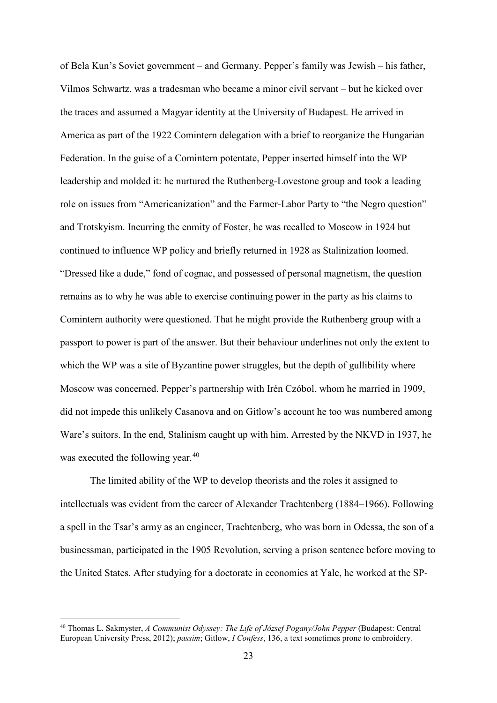of Bela Kun's Soviet government – and Germany. Pepper's family was Jewish – his father, Vilmos Schwartz, was a tradesman who became a minor civil servant – but he kicked over the traces and assumed a Magyar identity at the University of Budapest. He arrived in America as part of the 1922 Comintern delegation with a brief to reorganize the Hungarian Federation. In the guise of a Comintern potentate, Pepper inserted himself into the WP leadership and molded it: he nurtured the Ruthenberg-Lovestone group and took a leading role on issues from "Americanization" and the Farmer-Labor Party to "the Negro question" and Trotskyism. Incurring the enmity of Foster, he was recalled to Moscow in 1924 but continued to influence WP policy and briefly returned in 1928 as Stalinization loomed. "Dressed like a dude," fond of cognac, and possessed of personal magnetism, the question remains as to why he was able to exercise continuing power in the party as his claims to Comintern authority were questioned. That he might provide the Ruthenberg group with a passport to power is part of the answer. But their behaviour underlines not only the extent to which the WP was a site of Byzantine power struggles, but the depth of gullibility where Moscow was concerned. Pepper's partnership with Irén Czóbol, whom he married in 1909, did not impede this unlikely Casanova and on Gitlow's account he too was numbered among Ware's suitors. In the end, Stalinism caught up with him. Arrested by the NKVD in 1937, he was executed the following year.<sup>[40](#page-23-0)</sup>

The limited ability of the WP to develop theorists and the roles it assigned to intellectuals was evident from the career of Alexander Trachtenberg (1884–1966). Following a spell in the Tsar's army as an engineer, Trachtenberg, who was born in Odessa, the son of a businessman, participated in the 1905 Revolution, serving a prison sentence before moving to the United States. After studying for a doctorate in economics at Yale, he worked at the SP-

<span id="page-23-0"></span> <sup>40</sup> Thomas L. Sakmyster, *A Communist Odyssey: The Life of József Pogany/John Pepper* (Budapest: Central European University Press, 2012); *passim*; Gitlow, *I Confess*, 136, a text sometimes prone to embroidery*.*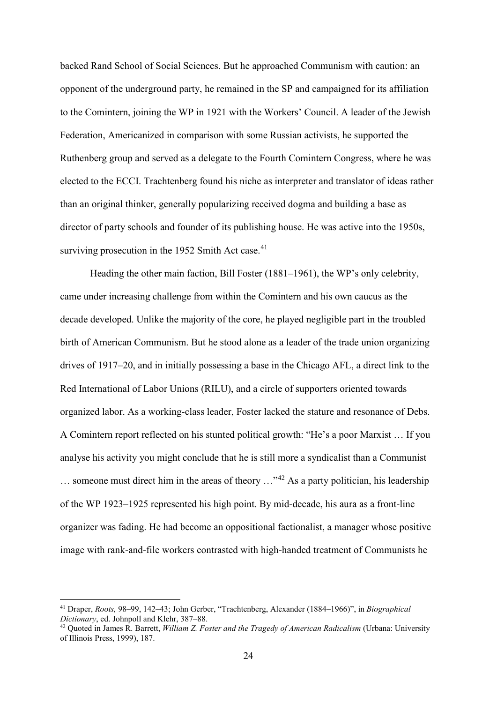backed Rand School of Social Sciences. But he approached Communism with caution: an opponent of the underground party, he remained in the SP and campaigned for its affiliation to the Comintern, joining the WP in 1921 with the Workers' Council. A leader of the Jewish Federation, Americanized in comparison with some Russian activists, he supported the Ruthenberg group and served as a delegate to the Fourth Comintern Congress, where he was elected to the ECCI. Trachtenberg found his niche as interpreter and translator of ideas rather than an original thinker, generally popularizing received dogma and building a base as director of party schools and founder of its publishing house. He was active into the 1950s, surviving prosecution in the 1952 Smith Act case. $41$ 

Heading the other main faction, Bill Foster (1881–1961), the WP's only celebrity, came under increasing challenge from within the Comintern and his own caucus as the decade developed. Unlike the majority of the core, he played negligible part in the troubled birth of American Communism. But he stood alone as a leader of the trade union organizing drives of 1917–20, and in initially possessing a base in the Chicago AFL, a direct link to the Red International of Labor Unions (RILU), and a circle of supporters oriented towards organized labor. As a working-class leader, Foster lacked the stature and resonance of Debs. A Comintern report reflected on his stunted political growth: "He's a poor Marxist … If you analyse his activity you might conclude that he is still more a syndicalist than a Communist  $\ldots$  someone must direct him in the areas of theory  $\ldots$ <sup>[42](#page-24-1)</sup> As a party politician, his leadership of the WP 1923–1925 represented his high point. By mid-decade, his aura as a front-line organizer was fading. He had become an oppositional factionalist, a manager whose positive image with rank-and-file workers contrasted with high-handed treatment of Communists he

<span id="page-24-0"></span> <sup>41</sup> Draper, *Roots,* 98–99, 142–43; John Gerber, "Trachtenberg, Alexander (1884–1966)", in *Biographical Dictionary*, ed. Johnpoll and Klehr, 387–88.

<span id="page-24-1"></span><sup>42</sup> Quoted in James R. Barrett, *William Z. Foster and the Tragedy of American Radicalism* (Urbana: University of Illinois Press, 1999), 187.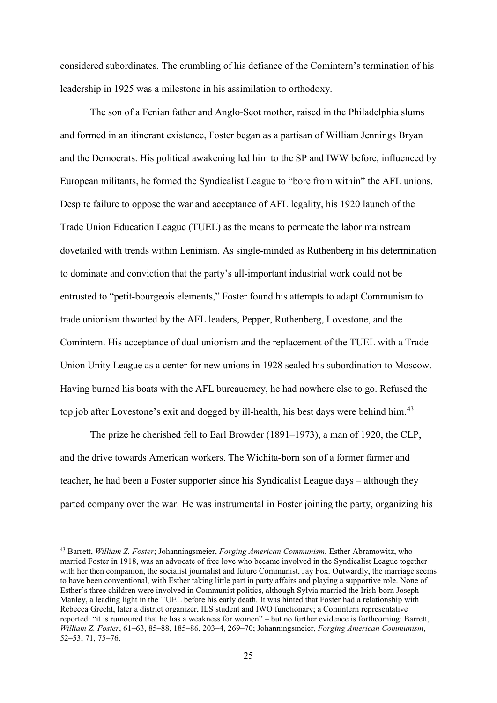considered subordinates. The crumbling of his defiance of the Comintern's termination of his leadership in 1925 was a milestone in his assimilation to orthodoxy.

The son of a Fenian father and Anglo-Scot mother, raised in the Philadelphia slums and formed in an itinerant existence, Foster began as a partisan of William Jennings Bryan and the Democrats. His political awakening led him to the SP and IWW before, influenced by European militants, he formed the Syndicalist League to "bore from within" the AFL unions. Despite failure to oppose the war and acceptance of AFL legality, his 1920 launch of the Trade Union Education League (TUEL) as the means to permeate the labor mainstream dovetailed with trends within Leninism. As single-minded as Ruthenberg in his determination to dominate and conviction that the party's all-important industrial work could not be entrusted to "petit-bourgeois elements," Foster found his attempts to adapt Communism to trade unionism thwarted by the AFL leaders, Pepper, Ruthenberg, Lovestone, and the Comintern. His acceptance of dual unionism and the replacement of the TUEL with a Trade Union Unity League as a center for new unions in 1928 sealed his subordination to Moscow. Having burned his boats with the AFL bureaucracy, he had nowhere else to go. Refused the top job after Lovestone's exit and dogged by ill-health, his best days were behind him.<sup>[43](#page-25-0)</sup>

The prize he cherished fell to Earl Browder (1891–1973), a man of 1920, the CLP, and the drive towards American workers. The Wichita-born son of a former farmer and teacher, he had been a Foster supporter since his Syndicalist League days – although they parted company over the war. He was instrumental in Foster joining the party, organizing his

<span id="page-25-0"></span> <sup>43</sup> Barrett, *William Z. Foster*; Johanningsmeier, *Forging American Communism.* Esther Abramowitz, who married Foster in 1918, was an advocate of free love who became involved in the Syndicalist League together with her then companion, the socialist journalist and future Communist, Jay Fox. Outwardly, the marriage seems to have been conventional, with Esther taking little part in party affairs and playing a supportive role. None of Esther's three children were involved in Communist politics, although Sylvia married the Irish-born Joseph Manley, a leading light in the TUEL before his early death. It was hinted that Foster had a relationship with Rebecca Grecht, later a district organizer, ILS student and IWO functionary; a Comintern representative reported: "it is rumoured that he has a weakness for women" – but no further evidence is forthcoming: Barrett, *William Z. Foster*, 61–63, 85–88, 185–86, 203–4, 269–70; Johanningsmeier, *Forging American Communism*, 52–53, 71, 75–76.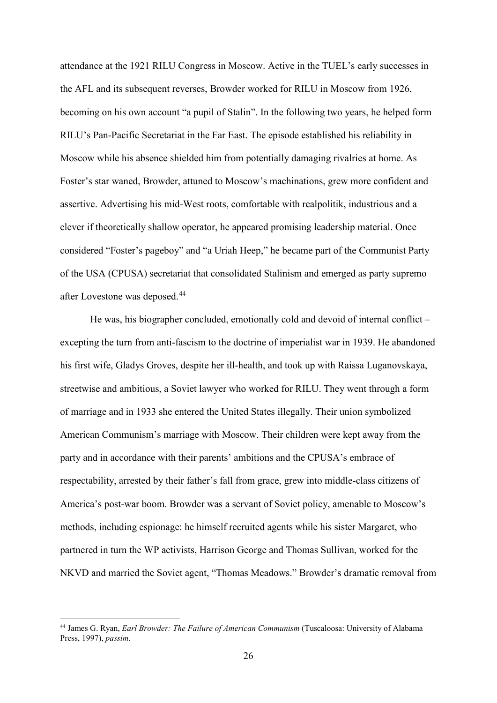attendance at the 1921 RILU Congress in Moscow. Active in the TUEL's early successes in the AFL and its subsequent reverses, Browder worked for RILU in Moscow from 1926, becoming on his own account "a pupil of Stalin". In the following two years, he helped form RILU's Pan-Pacific Secretariat in the Far East. The episode established his reliability in Moscow while his absence shielded him from potentially damaging rivalries at home. As Foster's star waned, Browder, attuned to Moscow's machinations, grew more confident and assertive. Advertising his mid-West roots, comfortable with realpolitik, industrious and a clever if theoretically shallow operator, he appeared promising leadership material. Once considered "Foster's pageboy" and "a Uriah Heep," he became part of the Communist Party of the USA (CPUSA) secretariat that consolidated Stalinism and emerged as party supremo after Lovestone was deposed.<sup>[44](#page-26-0)</sup>

He was, his biographer concluded, emotionally cold and devoid of internal conflict – excepting the turn from anti-fascism to the doctrine of imperialist war in 1939. He abandoned his first wife, Gladys Groves, despite her ill-health, and took up with Raissa Luganovskaya, streetwise and ambitious, a Soviet lawyer who worked for RILU. They went through a form of marriage and in 1933 she entered the United States illegally. Their union symbolized American Communism's marriage with Moscow. Their children were kept away from the party and in accordance with their parents' ambitions and the CPUSA's embrace of respectability, arrested by their father's fall from grace, grew into middle-class citizens of America's post-war boom. Browder was a servant of Soviet policy, amenable to Moscow's methods, including espionage: he himself recruited agents while his sister Margaret, who partnered in turn the WP activists, Harrison George and Thomas Sullivan, worked for the NKVD and married the Soviet agent, "Thomas Meadows." Browder's dramatic removal from

<span id="page-26-0"></span> <sup>44</sup> James G. Ryan, *Earl Browder: The Failure of American Communism* (Tuscaloosa: University of Alabama Press, 1997), *passim*.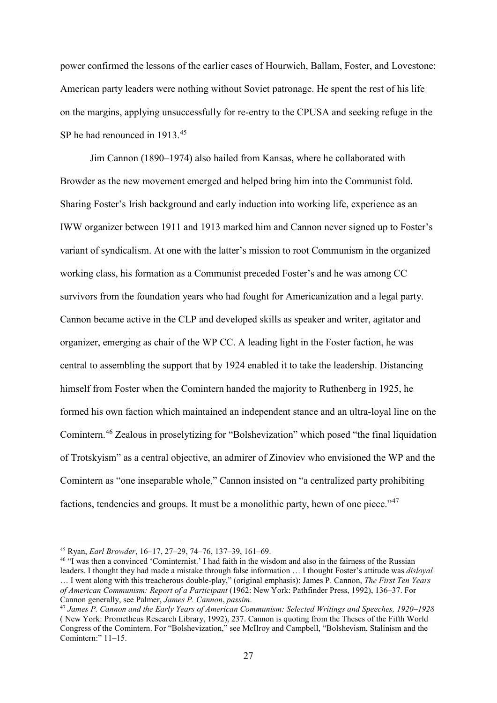power confirmed the lessons of the earlier cases of Hourwich, Ballam, Foster, and Lovestone: American party leaders were nothing without Soviet patronage. He spent the rest of his life on the margins, applying unsuccessfully for re-entry to the CPUSA and seeking refuge in the SP he had renounced in 1913.<sup>[45](#page-27-0)</sup>

Jim Cannon (1890–1974) also hailed from Kansas, where he collaborated with Browder as the new movement emerged and helped bring him into the Communist fold. Sharing Foster's Irish background and early induction into working life, experience as an IWW organizer between 1911 and 1913 marked him and Cannon never signed up to Foster's variant of syndicalism. At one with the latter's mission to root Communism in the organized working class, his formation as a Communist preceded Foster's and he was among CC survivors from the foundation years who had fought for Americanization and a legal party. Cannon became active in the CLP and developed skills as speaker and writer, agitator and organizer, emerging as chair of the WP CC. A leading light in the Foster faction, he was central to assembling the support that by 1924 enabled it to take the leadership. Distancing himself from Foster when the Comintern handed the majority to Ruthenberg in 1925, he formed his own faction which maintained an independent stance and an ultra-loyal line on the Comintern.[46](#page-27-1) Zealous in proselytizing for "Bolshevization" which posed "the final liquidation of Trotskyism" as a central objective, an admirer of Zinoviev who envisioned the WP and the Comintern as "one inseparable whole," Cannon insisted on "a centralized party prohibiting factions, tendencies and groups. It must be a monolithic party, hewn of one piece."<sup>[47](#page-27-2)</sup>

<span id="page-27-0"></span> <sup>45</sup> Ryan, *Earl Browder*, 16–17, 27–29, 74–76, 137–39, 161–69.

<span id="page-27-1"></span><sup>46</sup> "I was then a convinced 'Cominternist.' I had faith in the wisdom and also in the fairness of the Russian leaders. I thought they had made a mistake through false information … I thought Foster's attitude was *disloyal* … I went along with this treacherous double-play," (original emphasis): James P. Cannon, *The First Ten Years of American Communism: Report of a Participant* (1962: New York: Pathfinder Press, 1992), 136–37. For Cannon generally, see Palmer, *James P. Cannon*, *passim*.

<span id="page-27-2"></span><sup>47</sup> *James P. Cannon and the Early Years of American Communism: Selected Writings and Speeches, 1920–1928* ( New York: Prometheus Research Library, 1992), 237. Cannon is quoting from the Theses of the Fifth World Congress of the Comintern. For "Bolshevization," see McIlroy and Campbell, "Bolshevism, Stalinism and the Comintern:" 11–15.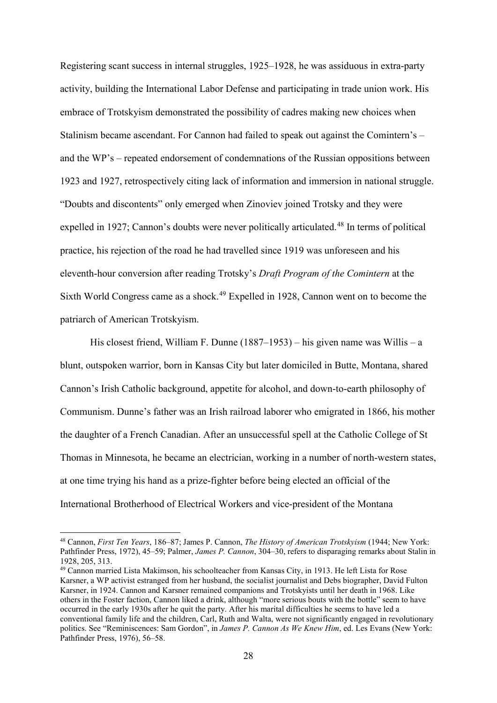Registering scant success in internal struggles, 1925–1928, he was assiduous in extra-party activity, building the International Labor Defense and participating in trade union work. His embrace of Trotskyism demonstrated the possibility of cadres making new choices when Stalinism became ascendant. For Cannon had failed to speak out against the Comintern's – and the WP's – repeated endorsement of condemnations of the Russian oppositions between 1923 and 1927, retrospectively citing lack of information and immersion in national struggle. "Doubts and discontents" only emerged when Zinoviev joined Trotsky and they were expelled in 1927; Cannon's doubts were never politically articulated.<sup>[48](#page-28-0)</sup> In terms of political practice, his rejection of the road he had travelled since 1919 was unforeseen and his eleventh-hour conversion after reading Trotsky's *Draft Program of the Comintern* at the Sixth World Congress came as a shock.<sup>[49](#page-28-1)</sup> Expelled in 1928, Cannon went on to become the patriarch of American Trotskyism.

His closest friend, William F. Dunne  $(1887-1953)$  – his given name was Willis – a blunt, outspoken warrior, born in Kansas City but later domiciled in Butte, Montana, shared Cannon's Irish Catholic background, appetite for alcohol, and down-to-earth philosophy of Communism. Dunne's father was an Irish railroad laborer who emigrated in 1866, his mother the daughter of a French Canadian. After an unsuccessful spell at the Catholic College of St Thomas in Minnesota, he became an electrician, working in a number of north-western states, at one time trying his hand as a prize-fighter before being elected an official of the International Brotherhood of Electrical Workers and vice-president of the Montana

<span id="page-28-0"></span> <sup>48</sup> Cannon, *First Ten Years*, 186–87; James P. Cannon, *The History of American Trotskyism* (1944; New York: Pathfinder Press, 1972), 45–59; Palmer, *James P. Cannon*, 304–30, refers to disparaging remarks about Stalin in 1928, 205, 313.

<span id="page-28-1"></span><sup>49</sup> Cannon married Lista Makimson, his schoolteacher from Kansas City, in 1913. He left Lista for Rose Karsner, a WP activist estranged from her husband, the socialist journalist and Debs biographer, David Fulton Karsner, in 1924. Cannon and Karsner remained companions and Trotskyists until her death in 1968. Like others in the Foster faction, Cannon liked a drink, although "more serious bouts with the bottle" seem to have occurred in the early 1930s after he quit the party. After his marital difficulties he seems to have led a conventional family life and the children, Carl, Ruth and Walta, were not significantly engaged in revolutionary politics. See "Reminiscences: Sam Gordon", in *James P. Cannon As We Knew Him*, ed. Les Evans (New York: Pathfinder Press, 1976), 56–58.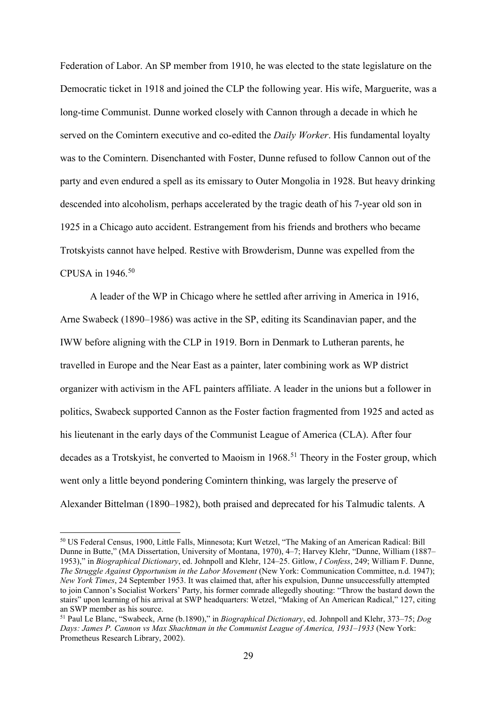Federation of Labor. An SP member from 1910, he was elected to the state legislature on the Democratic ticket in 1918 and joined the CLP the following year. His wife, Marguerite, was a long-time Communist. Dunne worked closely with Cannon through a decade in which he served on the Comintern executive and co-edited the *Daily Worker*. His fundamental loyalty was to the Comintern. Disenchanted with Foster, Dunne refused to follow Cannon out of the party and even endured a spell as its emissary to Outer Mongolia in 1928. But heavy drinking descended into alcoholism, perhaps accelerated by the tragic death of his 7-year old son in 1925 in a Chicago auto accident. Estrangement from his friends and brothers who became Trotskyists cannot have helped. Restive with Browderism, Dunne was expelled from the CPUSA in 1946.[50](#page-29-0)

A leader of the WP in Chicago where he settled after arriving in America in 1916, Arne Swabeck (1890–1986) was active in the SP, editing its Scandinavian paper, and the IWW before aligning with the CLP in 1919. Born in Denmark to Lutheran parents, he travelled in Europe and the Near East as a painter, later combining work as WP district organizer with activism in the AFL painters affiliate. A leader in the unions but a follower in politics, Swabeck supported Cannon as the Foster faction fragmented from 1925 and acted as his lieutenant in the early days of the Communist League of America (CLA). After four decades as a Trotskyist, he converted to Maoism in 1968. [51](#page-29-1) Theory in the Foster group, which went only a little beyond pondering Comintern thinking, was largely the preserve of Alexander Bittelman (1890–1982), both praised and deprecated for his Talmudic talents. A

<span id="page-29-0"></span> <sup>50</sup> US Federal Census, 1900, Little Falls, Minnesota; Kurt Wetzel, "The Making of an American Radical: Bill Dunne in Butte," (MA Dissertation, University of Montana, 1970), 4–7; Harvey Klehr, "Dunne, William (1887– 1953)," in *Biographical Dictionary*, ed. Johnpoll and Klehr, 124–25. Gitlow, *I Confess*, 249; William F. Dunne, *The Struggle Against Opportunism in the Labor Movement* (New York: Communication Committee, n.d. 1947); *New York Times*, 24 September 1953. It was claimed that, after his expulsion, Dunne unsuccessfully attempted to join Cannon's Socialist Workers' Party, his former comrade allegedly shouting: "Throw the bastard down the stairs" upon learning of his arrival at SWP headquarters: Wetzel, "Making of An American Radical," 127, citing an SWP member as his source.

<span id="page-29-1"></span><sup>51</sup> Paul Le Blanc, "Swabeck, Arne (b.1890)," in *Biographical Dictionary*, ed. Johnpoll and Klehr, 373–75; *Dog Days: James P. Cannon vs Max Shachtman in the Communist League of America, 1931–1933* (New York: Prometheus Research Library, 2002).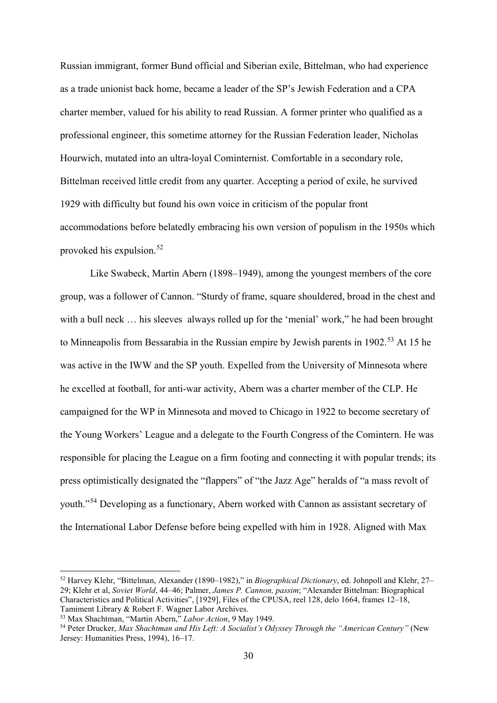Russian immigrant, former Bund official and Siberian exile, Bittelman, who had experience as a trade unionist back home, became a leader of the SP's Jewish Federation and a CPA charter member, valued for his ability to read Russian. A former printer who qualified as a professional engineer, this sometime attorney for the Russian Federation leader, Nicholas Hourwich, mutated into an ultra-loyal Cominternist. Comfortable in a secondary role, Bittelman received little credit from any quarter. Accepting a period of exile, he survived 1929 with difficulty but found his own voice in criticism of the popular front accommodations before belatedly embracing his own version of populism in the 1950s which provoked his expulsion.[52](#page-30-0)

Like Swabeck, Martin Abern (1898–1949), among the youngest members of the core group, was a follower of Cannon. "Sturdy of frame, square shouldered, broad in the chest and with a bull neck ... his sleeves always rolled up for the 'menial' work," he had been brought to Minneapolis from Bessarabia in the Russian empire by Jewish parents in 1902.<sup>[53](#page-30-1)</sup> At 15 he was active in the IWW and the SP youth. Expelled from the University of Minnesota where he excelled at football, for anti-war activity, Abern was a charter member of the CLP. He campaigned for the WP in Minnesota and moved to Chicago in 1922 to become secretary of the Young Workers' League and a delegate to the Fourth Congress of the Comintern. He was responsible for placing the League on a firm footing and connecting it with popular trends; its press optimistically designated the "flappers" of "the Jazz Age" heralds of "a mass revolt of youth."[54](#page-30-2) Developing as a functionary, Abern worked with Cannon as assistant secretary of the International Labor Defense before being expelled with him in 1928. Aligned with Max

<span id="page-30-0"></span> <sup>52</sup> Harvey Klehr, "Bittelman, Alexander (1890–1982)," in *Biographical Dictionary*, ed. Johnpoll and Klehr, 27– 29; Klehr et al, *Soviet World*, 44–46; Palmer, *James P. Cannon, passim*; "Alexander Bittelman: Biographical Characteristics and Political Activities", [1929], Files of the CPUSA, reel 128, delo 1664, frames 12–18, Tamiment Library & Robert F. Wagner Labor Archives.

<span id="page-30-1"></span><sup>53</sup> Max Shachtman, "Martin Abern," *Labor Action*, 9 May 1949.

<span id="page-30-2"></span><sup>54</sup> Peter Drucker, *Max Shachtman and His Left: A Socialist's Odyssey Through the "American Century"* (New Jersey: Humanities Press, 1994), 16–17.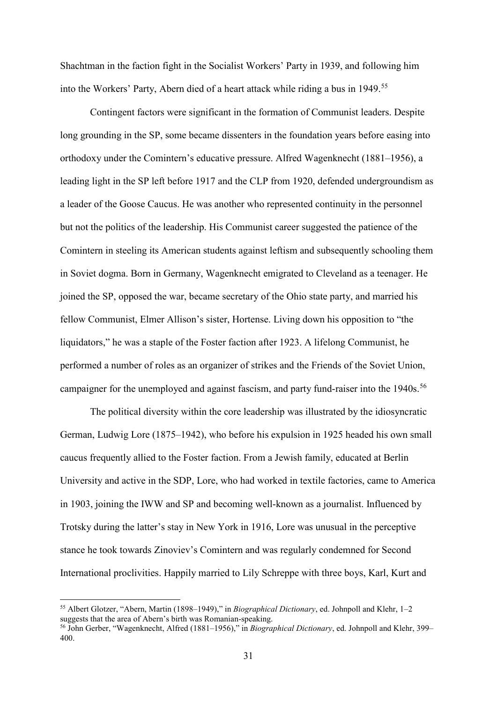Shachtman in the faction fight in the Socialist Workers' Party in 1939, and following him into the Workers' Party, Abern died of a heart attack while riding a bus in 1949.[55](#page-31-0)

Contingent factors were significant in the formation of Communist leaders. Despite long grounding in the SP, some became dissenters in the foundation years before easing into orthodoxy under the Comintern's educative pressure. Alfred Wagenknecht (1881–1956), a leading light in the SP left before 1917 and the CLP from 1920, defended undergroundism as a leader of the Goose Caucus. He was another who represented continuity in the personnel but not the politics of the leadership. His Communist career suggested the patience of the Comintern in steeling its American students against leftism and subsequently schooling them in Soviet dogma. Born in Germany, Wagenknecht emigrated to Cleveland as a teenager. He joined the SP, opposed the war, became secretary of the Ohio state party, and married his fellow Communist, Elmer Allison's sister, Hortense. Living down his opposition to "the liquidators," he was a staple of the Foster faction after 1923. A lifelong Communist, he performed a number of roles as an organizer of strikes and the Friends of the Soviet Union, campaigner for the unemployed and against fascism, and party fund-raiser into the 1940s.<sup>[56](#page-31-1)</sup>

The political diversity within the core leadership was illustrated by the idiosyncratic German, Ludwig Lore (1875–1942), who before his expulsion in 1925 headed his own small caucus frequently allied to the Foster faction. From a Jewish family, educated at Berlin University and active in the SDP, Lore, who had worked in textile factories, came to America in 1903, joining the IWW and SP and becoming well-known as a journalist. Influenced by Trotsky during the latter's stay in New York in 1916, Lore was unusual in the perceptive stance he took towards Zinoviev's Comintern and was regularly condemned for Second International proclivities. Happily married to Lily Schreppe with three boys, Karl, Kurt and

<span id="page-31-0"></span> <sup>55</sup> Albert Glotzer, "Abern, Martin (1898–1949)," in *Biographical Dictionary*, ed. Johnpoll and Klehr, 1–2 suggests that the area of Abern's birth was Romanian-speaking.

<span id="page-31-1"></span><sup>56</sup> John Gerber, "Wagenknecht, Alfred (1881–1956)," in *Biographical Dictionary*, ed. Johnpoll and Klehr, 399– 400.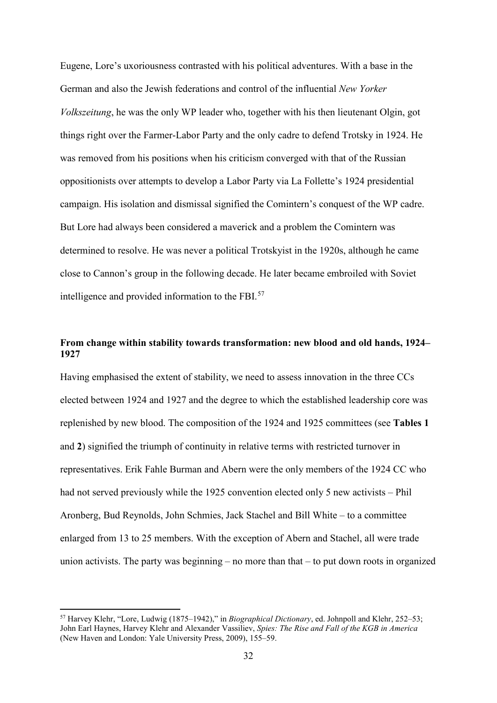Eugene, Lore's uxoriousness contrasted with his political adventures. With a base in the German and also the Jewish federations and control of the influential *New Yorker Volkszeitung*, he was the only WP leader who, together with his then lieutenant Olgin, got things right over the Farmer-Labor Party and the only cadre to defend Trotsky in 1924. He was removed from his positions when his criticism converged with that of the Russian oppositionists over attempts to develop a Labor Party via La Follette's 1924 presidential campaign. His isolation and dismissal signified the Comintern's conquest of the WP cadre. But Lore had always been considered a maverick and a problem the Comintern was determined to resolve. He was never a political Trotskyist in the 1920s, although he came close to Cannon's group in the following decade. He later became embroiled with Soviet intelligence and provided information to the FBI. [57](#page-32-0) 

# **From change within stability towards transformation: new blood and old hands, 1924– 1927**

Having emphasised the extent of stability, we need to assess innovation in the three CCs elected between 1924 and 1927 and the degree to which the established leadership core was replenished by new blood. The composition of the 1924 and 1925 committees (see **Tables 1**  and **2**) signified the triumph of continuity in relative terms with restricted turnover in representatives. Erik Fahle Burman and Abern were the only members of the 1924 CC who had not served previously while the 1925 convention elected only 5 new activists – Phil Aronberg, Bud Reynolds, John Schmies, Jack Stachel and Bill White – to a committee enlarged from 13 to 25 members. With the exception of Abern and Stachel, all were trade union activists. The party was beginning – no more than that – to put down roots in organized

<span id="page-32-0"></span> <sup>57</sup> Harvey Klehr, "Lore, Ludwig (1875–1942)," in *Biographical Dictionary*, ed. Johnpoll and Klehr, 252–53; John Earl Haynes, Harvey Klehr and Alexander Vassiliev, *Spies: The Rise and Fall of the KGB in America* (New Haven and London: Yale University Press, 2009), 155–59.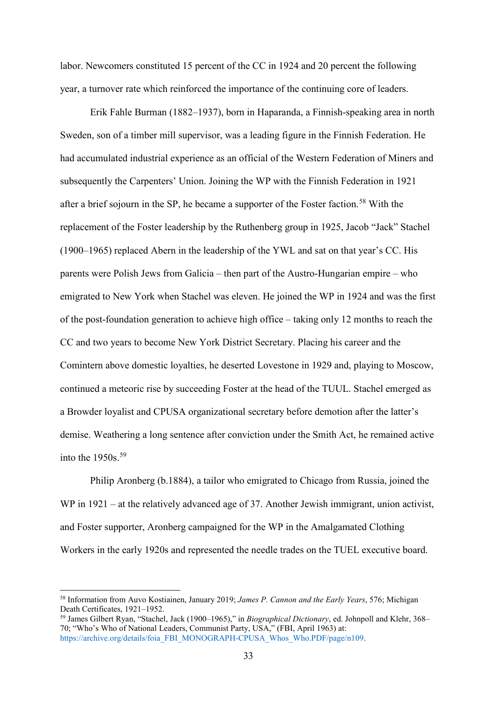labor. Newcomers constituted 15 percent of the CC in 1924 and 20 percent the following year, a turnover rate which reinforced the importance of the continuing core of leaders.

Erik Fahle Burman (1882–1937), born in Haparanda, a Finnish-speaking area in north Sweden, son of a timber mill supervisor, was a leading figure in the Finnish Federation. He had accumulated industrial experience as an official of the Western Federation of Miners and subsequently the Carpenters' Union. Joining the WP with the Finnish Federation in 1921 after a brief sojourn in the SP, he became a supporter of the Foster faction.<sup>[58](#page-33-0)</sup> With the replacement of the Foster leadership by the Ruthenberg group in 1925, Jacob "Jack" Stachel (1900–1965) replaced Abern in the leadership of the YWL and sat on that year's CC. His parents were Polish Jews from Galicia – then part of the Austro-Hungarian empire – who emigrated to New York when Stachel was eleven. He joined the WP in 1924 and was the first of the post-foundation generation to achieve high office – taking only 12 months to reach the CC and two years to become New York District Secretary. Placing his career and the Comintern above domestic loyalties, he deserted Lovestone in 1929 and, playing to Moscow, continued a meteoric rise by succeeding Foster at the head of the TUUL. Stachel emerged as a Browder loyalist and CPUSA organizational secretary before demotion after the latter's demise. Weathering a long sentence after conviction under the Smith Act, he remained active into the  $1950s.<sup>59</sup>$  $1950s.<sup>59</sup>$  $1950s.<sup>59</sup>$ 

Philip Aronberg (b.1884), a tailor who emigrated to Chicago from Russia, joined the WP in 1921 – at the relatively advanced age of 37. Another Jewish immigrant, union activist, and Foster supporter, Aronberg campaigned for the WP in the Amalgamated Clothing Workers in the early 1920s and represented the needle trades on the TUEL executive board.

<span id="page-33-0"></span> <sup>58</sup> Information from Auvo Kostiainen, January 2019; *James P. Cannon and the Early Years*, 576; Michigan Death Certificates, 1921–1952.

<span id="page-33-1"></span><sup>59</sup> James Gilbert Ryan, "Stachel, Jack (1900–1965)," in *Biographical Dictionary*, ed. Johnpoll and Klehr, 368– 70; "Who's Who of National Leaders, Communist Party, USA," (FBI, April 1963) at: [https://archive.org/details/foia\\_FBI\\_MONOGRAPH-CPUSA\\_Whos\\_Who.PDF/page/n109.](https://archive.org/details/foia_FBI_MONOGRAPH-CPUSA_Whos_Who.PDF/page/n109)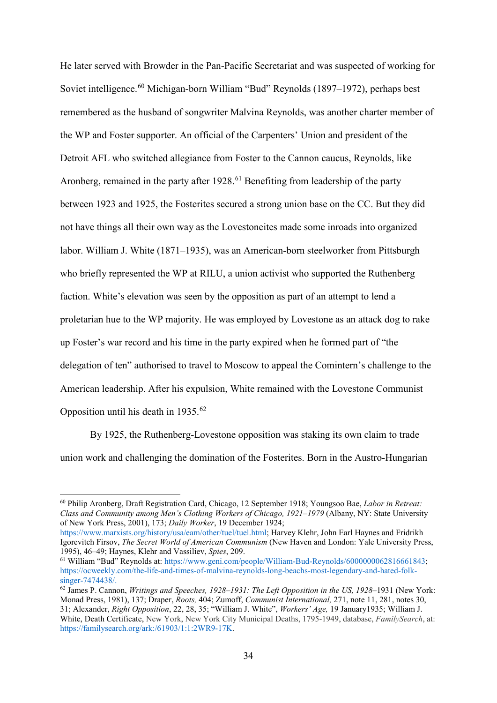He later served with Browder in the Pan-Pacific Secretariat and was suspected of working for Soviet intelligence.<sup>[60](#page-34-0)</sup> Michigan-born William "Bud" Reynolds (1897–1972), perhaps best remembered as the husband of songwriter Malvina Reynolds, was another charter member of the WP and Foster supporter. An official of the Carpenters' Union and president of the Detroit AFL who switched allegiance from Foster to the Cannon caucus, Reynolds, like Aronberg, remained in the party after  $1928<sup>61</sup>$  $1928<sup>61</sup>$  $1928<sup>61</sup>$  Benefiting from leadership of the party between 1923 and 1925, the Fosterites secured a strong union base on the CC. But they did not have things all their own way as the Lovestoneites made some inroads into organized labor. William J. White (1871–1935), was an American-born steelworker from Pittsburgh who briefly represented the WP at RILU, a union activist who supported the Ruthenberg faction. White's elevation was seen by the opposition as part of an attempt to lend a proletarian hue to the WP majority. He was employed by Lovestone as an attack dog to rake up Foster's war record and his time in the party expired when he formed part of "the delegation of ten" authorised to travel to Moscow to appeal the Comintern's challenge to the American leadership. After his expulsion, White remained with the Lovestone Communist Opposition until his death in  $1935.^{62}$  $1935.^{62}$  $1935.^{62}$ 

By 1925, the Ruthenberg-Lovestone opposition was staking its own claim to trade union work and challenging the domination of the Fosterites. Born in the Austro-Hungarian

<span id="page-34-0"></span> <sup>60</sup> Philip Aronberg, Draft Registration Card, Chicago, 12 September 1918; Youngsoo Bae, *Labor in Retreat: Class and Community among Men's Clothing Workers of Chicago, 1921–1979* (Albany, NY: State University of New York Press, 2001), 173; *Daily Worker*, 19 December 1924;

[https://www.marxists.org/history/usa/eam/other/tuel/tuel.html;](https://www.marxists.org/history/usa/eam/other/tuel/tuel.html) Harvey Klehr, John Earl Haynes and Fridrikh Igorevitch Firsov, *The Secret World of American Communism* (New Haven and London: Yale University Press, 1995), 46–49; Haynes, Klehr and Vassiliev, *Spies*, 209.

<span id="page-34-1"></span><sup>61</sup> William "Bud" Reynolds at: [https://www.geni.com/people/William-Bud-Reynolds/6000000062816661843;](https://www.geni.com/people/William-Bud-Reynolds/6000000062816661843) [https://ocweekly.com/the-life-and-times-of-malvina-reynolds-long-beachs-most-legendary-and-hated-folk](https://ocweekly.com/the-life-and-times-of-malvina-reynolds-long-beachs-most-legendary-and-hated-folk-singer-7474438/)[singer-7474438/.](https://ocweekly.com/the-life-and-times-of-malvina-reynolds-long-beachs-most-legendary-and-hated-folk-singer-7474438/)

<span id="page-34-2"></span><sup>62</sup> James P. Cannon, *Writings and Speeches, 1928–1931: The Left Opposition in the US, 1928–*1931 (New York: Monad Press, 1981), 137; Draper, *Roots,* 404; Zumoff, *Communist International,* 271, note 11, 281, notes 30, 31; Alexander, *Right Opposition*, 22, 28, 35; "William J. White", *Workers' Age,* 19 January1935; William J. White, Death Certificate, New York, New York City Municipal Deaths, 1795-1949, database, *FamilySearch*, at: [https://familysearch.org/ark:/61903/1:1:2WR9-17K.](https://familysearch.org/ark:/61903/1:1:2WR9-17K)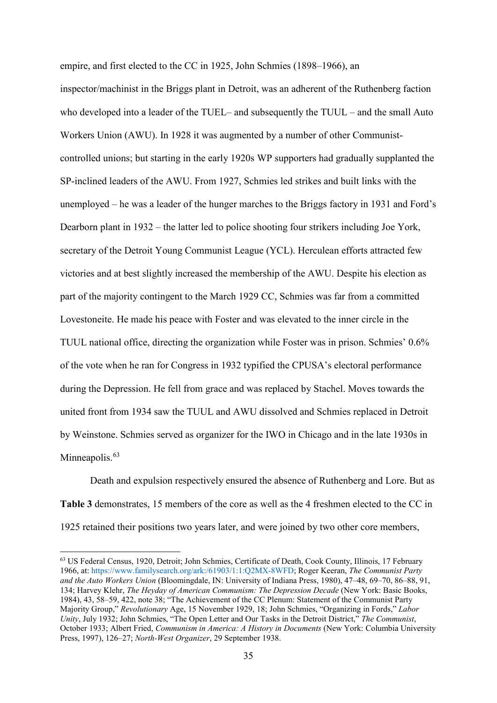empire, and first elected to the CC in 1925, John Schmies (1898–1966), an

inspector/machinist in the Briggs plant in Detroit, was an adherent of the Ruthenberg faction who developed into a leader of the TUEL– and subsequently the TUUL – and the small Auto Workers Union (AWU). In 1928 it was augmented by a number of other Communistcontrolled unions; but starting in the early 1920s WP supporters had gradually supplanted the SP-inclined leaders of the AWU. From 1927, Schmies led strikes and built links with the unemployed – he was a leader of the hunger marches to the Briggs factory in 1931 and Ford's Dearborn plant in 1932 – the latter led to police shooting four strikers including Joe York, secretary of the Detroit Young Communist League (YCL). Herculean efforts attracted few victories and at best slightly increased the membership of the AWU. Despite his election as part of the majority contingent to the March 1929 CC, Schmies was far from a committed Lovestoneite. He made his peace with Foster and was elevated to the inner circle in the TUUL national office, directing the organization while Foster was in prison. Schmies' 0.6% of the vote when he ran for Congress in 1932 typified the CPUSA's electoral performance during the Depression. He fell from grace and was replaced by Stachel. Moves towards the united front from 1934 saw the TUUL and AWU dissolved and Schmies replaced in Detroit by Weinstone. Schmies served as organizer for the IWO in Chicago and in the late 1930s in Minneapolis.<sup>[63](#page-35-0)</sup>

Death and expulsion respectively ensured the absence of Ruthenberg and Lore. But as **Table 3** demonstrates, 15 members of the core as well as the 4 freshmen elected to the CC in 1925 retained their positions two years later, and were joined by two other core members,

<span id="page-35-0"></span> <sup>63</sup> US Federal Census, 1920, Detroit; John Schmies, Certificate of Death, Cook County, Illinois, 17 February 1966, at[: https://www.familysearch.org/ark:/61903/1:1:Q2MX-8WFD;](https://www.familysearch.org/ark:/61903/1:1:Q2MX-8WFD) Roger Keeran, *The Communist Party and the Auto Workers Union* (Bloomingdale, IN: University of Indiana Press, 1980), 47–48, 69–70, 86–88, 91, 134; Harvey Klehr, *The Heyday of American Communism: The Depression Decade* (New York: Basic Books, 1984), 43, 58–59, 422, note 38; "The Achievement of the CC Plenum: Statement of the Communist Party Majority Group," *Revolutionary* Age, 15 November 1929, 18; John Schmies, "Organizing in Fords," *Labor Unity*, July 1932; John Schmies, "The Open Letter and Our Tasks in the Detroit District," *The Communist*, October 1933; Albert Fried, *Communism in America: A History in Documents* (New York: Columbia University Press, 1997), 126–27; *North-West Organizer*, 29 September 1938.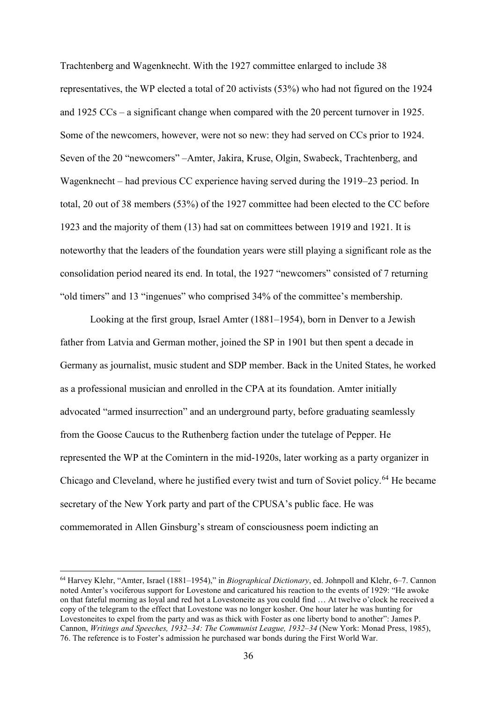Trachtenberg and Wagenknecht. With the 1927 committee enlarged to include 38 representatives, the WP elected a total of 20 activists (53%) who had not figured on the 1924 and 1925 CCs – a significant change when compared with the 20 percent turnover in 1925. Some of the newcomers, however, were not so new: they had served on CCs prior to 1924. Seven of the 20 "newcomers" –Amter, Jakira, Kruse, Olgin, Swabeck, Trachtenberg, and Wagenknecht – had previous CC experience having served during the 1919–23 period. In total, 20 out of 38 members (53%) of the 1927 committee had been elected to the CC before 1923 and the majority of them (13) had sat on committees between 1919 and 1921. It is noteworthy that the leaders of the foundation years were still playing a significant role as the consolidation period neared its end. In total, the 1927 "newcomers" consisted of 7 returning "old timers" and 13 "ingenues" who comprised 34% of the committee's membership.

Looking at the first group, Israel Amter (1881–1954), born in Denver to a Jewish father from Latvia and German mother, joined the SP in 1901 but then spent a decade in Germany as journalist, music student and SDP member. Back in the United States, he worked as a professional musician and enrolled in the CPA at its foundation. Amter initially advocated "armed insurrection" and an underground party, before graduating seamlessly from the Goose Caucus to the Ruthenberg faction under the tutelage of Pepper. He represented the WP at the Comintern in the mid-1920s, later working as a party organizer in Chicago and Cleveland, where he justified every twist and turn of Soviet policy.<sup>[64](#page-36-0)</sup> He became secretary of the New York party and part of the CPUSA's public face. He was commemorated in Allen Ginsburg's stream of consciousness poem indicting an

<span id="page-36-0"></span> <sup>64</sup> Harvey Klehr, "Amter, Israel (1881–1954)," in *Biographical Dictionary*, ed. Johnpoll and Klehr, 6–7. Cannon noted Amter's vociferous support for Lovestone and caricatured his reaction to the events of 1929: "He awoke on that fateful morning as loyal and red hot a Lovestoneite as you could find … At twelve o'clock he received a copy of the telegram to the effect that Lovestone was no longer kosher. One hour later he was hunting for Lovestoneites to expel from the party and was as thick with Foster as one liberty bond to another": James P. Cannon, *Writings and Speeches, 1932–34: The Communist League, 1932–34* (New York: Monad Press, 1985), 76. The reference is to Foster's admission he purchased war bonds during the First World War.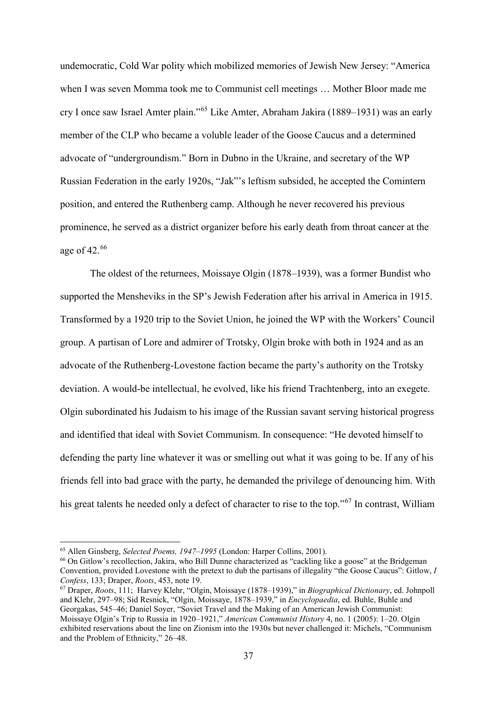undemocratic, Cold War polity which mobilized memories of Jewish New Jersey: "America when I was seven Momma took me to Communist cell meetings … Mother Bloor made me cry I once saw Israel Amter plain."[65](#page-37-0) Like Amter, Abraham Jakira (1889–1931) was an early member of the CLP who became a voluble leader of the Goose Caucus and a determined advocate of "undergroundism." Born in Dubno in the Ukraine, and secretary of the WP Russian Federation in the early 1920s, "Jak"'s leftism subsided, he accepted the Comintern position, and entered the Ruthenberg camp. Although he never recovered his previous prominence, he served as a district organizer before his early death from throat cancer at the age of 42. [66](#page-37-1)

The oldest of the returnees, Moissaye Olgin (1878–1939), was a former Bundist who supported the Mensheviks in the SP's Jewish Federation after his arrival in America in 1915. Transformed by a 1920 trip to the Soviet Union, he joined the WP with the Workers' Council group. A partisan of Lore and admirer of Trotsky, Olgin broke with both in 1924 and as an advocate of the Ruthenberg-Lovestone faction became the party's authority on the Trotsky deviation. A would-be intellectual, he evolved, like his friend Trachtenberg, into an exegete. Olgin subordinated his Judaism to his image of the Russian savant serving historical progress and identified that ideal with Soviet Communism. In consequence: "He devoted himself to defending the party line whatever it was or smelling out what it was going to be. If any of his friends fell into bad grace with the party, he demanded the privilege of denouncing him. With his great talents he needed only a defect of character to rise to the top."<sup>[67](#page-37-2)</sup> In contrast, William

<span id="page-37-0"></span> <sup>65</sup> Allen Ginsberg, *Selected Poems, 1947–1995* (London: Harper Collins, 2001).

<span id="page-37-1"></span><sup>&</sup>lt;sup>66</sup> On Gitlow's recollection, Jakira, who Bill Dunne characterized as "cackling like a goose" at the Bridgeman Convention, provided Lovestone with the pretext to dub the partisans of illegality "the Goose Caucus": Gitlow, *I Confess*, 133; Draper, *Roots*, 453, note 19.

<span id="page-37-2"></span><sup>67</sup> Draper, *Roots*, 111; Harvey Klehr, "Olgin, Moissaye (1878–1939)," in *Biographical Dictionary*, ed. Johnpoll and Klehr, 297–98; Sid Resnick, "Olgin, Moissaye, 1878–1939," in *Encyclopaedia*, ed. Buhle, Buhle and Georgakas, 545–46; Daniel Soyer, "Soviet Travel and the Making of an American Jewish Communist: Moissaye Olgin's Trip to Russia in 1920–1921," *American Communist History* 4, no. 1 (2005): 1–20. Olgin exhibited reservations about the line on Zionism into the 1930s but never challenged it: Michels, "Communism and the Problem of Ethnicity," 26–48.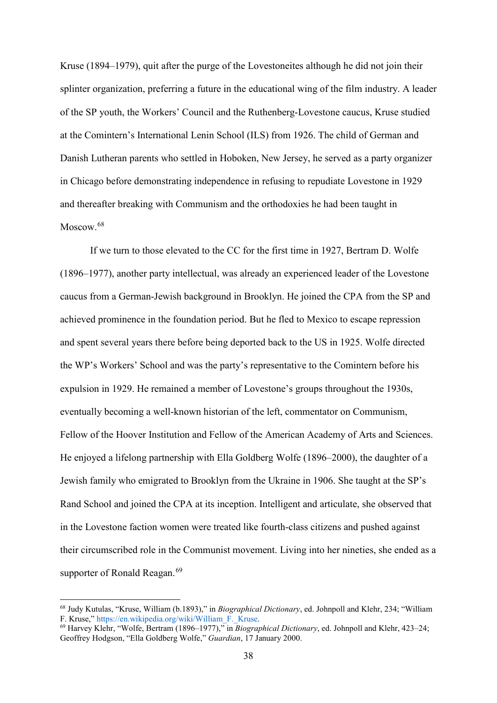Kruse (1894–1979), quit after the purge of the Lovestoneites although he did not join their splinter organization, preferring a future in the educational wing of the film industry. A leader of the SP youth, the Workers' Council and the Ruthenberg-Lovestone caucus, Kruse studied at the Comintern's International Lenin School (ILS) from 1926. The child of German and Danish Lutheran parents who settled in Hoboken, New Jersey, he served as a party organizer in Chicago before demonstrating independence in refusing to repudiate Lovestone in 1929 and thereafter breaking with Communism and the orthodoxies he had been taught in Moscow.<sup>[68](#page-38-0)</sup>

If we turn to those elevated to the CC for the first time in 1927, Bertram D. Wolfe (1896–1977), another party intellectual, was already an experienced leader of the Lovestone caucus from a German-Jewish background in Brooklyn. He joined the CPA from the SP and achieved prominence in the foundation period. But he fled to Mexico to escape repression and spent several years there before being deported back to the US in 1925. Wolfe directed the WP's Workers' School and was the party's representative to the Comintern before his expulsion in 1929. He remained a member of Lovestone's groups throughout the 1930s, eventually becoming a well-known historian of the left, commentator on Communism, Fellow of the Hoover Institution and Fellow of the American Academy of Arts and Sciences. He enjoyed a lifelong partnership with Ella Goldberg Wolfe (1896–2000), the daughter of a Jewish family who emigrated to Brooklyn from the Ukraine in 1906. She taught at the SP's Rand School and joined the CPA at its inception. Intelligent and articulate, she observed that in the Lovestone faction women were treated like fourth-class citizens and pushed against their circumscribed role in the Communist movement. Living into her nineties, she ended as a supporter of Ronald Reagan.<sup>[69](#page-38-1)</sup>

<span id="page-38-0"></span> <sup>68</sup> Judy Kutulas, "Kruse, William (b.1893)," in *Biographical Dictionary*, ed. Johnpoll and Klehr, 234; "William F. Kruse," [https://en.wikipedia.org/wiki/William\\_F.\\_Kruse.](https://en.wikipedia.org/wiki/William_F._Kruse)

<span id="page-38-1"></span><sup>69</sup> Harvey Klehr, "Wolfe, Bertram (1896–1977)," in *Biographical Dictionary*, ed. Johnpoll and Klehr, 423–24; Geoffrey Hodgson, "Ella Goldberg Wolfe," *Guardian*, 17 January 2000.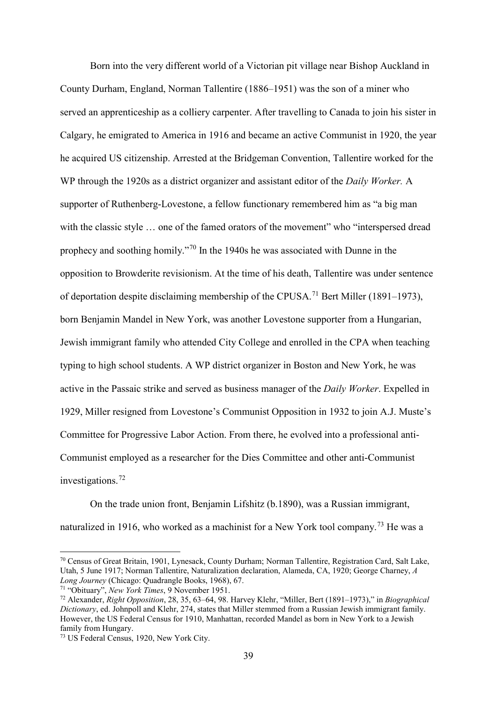Born into the very different world of a Victorian pit village near Bishop Auckland in County Durham, England, Norman Tallentire (1886–1951) was the son of a miner who served an apprenticeship as a colliery carpenter. After travelling to Canada to join his sister in Calgary, he emigrated to America in 1916 and became an active Communist in 1920, the year he acquired US citizenship. Arrested at the Bridgeman Convention, Tallentire worked for the WP through the 1920s as a district organizer and assistant editor of the *Daily Worker.* A supporter of Ruthenberg-Lovestone, a fellow functionary remembered him as "a big man with the classic style ... one of the famed orators of the movement" who "interspersed dread prophecy and soothing homily."[70](#page-39-0) In the 1940s he was associated with Dunne in the opposition to Browderite revisionism. At the time of his death, Tallentire was under sentence of deportation despite disclaiming membership of the CPUSA.<sup>[71](#page-39-1)</sup> Bert Miller (1891–1973), born Benjamin Mandel in New York, was another Lovestone supporter from a Hungarian, Jewish immigrant family who attended City College and enrolled in the CPA when teaching typing to high school students. A WP district organizer in Boston and New York, he was active in the Passaic strike and served as business manager of the *Daily Worker*. Expelled in 1929, Miller resigned from Lovestone's Communist Opposition in 1932 to join A.J. Muste's Committee for Progressive Labor Action. From there, he evolved into a professional anti-Communist employed as a researcher for the Dies Committee and other anti-Communist investigations. $72$ 

On the trade union front, Benjamin Lifshitz (b.1890), was a Russian immigrant, naturalized in 1916, who worked as a machinist for a New York tool company.<sup>[73](#page-39-3)</sup> He was a

<span id="page-39-0"></span> <sup>70</sup> Census of Great Britain, 1901, Lynesack, County Durham; Norman Tallentire, Registration Card, Salt Lake, Utah, 5 June 1917; Norman Tallentire, Naturalization declaration, Alameda, CA, 1920; George Charney, *A Long Journey* (Chicago: Quadrangle Books, 1968), 67.

<span id="page-39-1"></span><sup>71</sup> "Obituary", *New York Times*, 9 November 1951.

<span id="page-39-2"></span><sup>72</sup> Alexander, *Right Opposition*, 28, 35, 63–64, 98. Harvey Klehr, "Miller, Bert (1891–1973)," in *Biographical Dictionary*, ed. Johnpoll and Klehr, 274, states that Miller stemmed from a Russian Jewish immigrant family. However, the US Federal Census for 1910, Manhattan, recorded Mandel as born in New York to a Jewish family from Hungary.

<span id="page-39-3"></span><sup>73</sup> US Federal Census, 1920, New York City.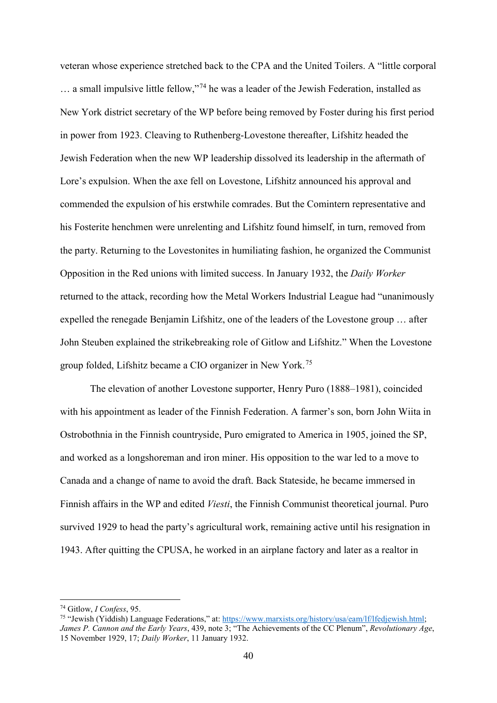veteran whose experience stretched back to the CPA and the United Toilers. A "little corporal … a small impulsive little fellow,"[74](#page-40-0) he was a leader of the Jewish Federation, installed as New York district secretary of the WP before being removed by Foster during his first period in power from 1923. Cleaving to Ruthenberg-Lovestone thereafter, Lifshitz headed the Jewish Federation when the new WP leadership dissolved its leadership in the aftermath of Lore's expulsion. When the axe fell on Lovestone, Lifshitz announced his approval and commended the expulsion of his erstwhile comrades. But the Comintern representative and his Fosterite henchmen were unrelenting and Lifshitz found himself, in turn, removed from the party. Returning to the Lovestonites in humiliating fashion, he organized the Communist Opposition in the Red unions with limited success. In January 1932, the *Daily Worker* returned to the attack, recording how the Metal Workers Industrial League had "unanimously expelled the renegade Benjamin Lifshitz, one of the leaders of the Lovestone group … after John Steuben explained the strikebreaking role of Gitlow and Lifshitz." When the Lovestone group folded, Lifshitz became a CIO organizer in New York.[75](#page-40-1)

The elevation of another Lovestone supporter, Henry Puro (1888–1981), coincided with his appointment as leader of the Finnish Federation. A farmer's son, born John Wiita in Ostrobothnia in the Finnish countryside, Puro emigrated to America in 1905, joined the SP, and worked as a longshoreman and iron miner. His opposition to the war led to a move to Canada and a change of name to avoid the draft. Back Stateside, he became immersed in Finnish affairs in the WP and edited *Viesti*, the Finnish Communist theoretical journal. Puro survived 1929 to head the party's agricultural work, remaining active until his resignation in 1943. After quitting the CPUSA, he worked in an airplane factory and later as a realtor in

<span id="page-40-0"></span> <sup>74</sup> Gitlow, *I Confess*, 95.

<span id="page-40-1"></span><sup>75</sup> "Jewish (Yiddish) Language Federations," at: [https://www.marxists.org/history/usa/eam/lf/lfedjewish.html;](https://www.marxists.org/history/usa/eam/lf/lfedjewish.html) *James P. Cannon and the Early Years*, 439, note 3; "The Achievements of the CC Plenum", *Revolutionary Age*, 15 November 1929, 17; *Daily Worker*, 11 January 1932.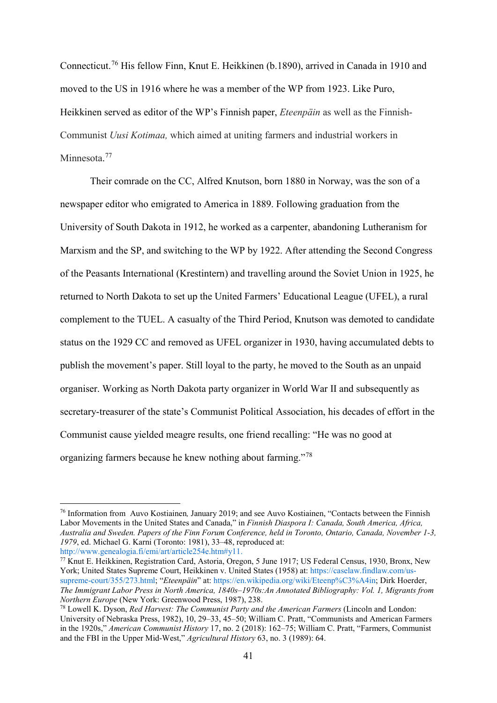Connecticut.[76](#page-41-0) His fellow Finn, Knut E. Heikkinen (b.1890), arrived in Canada in 1910 and moved to the US in 1916 where he was a member of the WP from 1923. Like Puro, Heikkinen served as editor of the WP's Finnish paper, *Eteenpäin* as well as the Finnish-Communist *Uusi Kotimaa,* which aimed at uniting farmers and industrial workers in Minnesota.<sup>[77](#page-41-1)</sup>

Their comrade on the CC, Alfred Knutson, born 1880 in Norway, was the son of a newspaper editor who emigrated to America in 1889. Following graduation from the University of South Dakota in 1912, he worked as a carpenter, abandoning Lutheranism for Marxism and the SP, and switching to the WP by 1922. After attending the Second Congress of the Peasants International (Krestintern) and travelling around the Soviet Union in 1925, he returned to North Dakota to set up the United Farmers' Educational League (UFEL), a rural complement to the TUEL. A casualty of the Third Period, Knutson was demoted to candidate status on the 1929 CC and removed as UFEL organizer in 1930, having accumulated debts to publish the movement's paper. Still loyal to the party, he moved to the South as an unpaid organiser. Working as North Dakota party organizer in World War II and subsequently as secretary-treasurer of the state's Communist Political Association, his decades of effort in the Communist cause yielded meagre results, one friend recalling: "He was no good at organizing farmers because he knew nothing about farming."[78](#page-41-2)

<span id="page-41-0"></span> <sup>76</sup> Information from Auvo Kostiainen*,* January 2019; and see Auvo Kostiainen, "Contacts between the Finnish Labor Movements in the United States and Canada," in *Finnish Diaspora I: Canada, South America, Africa, Australia and Sweden. Papers of the Finn Forum Conference, held in Toronto, Ontario, Canada, November 1-3, 1979*, ed. Michael G. Karni (Toronto: 1981), 33–48, reproduced at: [http://www.genealogia.fi/emi/art/article254e.htm#y11.](http://www.genealogia.fi/emi/art/article254e.htm#y11)

<span id="page-41-1"></span><sup>&</sup>lt;sup>77</sup> Knut E. Heikkinen, Registration Card, Astoria, Oregon, 5 June 1917; US Federal Census, 1930, Bronx, New York; United States Supreme Court, Heikkinen v. United States (1958) at: [https://caselaw.findlaw.com/us](https://caselaw.findlaw.com/us-supreme-court/355/273.html)[supreme-court/355/273.html;](https://caselaw.findlaw.com/us-supreme-court/355/273.html) "*Eteenpäin*" at: [https://en.wikipedia.org/wiki/Eteenp%C3%A4in;](https://en.wikipedia.org/wiki/Eteenp%C3%A4in) Dirk Hoerder, *The Immigrant Labor Press in North America, 1840s–1970s:An Annotated Bibliography: Vol. 1, Migrants from Northern Europe* (New York: Greenwood Press, 1987), 238.

<span id="page-41-2"></span><sup>78</sup> Lowell K. Dyson, *Red Harvest: The Communist Party and the American Farmers* (Lincoln and London: University of Nebraska Press, 1982), 10, 29–33, 45–50; William C. Pratt, "Communists and American Farmers in the 1920s," *American Communist History* 17, no. 2 (2018): 162–75; William C. Pratt, "Farmers, Communist and the FBI in the Upper Mid-West," *Agricultural History* 63, no. 3 (1989): 64.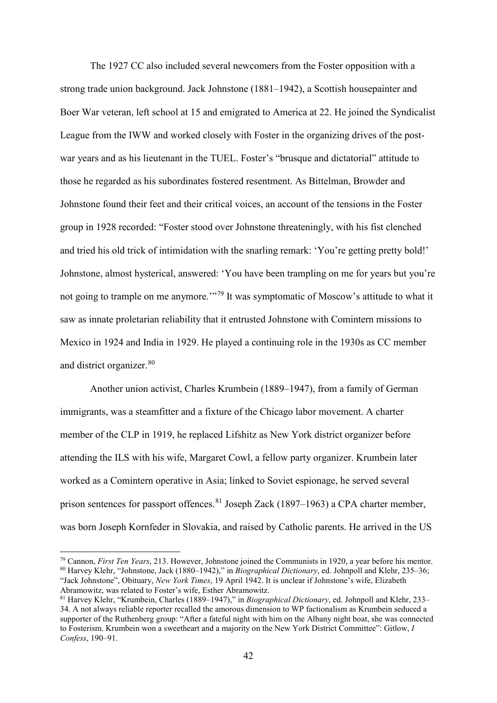The 1927 CC also included several newcomers from the Foster opposition with a strong trade union background. Jack Johnstone (1881–1942), a Scottish housepainter and Boer War veteran, left school at 15 and emigrated to America at 22. He joined the Syndicalist League from the IWW and worked closely with Foster in the organizing drives of the postwar years and as his lieutenant in the TUEL. Foster's "brusque and dictatorial" attitude to those he regarded as his subordinates fostered resentment. As Bittelman, Browder and Johnstone found their feet and their critical voices, an account of the tensions in the Foster group in 1928 recorded: "Foster stood over Johnstone threateningly, with his fist clenched and tried his old trick of intimidation with the snarling remark: 'You're getting pretty bold!' Johnstone, almost hysterical, answered: 'You have been trampling on me for years but you're not going to trample on me anymore.'"[79](#page-42-0) It was symptomatic of Moscow's attitude to what it saw as innate proletarian reliability that it entrusted Johnstone with Comintern missions to Mexico in 1924 and India in 1929. He played a continuing role in the 1930s as CC member and district organizer.<sup>[80](#page-42-1)</sup>

Another union activist, Charles Krumbein (1889–1947), from a family of German immigrants, was a steamfitter and a fixture of the Chicago labor movement. A charter member of the CLP in 1919, he replaced Lifshitz as New York district organizer before attending the ILS with his wife, Margaret Cowl, a fellow party organizer. Krumbein later worked as a Comintern operative in Asia; linked to Soviet espionage, he served several prison sentences for passport offences.<sup>[81](#page-42-2)</sup> Joseph Zack (1897–1963) a CPA charter member, was born Joseph Kornfeder in Slovakia, and raised by Catholic parents. He arrived in the US

<span id="page-42-1"></span><span id="page-42-0"></span> <sup>79</sup> Cannon, *First Ten Years*, 213. However, Johnstone joined the Communists in 1920, a year before his mentor. <sup>80</sup> Harvey Klehr, "Johnstone, Jack (1880–1942)," in *Biographical Dictionary*, ed. Johnpoll and Klehr, 235–36; "Jack Johnstone", Obituary, *New York Times*, 19 April 1942. It is unclear if Johnstone's wife, Elizabeth Abramowitz, was related to Foster's wife, Esther Abramowitz.

<span id="page-42-2"></span><sup>81</sup> Harvey Klehr, "Krumbein, Charles (1889–1947)," in *Biographical Dictionary*, ed. Johnpoll and Klehr, 233– 34. A not always reliable reporter recalled the amorous dimension to WP factionalism as Krumbein seduced a supporter of the Ruthenberg group: "After a fateful night with him on the Albany night boat, she was connected to Fosterism. Krumbein won a sweetheart and a majority on the New York District Committee": Gitlow, *I Confess*, 190–91.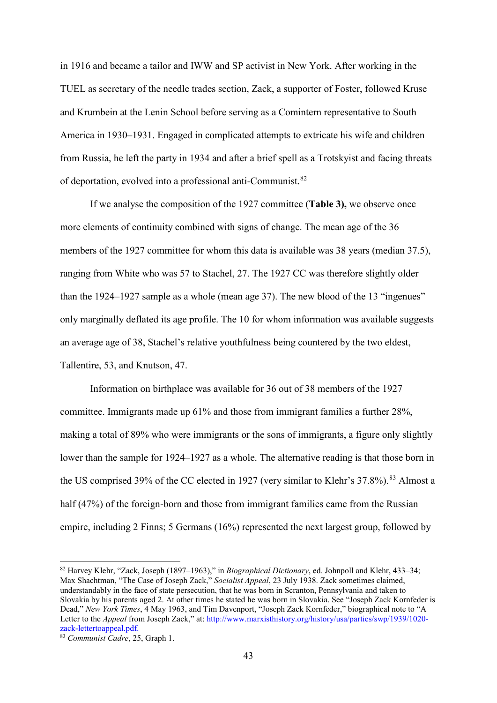in 1916 and became a tailor and IWW and SP activist in New York. After working in the TUEL as secretary of the needle trades section, Zack, a supporter of Foster, followed Kruse and Krumbein at the Lenin School before serving as a Comintern representative to South America in 1930–1931. Engaged in complicated attempts to extricate his wife and children from Russia, he left the party in 1934 and after a brief spell as a Trotskyist and facing threats of deportation, evolved into a professional anti-Communist.[82](#page-43-0)

If we analyse the composition of the 1927 committee (**Table 3),** we observe once more elements of continuity combined with signs of change. The mean age of the 36 members of the 1927 committee for whom this data is available was 38 years (median 37.5), ranging from White who was 57 to Stachel, 27. The 1927 CC was therefore slightly older than the 1924–1927 sample as a whole (mean age 37). The new blood of the 13 "ingenues" only marginally deflated its age profile. The 10 for whom information was available suggests an average age of 38, Stachel's relative youthfulness being countered by the two eldest, Tallentire, 53, and Knutson, 47.

Information on birthplace was available for 36 out of 38 members of the 1927 committee. Immigrants made up 61% and those from immigrant families a further 28%, making a total of 89% who were immigrants or the sons of immigrants, a figure only slightly lower than the sample for 1924–1927 as a whole. The alternative reading is that those born in the US comprised 39% of the CC elected in 1927 (very similar to Klehr's 37.8%).<sup>[83](#page-43-1)</sup> Almost a half (47%) of the foreign-born and those from immigrant families came from the Russian empire, including 2 Finns; 5 Germans (16%) represented the next largest group, followed by

<span id="page-43-0"></span> <sup>82</sup> Harvey Klehr, "Zack, Joseph (1897–1963)," in *Biographical Dictionary*, ed. Johnpoll and Klehr, 433–34; Max Shachtman, "The Case of Joseph Zack," *Socialist Appeal*, 23 July 1938. Zack sometimes claimed, understandably in the face of state persecution, that he was born in Scranton, Pennsylvania and taken to Slovakia by his parents aged 2. At other times he stated he was born in Slovakia. See "Joseph Zack Kornfeder is Dead," *New York Times*, 4 May 1963, and Tim Davenport, "Joseph Zack Kornfeder," biographical note to "A Letter to the *Appeal* from Joseph Zack," at: [http://www.marxisthistory.org/history/usa/parties/swp/1939/1020](http://www.marxisthistory.org/history/usa/parties/swp/1939/1020-zack-lettertoappeal.pdf) [zack-lettertoappeal.pdf.](http://www.marxisthistory.org/history/usa/parties/swp/1939/1020-zack-lettertoappeal.pdf)

<span id="page-43-1"></span><sup>83</sup> *Communist Cadre*, 25, Graph 1.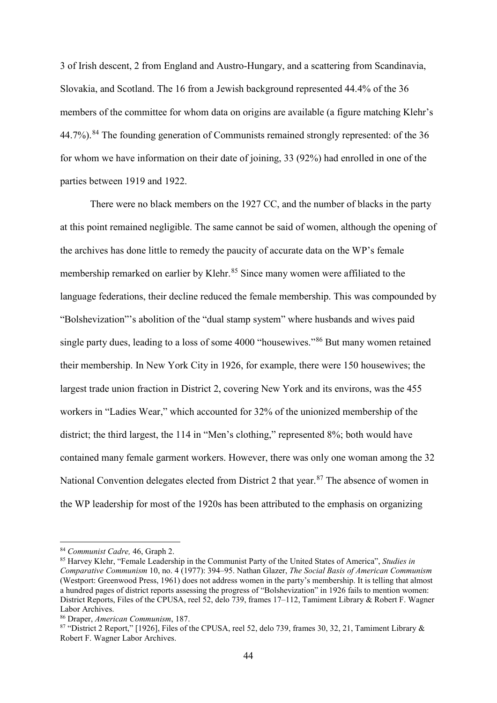3 of Irish descent, 2 from England and Austro-Hungary, and a scattering from Scandinavia, Slovakia, and Scotland. The 16 from a Jewish background represented 44.4% of the 36 members of the committee for whom data on origins are available (a figure matching Klehr's 44.7%).<sup>[84](#page-44-0)</sup> The founding generation of Communists remained strongly represented: of the 36 for whom we have information on their date of joining, 33 (92%) had enrolled in one of the parties between 1919 and 1922.

There were no black members on the 1927 CC, and the number of blacks in the party at this point remained negligible. The same cannot be said of women, although the opening of the archives has done little to remedy the paucity of accurate data on the WP's female membership remarked on earlier by Klehr.<sup>[85](#page-44-1)</sup> Since many women were affiliated to the language federations, their decline reduced the female membership. This was compounded by "Bolshevization"'s abolition of the "dual stamp system" where husbands and wives paid single party dues, leading to a loss of some 4000 "housewives."[86](#page-44-2) But many women retained their membership. In New York City in 1926, for example, there were 150 housewives; the largest trade union fraction in District 2, covering New York and its environs, was the 455 workers in "Ladies Wear," which accounted for 32% of the unionized membership of the district; the third largest, the 114 in "Men's clothing," represented 8%; both would have contained many female garment workers. However, there was only one woman among the 32 National Convention delegates elected from District 2 that year.<sup>[87](#page-44-3)</sup> The absence of women in the WP leadership for most of the 1920s has been attributed to the emphasis on organizing

<span id="page-44-0"></span> <sup>84</sup> *Communist Cadre,* 46, Graph 2.

<span id="page-44-1"></span><sup>85</sup> Harvey Klehr, "Female Leadership in the Communist Party of the United States of America", *Studies in Comparative Communism* 10, no. 4 (1977): 394–95. Nathan Glazer, *The Social Basis of American Communism*  (Westport: Greenwood Press, 1961) does not address women in the party's membership. It is telling that almost a hundred pages of district reports assessing the progress of "Bolshevization" in 1926 fails to mention women: District Reports, Files of the CPUSA, reel 52, delo 739, frames 17–112, Tamiment Library & Robert F. Wagner Labor Archives.

<span id="page-44-2"></span><sup>86</sup> Draper, *American Communism*, 187.

<span id="page-44-3"></span><sup>87</sup> "District 2 Report," [1926], Files of the CPUSA, reel 52, delo 739, frames 30, 32, 21, Tamiment Library & Robert F. Wagner Labor Archives.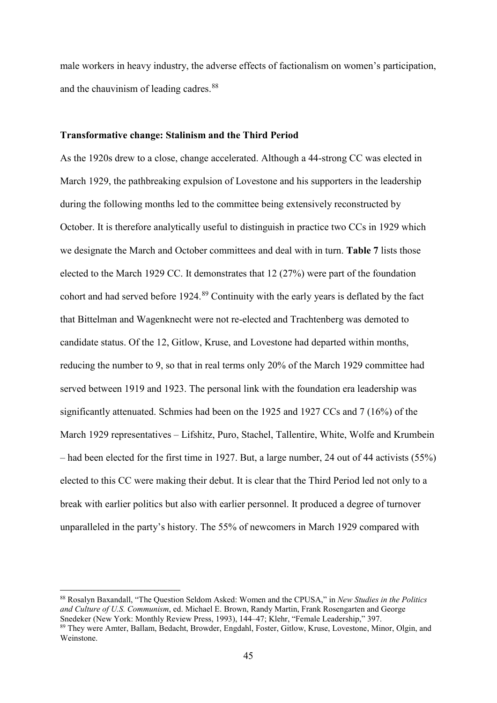male workers in heavy industry, the adverse effects of factionalism on women's participation, and the chauvinism of leading cadres.<sup>[88](#page-45-0)</sup>

## **Transformative change: Stalinism and the Third Period**

As the 1920s drew to a close, change accelerated. Although a 44-strong CC was elected in March 1929, the pathbreaking expulsion of Lovestone and his supporters in the leadership during the following months led to the committee being extensively reconstructed by October. It is therefore analytically useful to distinguish in practice two CCs in 1929 which we designate the March and October committees and deal with in turn. **Table 7** lists those elected to the March 1929 CC. It demonstrates that 12 (27%) were part of the foundation cohort and had served before 1924.<sup>[89](#page-45-1)</sup> Continuity with the early years is deflated by the fact that Bittelman and Wagenknecht were not re-elected and Trachtenberg was demoted to candidate status. Of the 12, Gitlow, Kruse, and Lovestone had departed within months, reducing the number to 9, so that in real terms only 20% of the March 1929 committee had served between 1919 and 1923. The personal link with the foundation era leadership was significantly attenuated. Schmies had been on the 1925 and 1927 CCs and 7 (16%) of the March 1929 representatives – Lifshitz, Puro, Stachel, Tallentire, White, Wolfe and Krumbein – had been elected for the first time in 1927. But, a large number, 24 out of 44 activists (55%) elected to this CC were making their debut. It is clear that the Third Period led not only to a break with earlier politics but also with earlier personnel. It produced a degree of turnover unparalleled in the party's history. The 55% of newcomers in March 1929 compared with

<span id="page-45-1"></span><span id="page-45-0"></span> <sup>88</sup> Rosalyn Baxandall, "The Question Seldom Asked: Women and the CPUSA," in *New Studies in the Politics*  and Culture of U.S. Communism, ed. Michael E. Brown, Randy Martin, Frank Rosengarten and George Snedeker (New York: Monthly Review Press, 1993), 144–47; Klehr, "Female Leadership," 397. <sup>89</sup> They were Amter, Ballam, Bedacht, Browder, Engdahl, Foster, Gitlow, Kruse, Lovestone, Minor, Olgin, and Weinstone.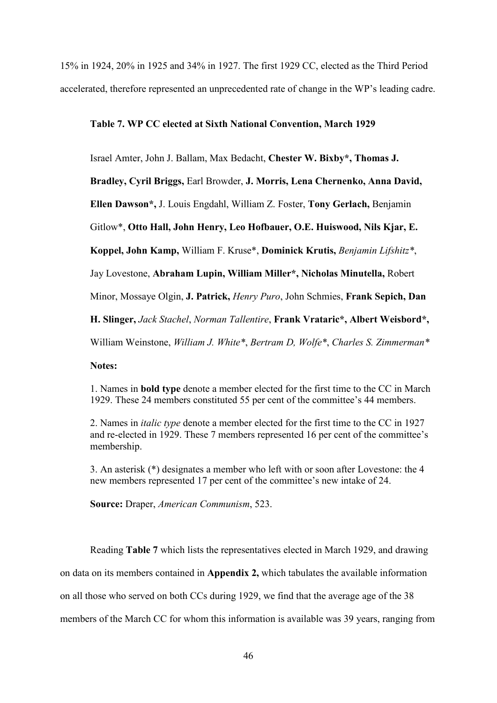15% in 1924, 20% in 1925 and 34% in 1927. The first 1929 CC, elected as the Third Period accelerated, therefore represented an unprecedented rate of change in the WP's leading cadre.

## **Table 7. WP CC elected at Sixth National Convention, March 1929**

Israel Amter, John J. Ballam, Max Bedacht, **Chester W. Bixby\*, Thomas J.** 

**Bradley, Cyril Briggs,** Earl Browder, **J. Morris, Lena Chernenko, Anna David,** 

**Ellen Dawson\*,** J. Louis Engdahl, William Z. Foster, **Tony Gerlach,** Benjamin

Gitlow\*, **Otto Hall, John Henry, Leo Hofbauer, O.E. Huiswood, Nils Kjar, E.** 

**Koppel, John Kamp,** William F. Kruse\*, **Dominick Krutis,** *Benjamin Lifshitz\**,

Jay Lovestone, **Abraham Lupin, William Miller\*, Nicholas Minutella,** Robert

Minor, Mossaye Olgin, **J. Patrick,** *Henry Puro*, John Schmies, **Frank Sepich, Dan** 

**H. Slinger,** *Jack Stachel*, *Norman Tallentire*, **Frank Vrataric\*, Albert Weisbord\*,**

William Weinstone, *William J. White\**, *Bertram D, Wolfe\**, *Charles S. Zimmerman\**

**Notes:** 

1. Names in **bold type** denote a member elected for the first time to the CC in March 1929. These 24 members constituted 55 per cent of the committee's 44 members.

2. Names in *italic type* denote a member elected for the first time to the CC in 1927 and re-elected in 1929. These 7 members represented 16 per cent of the committee's membership.

3. An asterisk (\*) designates a member who left with or soon after Lovestone: the 4 new members represented 17 per cent of the committee's new intake of 24.

**Source:** Draper, *American Communism*, 523.

Reading **Table 7** which lists the representatives elected in March 1929, and drawing on data on its members contained in **Appendix 2,** which tabulates the available information on all those who served on both CCs during 1929, we find that the average age of the 38 members of the March CC for whom this information is available was 39 years, ranging from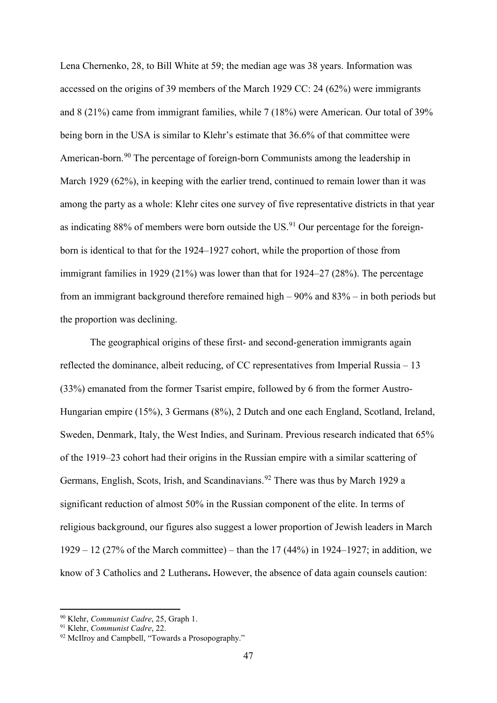Lena Chernenko, 28, to Bill White at 59; the median age was 38 years. Information was accessed on the origins of 39 members of the March 1929 CC: 24 (62%) were immigrants and 8 (21%) came from immigrant families, while 7 (18%) were American. Our total of 39% being born in the USA is similar to Klehr's estimate that 36.6% of that committee were American-born.<sup>[90](#page-47-0)</sup> The percentage of foreign-born Communists among the leadership in March 1929 (62%), in keeping with the earlier trend, continued to remain lower than it was among the party as a whole: Klehr cites one survey of five representative districts in that year as indicating  $88\%$  of members were born outside the US.<sup>[91](#page-47-1)</sup> Our percentage for the foreignborn is identical to that for the 1924–1927 cohort, while the proportion of those from immigrant families in 1929 (21%) was lower than that for 1924–27 (28%). The percentage from an immigrant background therefore remained high – 90% and 83% – in both periods but the proportion was declining.

The geographical origins of these first- and second-generation immigrants again reflected the dominance, albeit reducing, of CC representatives from Imperial Russia – 13 (33%) emanated from the former Tsarist empire, followed by 6 from the former Austro-Hungarian empire (15%), 3 Germans (8%), 2 Dutch and one each England, Scotland, Ireland, Sweden, Denmark, Italy, the West Indies, and Surinam. Previous research indicated that 65% of the 1919–23 cohort had their origins in the Russian empire with a similar scattering of Germans, English, Scots, Irish, and Scandinavians.<sup>[92](#page-47-2)</sup> There was thus by March 1929 a significant reduction of almost 50% in the Russian component of the elite. In terms of religious background, our figures also suggest a lower proportion of Jewish leaders in March 1929 – 12 (27% of the March committee) – than the 17 (44%) in 1924–1927; in addition, we know of 3 Catholics and 2 Lutherans**.** However, the absence of data again counsels caution:

<span id="page-47-0"></span> <sup>90</sup> Klehr, *Communist Cadre*, 25, Graph 1.

<span id="page-47-1"></span><sup>91</sup> Klehr, *Communist Cadre*, 22.

<span id="page-47-2"></span><sup>92</sup> McIlroy and Campbell, "Towards a Prosopography."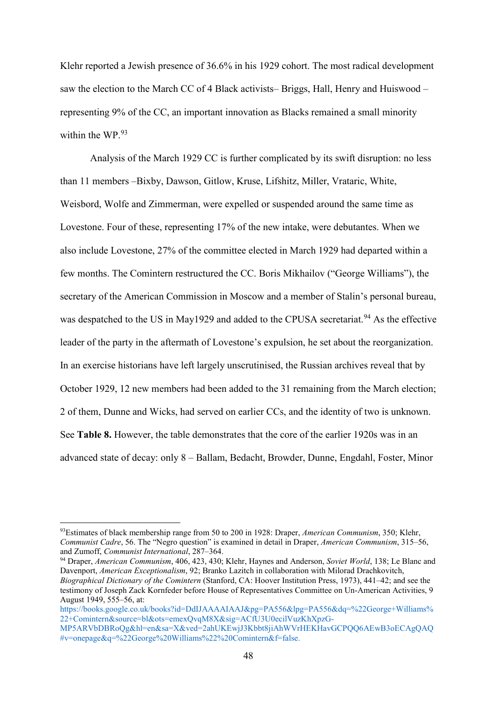Klehr reported a Jewish presence of 36.6% in his 1929 cohort. The most radical development saw the election to the March CC of 4 Black activists– Briggs, Hall, Henry and Huiswood – representing 9% of the CC, an important innovation as Blacks remained a small minority within the WP.<sup>[93](#page-48-0)</sup>

Analysis of the March 1929 CC is further complicated by its swift disruption: no less than 11 members –Bixby, Dawson, Gitlow, Kruse, Lifshitz, Miller, Vrataric, White, Weisbord, Wolfe and Zimmerman, were expelled or suspended around the same time as Lovestone. Four of these, representing 17% of the new intake, were debutantes. When we also include Lovestone, 27% of the committee elected in March 1929 had departed within a few months. The Comintern restructured the CC. Boris Mikhailov ("George Williams"), the secretary of the American Commission in Moscow and a member of Stalin's personal bureau, was despatched to the US in May1929 and added to the CPUSA secretariat.<sup>[94](#page-48-1)</sup> As the effective leader of the party in the aftermath of Lovestone's expulsion, he set about the reorganization. In an exercise historians have left largely unscrutinised, the Russian archives reveal that by October 1929, 12 new members had been added to the 31 remaining from the March election; 2 of them, Dunne and Wicks, had served on earlier CCs, and the identity of two is unknown. See **Table 8.** However, the table demonstrates that the core of the earlier 1920s was in an advanced state of decay: only 8 – Ballam, Bedacht, Browder, Dunne, Engdahl, Foster, Minor

<span id="page-48-0"></span> <sup>93</sup>Estimates of black membership range from 50 to 200 in 1928: Draper, *American Communism*, 350; Klehr, *Communist Cadre*, 56. The "Negro question" is examined in detail in Draper, *American Communism*, 315–56, and Zumoff, *Communist International*, 287–364.

<span id="page-48-1"></span><sup>94</sup> Draper, *American Communism*, 406, 423, 430; Klehr, Haynes and Anderson, *Soviet World*, 138; Le Blanc and Davenport, *American Exceptionalism*, 92; Branko Lazitch in collaboration with Milorad Drachkovitch, *Biographical Dictionary of the Comintern* (Stanford, CA: Hoover Institution Press, 1973), 441–42; and see the testimony of Joseph Zack Kornfeder before House of Representatives Committee on Un-American Activities, 9 August 1949, 555–56, at:

[https://books.google.co.uk/books?id=DdIJAAAAIAAJ&pg=PA556&lpg=PA556&dq=%22George+Williams%](https://books.google.co.uk/books?id=DdIJAAAAIAAJ&pg=PA556&lpg=PA556&dq=%22George+Williams%22+Comintern&source=bl&ots=emexQvqM8X&sig=ACfU3U0ecilVuzKhXpzG-MP5ARVbDBRoQg&hl=en&sa=X&ved=2ahUKEwjJ3Kbbt8jiAhWVrHEKHavGCPQQ6AEwB3oECAgQAQ#v=onepage&q=%22George%20Williams%22%20Comintern&f=false) [22+Comintern&source=bl&ots=emexQvqM8X&sig=ACfU3U0ecilVuzKhXpzG-](https://books.google.co.uk/books?id=DdIJAAAAIAAJ&pg=PA556&lpg=PA556&dq=%22George+Williams%22+Comintern&source=bl&ots=emexQvqM8X&sig=ACfU3U0ecilVuzKhXpzG-MP5ARVbDBRoQg&hl=en&sa=X&ved=2ahUKEwjJ3Kbbt8jiAhWVrHEKHavGCPQQ6AEwB3oECAgQAQ#v=onepage&q=%22George%20Williams%22%20Comintern&f=false)

[MP5ARVbDBRoQg&hl=en&sa=X&ved=2ahUKEwjJ3Kbbt8jiAhWVrHEKHavGCPQQ6AEwB3oECAgQAQ](https://books.google.co.uk/books?id=DdIJAAAAIAAJ&pg=PA556&lpg=PA556&dq=%22George+Williams%22+Comintern&source=bl&ots=emexQvqM8X&sig=ACfU3U0ecilVuzKhXpzG-MP5ARVbDBRoQg&hl=en&sa=X&ved=2ahUKEwjJ3Kbbt8jiAhWVrHEKHavGCPQQ6AEwB3oECAgQAQ#v=onepage&q=%22George%20Williams%22%20Comintern&f=false) [#v=onepage&q=%22George%20Williams%22%20Comintern&f=false.](https://books.google.co.uk/books?id=DdIJAAAAIAAJ&pg=PA556&lpg=PA556&dq=%22George+Williams%22+Comintern&source=bl&ots=emexQvqM8X&sig=ACfU3U0ecilVuzKhXpzG-MP5ARVbDBRoQg&hl=en&sa=X&ved=2ahUKEwjJ3Kbbt8jiAhWVrHEKHavGCPQQ6AEwB3oECAgQAQ#v=onepage&q=%22George%20Williams%22%20Comintern&f=false)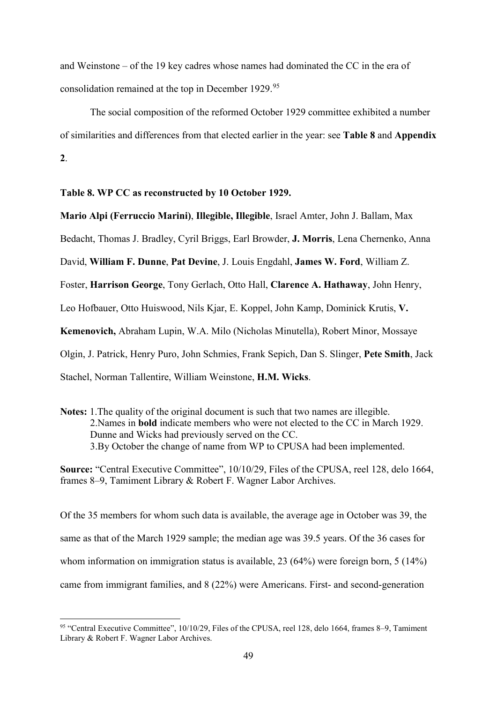and Weinstone – of the 19 key cadres whose names had dominated the CC in the era of consolidation remained at the top in December 1929.[95](#page-49-0)

The social composition of the reformed October 1929 committee exhibited a number of similarities and differences from that elected earlier in the year: see **Table 8** and **Appendix 2**.

**Table 8. WP CC as reconstructed by 10 October 1929.**

**Mario Alpi (Ferruccio Marini)**, **Illegible, Illegible**, Israel Amter, John J. Ballam, Max

Bedacht, Thomas J. Bradley, Cyril Briggs, Earl Browder, **J. Morris**, Lena Chernenko, Anna

David, **William F. Dunne**, **Pat Devine**, J. Louis Engdahl, **James W. Ford**, William Z.

Foster, **Harrison George**, Tony Gerlach, Otto Hall, **Clarence A. Hathaway**, John Henry,

Leo Hofbauer, Otto Huiswood, Nils Kjar, E. Koppel, John Kamp, Dominick Krutis, **V.** 

**Kemenovich,** Abraham Lupin, W.A. Milo (Nicholas Minutella), Robert Minor, Mossaye

Olgin, J. Patrick, Henry Puro, John Schmies, Frank Sepich, Dan S. Slinger, **Pete Smith**, Jack

Stachel, Norman Tallentire, William Weinstone, **H.M. Wicks**.

**Notes:** 1.The quality of the original document is such that two names are illegible. 2.Names in **bold** indicate members who were not elected to the CC in March 1929. Dunne and Wicks had previously served on the CC. 3.By October the change of name from WP to CPUSA had been implemented.

**Source:** "Central Executive Committee", 10/10/29, Files of the CPUSA, reel 128, delo 1664, frames 8–9, Tamiment Library & Robert F. Wagner Labor Archives.

Of the 35 members for whom such data is available, the average age in October was 39, the same as that of the March 1929 sample; the median age was 39.5 years. Of the 36 cases for whom information on immigration status is available, 23 (64%) were foreign born, 5 (14%) came from immigrant families, and 8 (22%) were Americans. First- and second-generation

<span id="page-49-0"></span> <sup>95</sup> "Central Executive Committee", 10/10/29, Files of the CPUSA, reel 128, delo 1664, frames 8–9, Tamiment Library & Robert F. Wagner Labor Archives.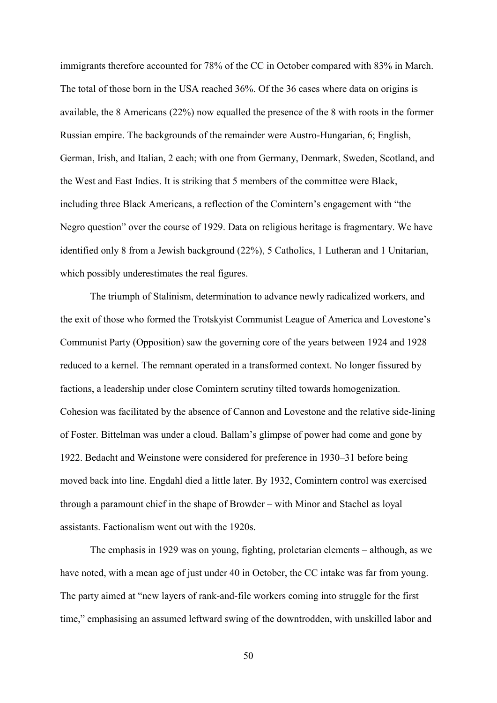immigrants therefore accounted for 78% of the CC in October compared with 83% in March. The total of those born in the USA reached 36%. Of the 36 cases where data on origins is available, the 8 Americans (22%) now equalled the presence of the 8 with roots in the former Russian empire. The backgrounds of the remainder were Austro-Hungarian, 6; English, German, Irish, and Italian, 2 each; with one from Germany, Denmark, Sweden, Scotland, and the West and East Indies. It is striking that 5 members of the committee were Black, including three Black Americans, a reflection of the Comintern's engagement with "the Negro question" over the course of 1929. Data on religious heritage is fragmentary. We have identified only 8 from a Jewish background (22%), 5 Catholics, 1 Lutheran and 1 Unitarian, which possibly underestimates the real figures.

The triumph of Stalinism, determination to advance newly radicalized workers, and the exit of those who formed the Trotskyist Communist League of America and Lovestone's Communist Party (Opposition) saw the governing core of the years between 1924 and 1928 reduced to a kernel. The remnant operated in a transformed context. No longer fissured by factions, a leadership under close Comintern scrutiny tilted towards homogenization. Cohesion was facilitated by the absence of Cannon and Lovestone and the relative side-lining of Foster. Bittelman was under a cloud. Ballam's glimpse of power had come and gone by 1922. Bedacht and Weinstone were considered for preference in 1930–31 before being moved back into line. Engdahl died a little later. By 1932, Comintern control was exercised through a paramount chief in the shape of Browder – with Minor and Stachel as loyal assistants. Factionalism went out with the 1920s.

The emphasis in 1929 was on young, fighting, proletarian elements – although, as we have noted, with a mean age of just under 40 in October, the CC intake was far from young. The party aimed at "new layers of rank-and-file workers coming into struggle for the first time," emphasising an assumed leftward swing of the downtrodden, with unskilled labor and

50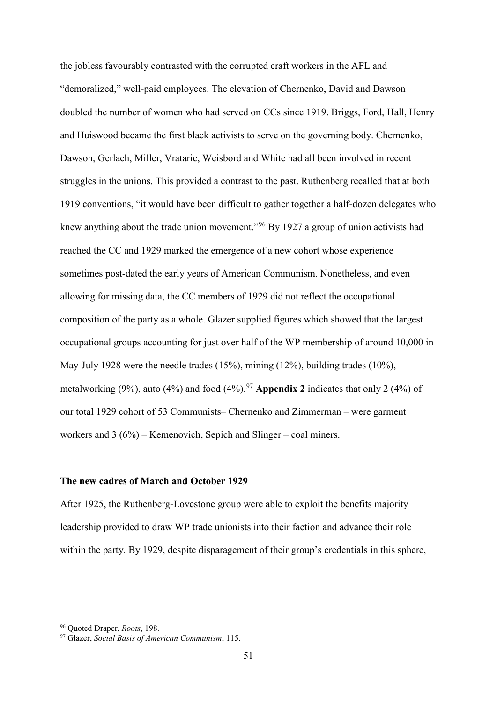the jobless favourably contrasted with the corrupted craft workers in the AFL and "demoralized," well-paid employees. The elevation of Chernenko, David and Dawson doubled the number of women who had served on CCs since 1919. Briggs, Ford, Hall, Henry and Huiswood became the first black activists to serve on the governing body. Chernenko, Dawson, Gerlach, Miller, Vrataric, Weisbord and White had all been involved in recent struggles in the unions. This provided a contrast to the past. Ruthenberg recalled that at both 1919 conventions, "it would have been difficult to gather together a half-dozen delegates who knew anything about the trade union movement."<sup>[96](#page-51-0)</sup> By 1927 a group of union activists had reached the CC and 1929 marked the emergence of a new cohort whose experience sometimes post-dated the early years of American Communism. Nonetheless, and even allowing for missing data, the CC members of 1929 did not reflect the occupational composition of the party as a whole. Glazer supplied figures which showed that the largest occupational groups accounting for just over half of the WP membership of around 10,000 in May-July 1928 were the needle trades (15%), mining (12%), building trades (10%), metalworking  $(9\%)$ , auto  $(4\%)$  and food  $(4\%)$ .<sup>[97](#page-51-1)</sup> Appendix 2 indicates that only 2  $(4\%)$  of our total 1929 cohort of 53 Communists– Chernenko and Zimmerman – were garment workers and 3 (6%) – Kemenovich, Sepich and Slinger – coal miners.

## **The new cadres of March and October 1929**

After 1925, the Ruthenberg-Lovestone group were able to exploit the benefits majority leadership provided to draw WP trade unionists into their faction and advance their role within the party. By 1929, despite disparagement of their group's credentials in this sphere,

<span id="page-51-0"></span> <sup>96</sup> Quoted Draper, *Roots*, 198.

<span id="page-51-1"></span><sup>97</sup> Glazer, *Social Basis of American Communism*, 115.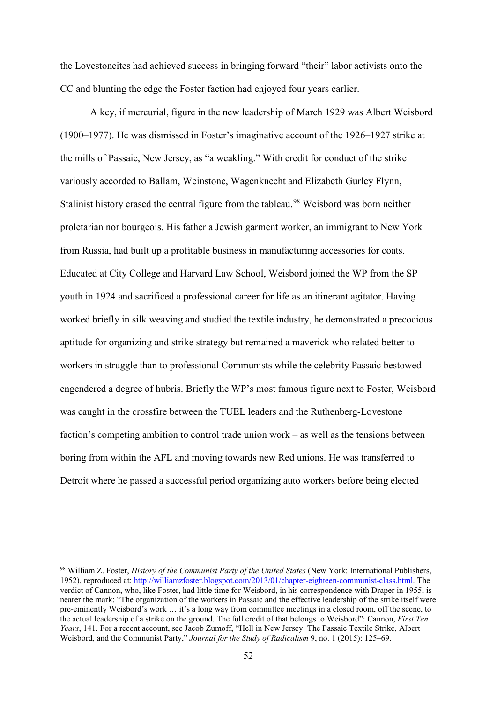the Lovestoneites had achieved success in bringing forward "their" labor activists onto the CC and blunting the edge the Foster faction had enjoyed four years earlier.

A key, if mercurial, figure in the new leadership of March 1929 was Albert Weisbord (1900–1977). He was dismissed in Foster's imaginative account of the 1926–1927 strike at the mills of Passaic, New Jersey, as "a weakling." With credit for conduct of the strike variously accorded to Ballam, Weinstone, Wagenknecht and Elizabeth Gurley Flynn, Stalinist history erased the central figure from the tableau.<sup>[98](#page-52-0)</sup> Weisbord was born neither proletarian nor bourgeois. His father a Jewish garment worker, an immigrant to New York from Russia, had built up a profitable business in manufacturing accessories for coats. Educated at City College and Harvard Law School, Weisbord joined the WP from the SP youth in 1924 and sacrificed a professional career for life as an itinerant agitator. Having worked briefly in silk weaving and studied the textile industry, he demonstrated a precocious aptitude for organizing and strike strategy but remained a maverick who related better to workers in struggle than to professional Communists while the celebrity Passaic bestowed engendered a degree of hubris. Briefly the WP's most famous figure next to Foster, Weisbord was caught in the crossfire between the TUEL leaders and the Ruthenberg-Lovestone faction's competing ambition to control trade union work – as well as the tensions between boring from within the AFL and moving towards new Red unions. He was transferred to Detroit where he passed a successful period organizing auto workers before being elected

<span id="page-52-0"></span> <sup>98</sup> William Z. Foster, *History of the Communist Party of the United States* (New York: International Publishers, 1952), reproduced at: [http://williamzfoster.blogspot.com/2013/01/chapter-eighteen-communist-class.html.](http://williamzfoster.blogspot.com/2013/01/chapter-eighteen-communist-class.html) The verdict of Cannon, who, like Foster, had little time for Weisbord, in his correspondence with Draper in 1955, is nearer the mark: "The organization of the workers in Passaic and the effective leadership of the strike itself were pre-eminently Weisbord's work … it's a long way from committee meetings in a closed room, off the scene, to the actual leadership of a strike on the ground. The full credit of that belongs to Weisbord": Cannon, *First Ten Years*, 141. For a recent account, see Jacob Zumoff, "Hell in New Jersey: The Passaic Textile Strike, Albert Weisbord, and the Communist Party," *Journal for the Study of Radicalism* 9, no. 1 (2015): 125–69.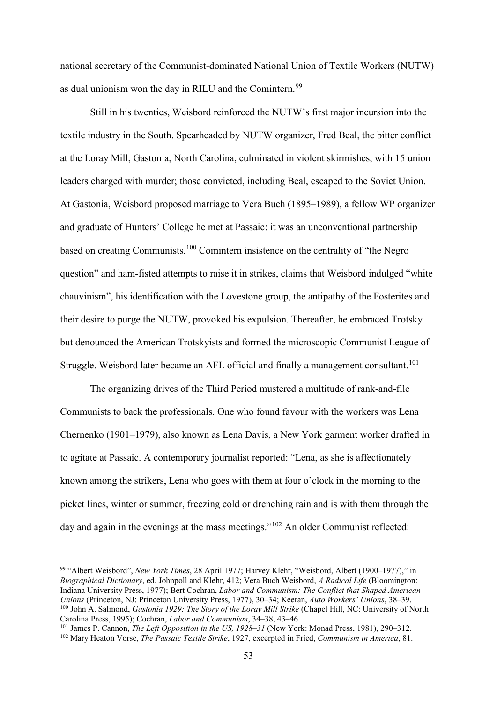national secretary of the Communist-dominated National Union of Textile Workers (NUTW) as dual unionism won the day in RILU and the Comintern.<sup>[99](#page-53-0)</sup>

Still in his twenties, Weisbord reinforced the NUTW's first major incursion into the textile industry in the South. Spearheaded by NUTW organizer, Fred Beal, the bitter conflict at the Loray Mill, Gastonia, North Carolina, culminated in violent skirmishes, with 15 union leaders charged with murder; those convicted, including Beal, escaped to the Soviet Union. At Gastonia, Weisbord proposed marriage to Vera Buch (1895–1989), a fellow WP organizer and graduate of Hunters' College he met at Passaic: it was an unconventional partnership based on creating Communists.[100](#page-53-1) Comintern insistence on the centrality of "the Negro question" and ham-fisted attempts to raise it in strikes, claims that Weisbord indulged "white chauvinism", his identification with the Lovestone group, the antipathy of the Fosterites and their desire to purge the NUTW, provoked his expulsion. Thereafter, he embraced Trotsky but denounced the American Trotskyists and formed the microscopic Communist League of Struggle. Weisbord later became an AFL official and finally a management consultant.<sup>[101](#page-53-2)</sup>

The organizing drives of the Third Period mustered a multitude of rank-and-file Communists to back the professionals. One who found favour with the workers was Lena Chernenko (1901–1979), also known as Lena Davis, a New York garment worker drafted in to agitate at Passaic. A contemporary journalist reported: "Lena, as she is affectionately known among the strikers, Lena who goes with them at four o'clock in the morning to the picket lines, winter or summer, freezing cold or drenching rain and is with them through the day and again in the evenings at the mass meetings."<sup>[102](#page-53-3)</sup> An older Communist reflected:

<span id="page-53-0"></span> <sup>99</sup> "Albert Weisbord", *New York Times*, 28 April 1977; Harvey Klehr, "Weisbord, Albert (1900–1977)," in *Biographical Dictionary*, ed. Johnpoll and Klehr, 412; Vera Buch Weisbord, *A Radical Life* (Bloomington: Indiana University Press, 1977); Bert Cochran, *Labor and Communism: The Conflict that Shaped American Unions* (Princeton, NJ: Princeton University Press, 1977), 30–34; Keeran, *Auto Workers' Unions*, 38–39. <sup>100</sup> John A. Salmond, *Gastonia 1929: The Story of the Loray Mill Strike* (Chapel Hill, NC: University of North Carolina Press, 1995); Cochran, *Labor and Communism*, 34–38, 43–46.

<span id="page-53-2"></span><span id="page-53-1"></span><sup>101</sup> James P. Cannon, *The Left Opposition in the US, 1928–31* (New York: Monad Press, 1981), 290–312.

<span id="page-53-3"></span><sup>102</sup> Mary Heaton Vorse, *The Passaic Textile Strike*, 1927, excerpted in Fried, *Communism in America*, 81.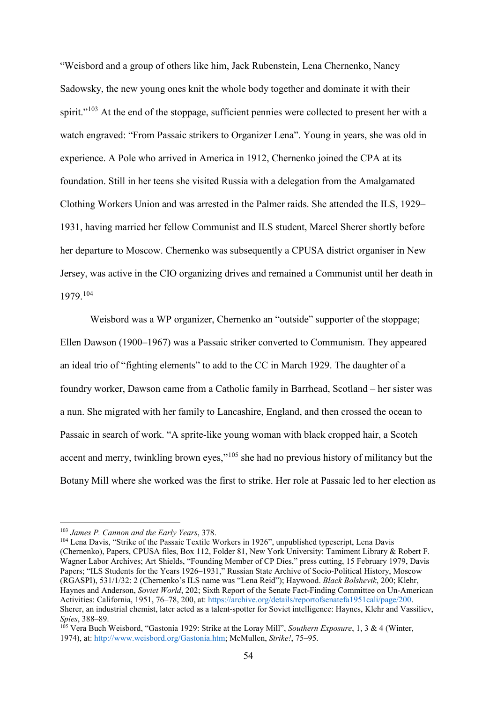"Weisbord and a group of others like him, Jack Rubenstein, Lena Chernenko, Nancy Sadowsky, the new young ones knit the whole body together and dominate it with their spirit."<sup>[103](#page-54-0)</sup> At the end of the stoppage, sufficient pennies were collected to present her with a watch engraved: "From Passaic strikers to Organizer Lena". Young in years, she was old in experience. A Pole who arrived in America in 1912, Chernenko joined the CPA at its foundation. Still in her teens she visited Russia with a delegation from the Amalgamated Clothing Workers Union and was arrested in the Palmer raids. She attended the ILS, 1929– 1931, having married her fellow Communist and ILS student, Marcel Sherer shortly before her departure to Moscow. Chernenko was subsequently a CPUSA district organiser in New Jersey, was active in the CIO organizing drives and remained a Communist until her death in 1979.[104](#page-54-1)

Weisbord was a WP organizer, Chernenko an "outside" supporter of the stoppage; Ellen Dawson (1900–1967) was a Passaic striker converted to Communism. They appeared an ideal trio of "fighting elements" to add to the CC in March 1929. The daughter of a foundry worker, Dawson came from a Catholic family in Barrhead, Scotland – her sister was a nun. She migrated with her family to Lancashire, England, and then crossed the ocean to Passaic in search of work. "A sprite-like young woman with black cropped hair, a Scotch accent and merry, twinkling brown eyes,"<sup>[105](#page-54-2)</sup> she had no previous history of militancy but the Botany Mill where she worked was the first to strike. Her role at Passaic led to her election as

<span id="page-54-0"></span> <sup>103</sup> *James P. Cannon and the Early Years*, 378.

<span id="page-54-1"></span><sup>104</sup> Lena Davis, "Strike of the Passaic Textile Workers in 1926", unpublished typescript, Lena Davis (Chernenko), Papers, CPUSA files, Box 112, Folder 81, New York University: Tamiment Library & Robert F. Wagner Labor Archives; Art Shields, "Founding Member of CP Dies," press cutting, 15 February 1979, Davis Papers; "ILS Students for the Years 1926–1931," Russian State Archive of Socio-Political History, Moscow (RGASPI), 531/1/32: 2 (Chernenko's ILS name was "Lena Reid"); Haywood. *Black Bolshevik*, 200; Klehr, Haynes and Anderson, *Soviet World*, 202; Sixth Report of the Senate Fact-Finding Committee on Un-American Activities: California, 1951, 76–78, 200, at: [https://archive.org/details/reportofsenatefa1951cali/page/200.](https://archive.org/details/reportofsenatefa1951cali/page/200) Sherer, an industrial chemist, later acted as a talent-spotter for Soviet intelligence: Haynes, Klehr and Vassiliev, *Spies*, 388–89.

<span id="page-54-2"></span><sup>105</sup> Vera Buch Weisbord, "Gastonia 1929: Strike at the Loray Mill", *Southern Exposure*, 1, 3 & 4 (Winter, 1974), at: [http://www.weisbord.org/Gastonia.htm;](http://www.weisbord.org/Gastonia.htm) McMullen, *Strike!*, 75–95.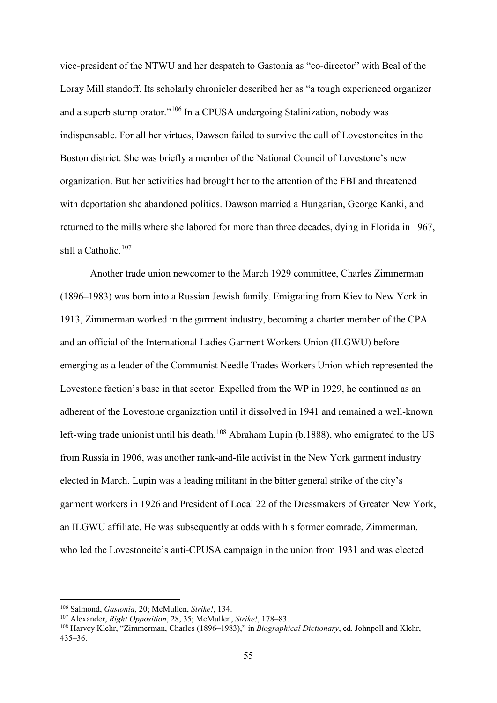vice-president of the NTWU and her despatch to Gastonia as "co-director" with Beal of the Loray Mill standoff. Its scholarly chronicler described her as "a tough experienced organizer and a superb stump orator."<sup>[106](#page-55-0)</sup> In a CPUSA undergoing Stalinization, nobody was indispensable. For all her virtues, Dawson failed to survive the cull of Lovestoneites in the Boston district. She was briefly a member of the National Council of Lovestone's new organization. But her activities had brought her to the attention of the FBI and threatened with deportation she abandoned politics. Dawson married a Hungarian, George Kanki, and returned to the mills where she labored for more than three decades, dying in Florida in 1967, still a Catholic.<sup>[107](#page-55-1)</sup>

Another trade union newcomer to the March 1929 committee, Charles Zimmerman (1896–1983) was born into a Russian Jewish family. Emigrating from Kiev to New York in 1913, Zimmerman worked in the garment industry, becoming a charter member of the CPA and an official of the International Ladies Garment Workers Union (ILGWU) before emerging as a leader of the Communist Needle Trades Workers Union which represented the Lovestone faction's base in that sector. Expelled from the WP in 1929, he continued as an adherent of the Lovestone organization until it dissolved in 1941 and remained a well-known left-wing trade unionist until his death.<sup>[108](#page-55-2)</sup> Abraham Lupin (b.1888), who emigrated to the US from Russia in 1906, was another rank-and-file activist in the New York garment industry elected in March. Lupin was a leading militant in the bitter general strike of the city's garment workers in 1926 and President of Local 22 of the Dressmakers of Greater New York, an ILGWU affiliate. He was subsequently at odds with his former comrade, Zimmerman, who led the Lovestoneite's anti-CPUSA campaign in the union from 1931 and was elected

<span id="page-55-0"></span> <sup>106</sup> Salmond, *Gastonia*, 20; McMullen, *Strike!*, 134.

<span id="page-55-1"></span><sup>107</sup> Alexander, *Right Opposition*, 28, 35; McMullen, *Strike!*, 178–83.

<span id="page-55-2"></span><sup>108</sup> Harvey Klehr, "Zimmerman, Charles (1896–1983)," in *Biographical Dictionary*, ed. Johnpoll and Klehr, 435–36.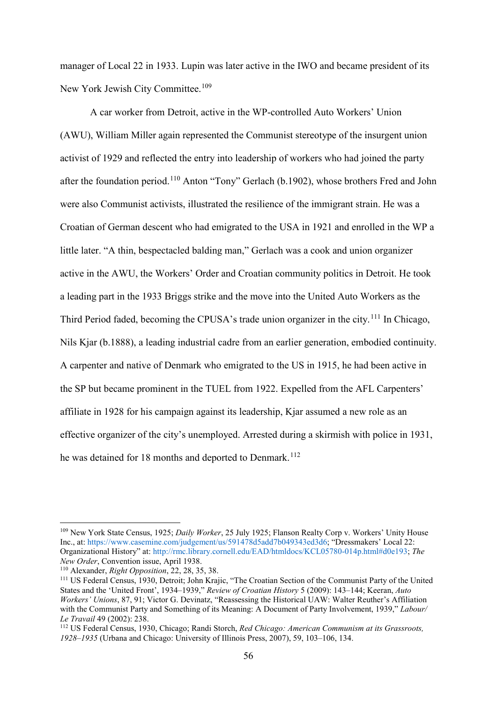manager of Local 22 in 1933. Lupin was later active in the IWO and became president of its New York Jewish City Committee.<sup>109</sup>

A car worker from Detroit, active in the WP-controlled Auto Workers' Union (AWU), William Miller again represented the Communist stereotype of the insurgent union activist of 1929 and reflected the entry into leadership of workers who had joined the party after the foundation period.[110](#page-56-1) Anton "Tony" Gerlach (b.1902), whose brothers Fred and John were also Communist activists, illustrated the resilience of the immigrant strain. He was a Croatian of German descent who had emigrated to the USA in 1921 and enrolled in the WP a little later. "A thin, bespectacled balding man," Gerlach was a cook and union organizer active in the AWU, the Workers' Order and Croatian community politics in Detroit. He took a leading part in the 1933 Briggs strike and the move into the United Auto Workers as the Third Period faded, becoming the CPUSA's trade union organizer in the city.<sup>[111](#page-56-2)</sup> In Chicago, Nils Kjar (b.1888), a leading industrial cadre from an earlier generation, embodied continuity. A carpenter and native of Denmark who emigrated to the US in 1915, he had been active in the SP but became prominent in the TUEL from 1922. Expelled from the AFL Carpenters' affiliate in 1928 for his campaign against its leadership, Kjar assumed a new role as an effective organizer of the city's unemployed. Arrested during a skirmish with police in 1931, he was detained for 18 months and deported to Denmark.<sup>[112](#page-56-3)</sup>

<span id="page-56-0"></span> <sup>109</sup> New York State Census, 1925; *Daily Worker*, 25 July 1925; Flanson Realty Corp v. Workers' Unity House Inc., at: [https://www.casemine.com/judgement/us/591478d5add7b049343ed3d6;](https://www.casemine.com/judgement/us/591478d5add7b049343ed3d6) "Dressmakers' Local 22: Organizational History" at: [http://rmc.library.cornell.edu/EAD/htmldocs/KCL05780-014p.html#d0e193;](http://rmc.library.cornell.edu/EAD/htmldocs/KCL05780-014p.html#d0e193) *The New Order*, Convention issue, April 1938.

<span id="page-56-1"></span><sup>110</sup> Alexander, *Right Opposition*, 22, 28, 35, 38.

<span id="page-56-2"></span><sup>111</sup> US Federal Census, 1930, Detroit; John Krajic, "The Croatian Section of the Communist Party of the United States and the 'United Front', 1934–1939," *Review of Croatian History* 5 (2009): 143–144; Keeran, *Auto Workers' Unions*, 87, 91; Victor G. Devinatz, "Reassessing the Historical UAW: Walter Reuther's Affiliation with the Communist Party and Something of its Meaning: A Document of Party Involvement, 1939," *Labour/ Le Travail* 49 (2002): 238.<br><sup>112</sup> US Federal Census, 1930, Chicago: Randi Storch, *Red Chicago: American Communism at its Grassroots*.

<span id="page-56-3"></span>*<sup>1928–1935</sup>* (Urbana and Chicago: University of Illinois Press, 2007), 59, 103–106, 134.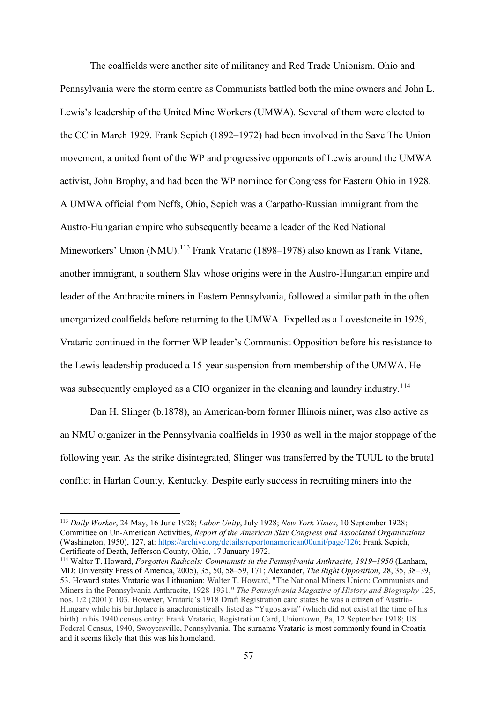The coalfields were another site of militancy and Red Trade Unionism. Ohio and Pennsylvania were the storm centre as Communists battled both the mine owners and John L. Lewis's leadership of the United Mine Workers (UMWA). Several of them were elected to the CC in March 1929. Frank Sepich (1892–1972) had been involved in the Save The Union movement, a united front of the WP and progressive opponents of Lewis around the UMWA activist, John Brophy, and had been the WP nominee for Congress for Eastern Ohio in 1928. A UMWA official from Neffs, Ohio, Sepich was a Carpatho-Russian immigrant from the Austro-Hungarian empire who subsequently became a leader of the Red National Mineworkers' Union (NMU).<sup>[113](#page-57-0)</sup> Frank Vrataric (1898–1978) also known as Frank Vitane, another immigrant, a southern Slav whose origins were in the Austro-Hungarian empire and leader of the Anthracite miners in Eastern Pennsylvania, followed a similar path in the often unorganized coalfields before returning to the UMWA. Expelled as a Lovestoneite in 1929, Vrataric continued in the former WP leader's Communist Opposition before his resistance to the Lewis leadership produced a 15-year suspension from membership of the UMWA. He was subsequently employed as a CIO organizer in the cleaning and laundry industry.<sup>[114](#page-57-1)</sup>

Dan H. Slinger (b.1878), an American-born former Illinois miner, was also active as an NMU organizer in the Pennsylvania coalfields in 1930 as well in the major stoppage of the following year. As the strike disintegrated, Slinger was transferred by the TUUL to the brutal conflict in Harlan County, Kentucky. Despite early success in recruiting miners into the

<span id="page-57-0"></span> <sup>113</sup> *Daily Worker*, 24 May, 16 June 1928; *Labor Unity*, July 1928; *New York Times*, 10 September 1928; Committee on Un-American Activities, *Report of the American Slav Congress and Associated Organizations*  (Washington, 1950), 127, at[: https://archive.org/details/reportonamerican00unit/page/126;](https://archive.org/details/reportonamerican00unit/page/126) Frank Sepich, Certificate of Death, Jefferson County, Ohio, 17 January 1972.

<span id="page-57-1"></span><sup>114</sup> Walter T. Howard, *Forgotten Radicals: Communists in the Pennsylvania Anthracite, 1919–1950* (Lanham, MD: University Press of America, 2005), 35, 50, 58–59, 171; Alexander, *The Right Opposition*, 28, 35, 38–39, 53. Howard states Vrataric was Lithuanian: Walter T. Howard, "The National Miners Union: Communists and Miners in the Pennsylvania Anthracite, 1928-1931," *The Pennsylvania Magazine of History and Biography* 125, nos. 1/2 (2001): 103. However, Vrataric's 1918 Draft Registration card states he was a citizen of Austria-Hungary while his birthplace is anachronistically listed as "Yugoslavia" (which did not exist at the time of his birth) in his 1940 census entry: Frank Vrataric, Registration Card, Uniontown, Pa, 12 September 1918; US Federal Census, 1940, Swoyersville, Pennsylvania. The surname Vrataric is most commonly found in Croatia and it seems likely that this was his homeland.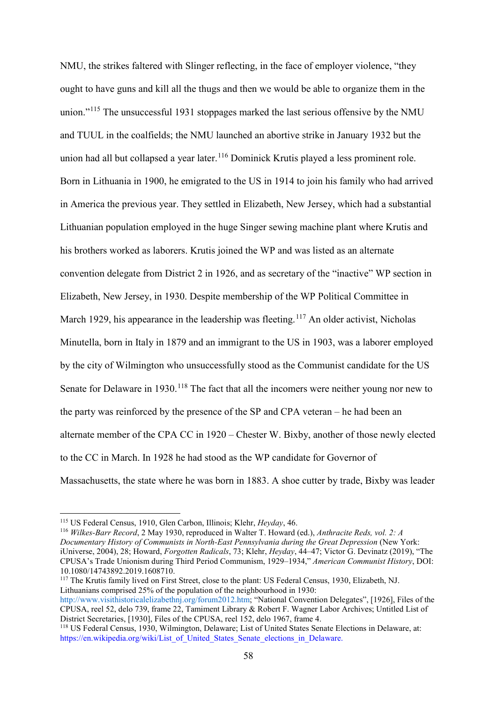NMU, the strikes faltered with Slinger reflecting, in the face of employer violence, "they ought to have guns and kill all the thugs and then we would be able to organize them in the union."<sup>[115](#page-58-0)</sup> The unsuccessful 1931 stoppages marked the last serious offensive by the NMU and TUUL in the coalfields; the NMU launched an abortive strike in January 1932 but the union had all but collapsed a year later.<sup>[116](#page-58-1)</sup> Dominick Krutis played a less prominent role. Born in Lithuania in 1900, he emigrated to the US in 1914 to join his family who had arrived in America the previous year. They settled in Elizabeth, New Jersey, which had a substantial Lithuanian population employed in the huge Singer sewing machine plant where Krutis and his brothers worked as laborers. Krutis joined the WP and was listed as an alternate convention delegate from District 2 in 1926, and as secretary of the "inactive" WP section in Elizabeth, New Jersey, in 1930. Despite membership of the WP Political Committee in March 1929, his appearance in the leadership was fleeting.<sup>[117](#page-58-2)</sup> An older activist, Nicholas Minutella, born in Italy in 1879 and an immigrant to the US in 1903, was a laborer employed by the city of Wilmington who unsuccessfully stood as the Communist candidate for the US Senate for Delaware in 1930.<sup>[118](#page-58-3)</sup> The fact that all the incomers were neither young nor new to the party was reinforced by the presence of the SP and CPA veteran – he had been an alternate member of the CPA CC in 1920 – Chester W. Bixby, another of those newly elected to the CC in March. In 1928 he had stood as the WP candidate for Governor of Massachusetts, the state where he was born in 1883. A shoe cutter by trade, Bixby was leader

<span id="page-58-1"></span><sup>116</sup> *Wilkes-Barr Record*, 2 May 1930, reproduced in Walter T. Howard (ed.), *Anthracite Reds, vol. 2: A Documentary History of Communists in North-East Pennsylvania during the Great Depression* (New York: iUniverse, 2004), 28; Howard, *Forgotten Radicals*, 73; Klehr, *Heyday*, 44–47; Victor G. Devinatz (2019), "The CPUSA's Trade Unionism during Third Period Communism, 1929–1934," *American Communist History*, DOI: 10.1080/14743892.2019.1608710.

<span id="page-58-2"></span><sup>117</sup> The Krutis family lived on First Street, close to the plant: US Federal Census, 1930, Elizabeth, NJ. Lithuanians comprised 25% of the population of the neighbourhood in 1930:

[http://www.visithistoricalelizabethnj.org/forum2012.htm;](http://www.visithistoricalelizabethnj.org/forum2012.htm) "National Convention Delegates", [1926], Files of the CPUSA, reel 52, delo 739, frame 22, Tamiment Library & Robert F. Wagner Labor Archives; Untitled List of District Secretaries, [1930], Files of the CPUSA, reel 152, delo 1967, frame 4.

<span id="page-58-0"></span> <sup>115</sup> US Federal Census, 1910, Glen Carbon, Illinois; Klehr, *Heyday*, 46.

<span id="page-58-3"></span><sup>118</sup> US Federal Census, 1930, Wilmington, Delaware; List of United States Senate Elections in Delaware, at: [https://en.wikipedia.org/wiki/List\\_of\\_United\\_States\\_Senate\\_elections\\_in\\_Delaware.](https://en.wikipedia.org/wiki/List_of_United_States_Senate_elections_in_Delaware)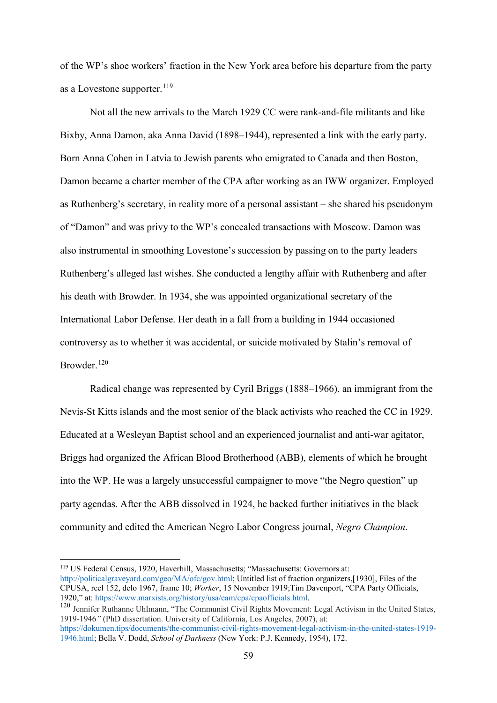of the WP's shoe workers' fraction in the New York area before his departure from the party as a Lovestone supporter.  $^{119}$  $^{119}$  $^{119}$ 

Not all the new arrivals to the March 1929 CC were rank-and-file militants and like Bixby, Anna Damon, aka Anna David (1898–1944), represented a link with the early party. Born Anna Cohen in Latvia to Jewish parents who emigrated to Canada and then Boston, Damon became a charter member of the CPA after working as an IWW organizer. Employed as Ruthenberg's secretary, in reality more of a personal assistant – she shared his pseudonym of "Damon" and was privy to the WP's concealed transactions with Moscow. Damon was also instrumental in smoothing Lovestone's succession by passing on to the party leaders Ruthenberg's alleged last wishes. She conducted a lengthy affair with Ruthenberg and after his death with Browder. In 1934, she was appointed organizational secretary of the International Labor Defense. Her death in a fall from a building in 1944 occasioned controversy as to whether it was accidental, or suicide motivated by Stalin's removal of Browder.[120](#page-59-1)

Radical change was represented by Cyril Briggs (1888–1966), an immigrant from the Nevis-St Kitts islands and the most senior of the black activists who reached the CC in 1929. Educated at a Wesleyan Baptist school and an experienced journalist and anti-war agitator, Briggs had organized the African Blood Brotherhood (ABB), elements of which he brought into the WP. He was a largely unsuccessful campaigner to move "the Negro question" up party agendas. After the ABB dissolved in 1924, he backed further initiatives in the black community and edited the American Negro Labor Congress journal, *Negro Champion*.

<span id="page-59-1"></span><sup>120</sup> Jennifer Ruthanne Uhlmann, "The Communist Civil Rights Movement: Legal Activism in the United States, 1919-1946*"* (PhD dissertation. University of California, Los Angeles, 2007), at: [https://dokumen.tips/documents/the-communist-civil-rights-movement-legal-activism-in-the-united-states-1919-](https://dokumen.tips/documents/the-communist-civil-rights-movement-legal-activism-in-the-united-states-1919-1946.html) [1946.html;](https://dokumen.tips/documents/the-communist-civil-rights-movement-legal-activism-in-the-united-states-1919-1946.html) Bella V. Dodd, *School of Darkness* (New York: P.J. Kennedy, 1954), 172.

<span id="page-59-0"></span> <sup>119</sup> US Federal Census, 1920, Haverhill, Massachusetts; "Massachusetts: Governors at: [http://politicalgraveyard.com/geo/MA/ofc/gov.html;](http://politicalgraveyard.com/geo/MA/ofc/gov.html) Untitled list of fraction organizers,[1930], Files of the CPUSA, reel 152, delo 1967, frame 10; *Worker*, 15 November 1919;Tim Davenport, "CPA Party Officials, 1920," at: [https://www.marxists.org/history/usa/eam/cpa/cpaofficials.html.](https://www.marxists.org/history/usa/eam/cpa/cpaofficials.html)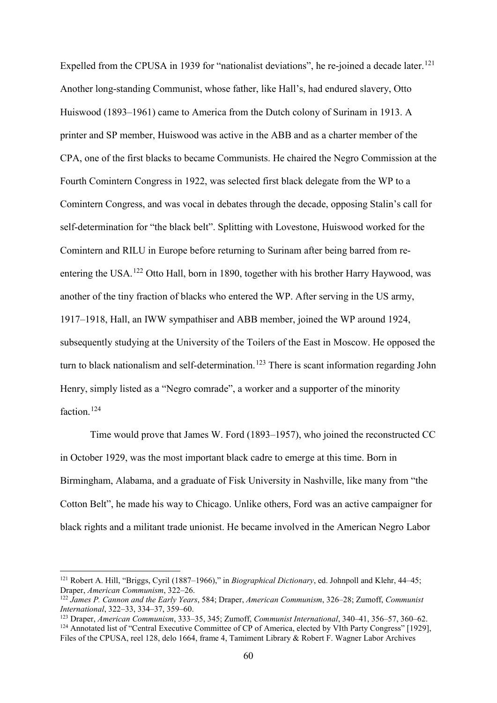Expelled from the CPUSA in 1939 for "nationalist deviations", he re-joined a decade later.<sup>[121](#page-60-0)</sup> Another long-standing Communist, whose father, like Hall's, had endured slavery, Otto Huiswood (1893–1961) came to America from the Dutch colony of Surinam in 1913. A printer and SP member, Huiswood was active in the ABB and as a charter member of the CPA, one of the first blacks to became Communists. He chaired the Negro Commission at the Fourth Comintern Congress in 1922, was selected first black delegate from the WP to a Comintern Congress, and was vocal in debates through the decade, opposing Stalin's call for self-determination for "the black belt". Splitting with Lovestone, Huiswood worked for the Comintern and RILU in Europe before returning to Surinam after being barred from re-entering the USA.<sup>[122](#page-60-1)</sup> Otto Hall, born in 1890, together with his brother Harry Haywood, was another of the tiny fraction of blacks who entered the WP. After serving in the US army, 1917–1918, Hall, an IWW sympathiser and ABB member, joined the WP around 1924, subsequently studying at the University of the Toilers of the East in Moscow. He opposed the turn to black nationalism and self-determination.<sup>[123](#page-60-2)</sup> There is scant information regarding John Henry, simply listed as a "Negro comrade", a worker and a supporter of the minority faction.<sup>[124](#page-60-3)</sup>

Time would prove that James W. Ford (1893–1957), who joined the reconstructed CC in October 1929, was the most important black cadre to emerge at this time. Born in Birmingham, Alabama, and a graduate of Fisk University in Nashville, like many from "the Cotton Belt", he made his way to Chicago. Unlike others, Ford was an active campaigner for black rights and a militant trade unionist. He became involved in the American Negro Labor

<span id="page-60-0"></span> <sup>121</sup> Robert A. Hill, "Briggs, Cyril (1887–1966)," in *Biographical Dictionary*, ed. Johnpoll and Klehr, 44–45; Draper, *American Communism*, 322–26.

<span id="page-60-1"></span><sup>122</sup> *James P. Cannon and the Early Years*, 584; Draper, *American Communism*, 326–28; Zumoff, *Communist* 

<span id="page-60-3"></span><span id="page-60-2"></span>*International*, 322–33, 334–37, 359–60. 123 Draper, *American Communism*, 333–35, 345; Zumoff, *Communist International*, 340–41, 356–57, 360–62. <sup>124</sup> Annotated list of "Central Executive Committee of CP of America, elected by VIth Party Congress" [1929], Files of the CPUSA, reel 128, delo 1664, frame 4, Tamiment Library & Robert F. Wagner Labor Archives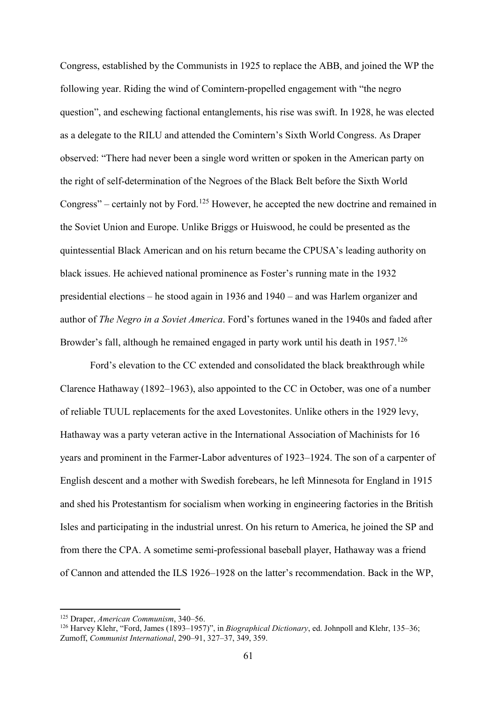Congress, established by the Communists in 1925 to replace the ABB, and joined the WP the following year. Riding the wind of Comintern-propelled engagement with "the negro question", and eschewing factional entanglements, his rise was swift. In 1928, he was elected as a delegate to the RILU and attended the Comintern's Sixth World Congress. As Draper observed: "There had never been a single word written or spoken in the American party on the right of self-determination of the Negroes of the Black Belt before the Sixth World Congress" – certainly not by Ford.[125](#page-61-0) However, he accepted the new doctrine and remained in the Soviet Union and Europe. Unlike Briggs or Huiswood, he could be presented as the quintessential Black American and on his return became the CPUSA's leading authority on black issues. He achieved national prominence as Foster's running mate in the 1932 presidential elections – he stood again in 1936 and 1940 – and was Harlem organizer and author of *The Negro in a Soviet America*. Ford's fortunes waned in the 1940s and faded after Browder's fall, although he remained engaged in party work until his death in 1957.<sup>[126](#page-61-1)</sup>

Ford's elevation to the CC extended and consolidated the black breakthrough while Clarence Hathaway (1892–1963), also appointed to the CC in October, was one of a number of reliable TUUL replacements for the axed Lovestonites. Unlike others in the 1929 levy, Hathaway was a party veteran active in the International Association of Machinists for 16 years and prominent in the Farmer-Labor adventures of 1923–1924. The son of a carpenter of English descent and a mother with Swedish forebears, he left Minnesota for England in 1915 and shed his Protestantism for socialism when working in engineering factories in the British Isles and participating in the industrial unrest. On his return to America, he joined the SP and from there the CPA. A sometime semi-professional baseball player, Hathaway was a friend of Cannon and attended the ILS 1926–1928 on the latter's recommendation. Back in the WP,

 <sup>125</sup> Draper, *American Communism*, 340–56.

<span id="page-61-1"></span><span id="page-61-0"></span><sup>126</sup> Harvey Klehr, "Ford, James (1893–1957)", in *Biographical Dictionary*, ed. Johnpoll and Klehr, 135–36; Zumoff, *Communist International*, 290–91, 327–37, 349, 359.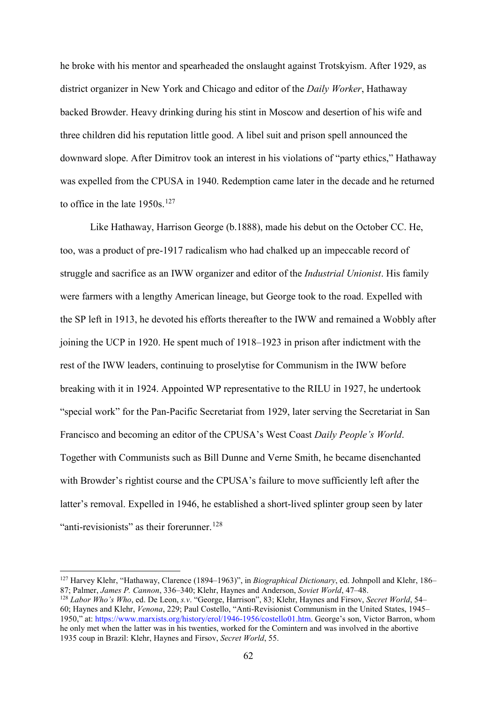he broke with his mentor and spearheaded the onslaught against Trotskyism. After 1929, as district organizer in New York and Chicago and editor of the *Daily Worker*, Hathaway backed Browder. Heavy drinking during his stint in Moscow and desertion of his wife and three children did his reputation little good. A libel suit and prison spell announced the downward slope. After Dimitrov took an interest in his violations of "party ethics," Hathaway was expelled from the CPUSA in 1940. Redemption came later in the decade and he returned to office in the late  $1950s$ .<sup>[127](#page-62-0)</sup>

Like Hathaway, Harrison George (b.1888), made his debut on the October CC. He, too, was a product of pre-1917 radicalism who had chalked up an impeccable record of struggle and sacrifice as an IWW organizer and editor of the *Industrial Unionist*. His family were farmers with a lengthy American lineage, but George took to the road. Expelled with the SP left in 1913, he devoted his efforts thereafter to the IWW and remained a Wobbly after joining the UCP in 1920. He spent much of 1918–1923 in prison after indictment with the rest of the IWW leaders, continuing to proselytise for Communism in the IWW before breaking with it in 1924. Appointed WP representative to the RILU in 1927, he undertook "special work" for the Pan-Pacific Secretariat from 1929, later serving the Secretariat in San Francisco and becoming an editor of the CPUSA's West Coast *Daily People's World*. Together with Communists such as Bill Dunne and Verne Smith, he became disenchanted with Browder's rightist course and the CPUSA's failure to move sufficiently left after the latter's removal. Expelled in 1946, he established a short-lived splinter group seen by later "anti-revisionists" as their forerunner.<sup>[128](#page-62-1)</sup>

<span id="page-62-0"></span> <sup>127</sup> Harvey Klehr, "Hathaway, Clarence (1894–1963)", in *Biographical Dictionary*, ed. Johnpoll and Klehr, 186– 87; Palmer, *James P. Cannon*, 336–340; Klehr, Haynes and Anderson, *Soviet World*, 47–48.

<span id="page-62-1"></span><sup>128</sup> *Labor Who's Who*, ed. De Leon, *s.v*. "George, Harrison", 83; Klehr, Haynes and Firsov, *Secret World*, 54– 60; Haynes and Klehr, *Venona*, 229; Paul Costello, "Anti-Revisionist Communism in the United States, 1945– 1950," at: [https://www.marxists.org/history/erol/1946-1956/costello01.htm.](https://www.marxists.org/history/erol/1946-1956/costello01.htm) George's son, Victor Barron, whom he only met when the latter was in his twenties, worked for the Comintern and was involved in the abortive 1935 coup in Brazil: Klehr, Haynes and Firsov, *Secret World*, 55.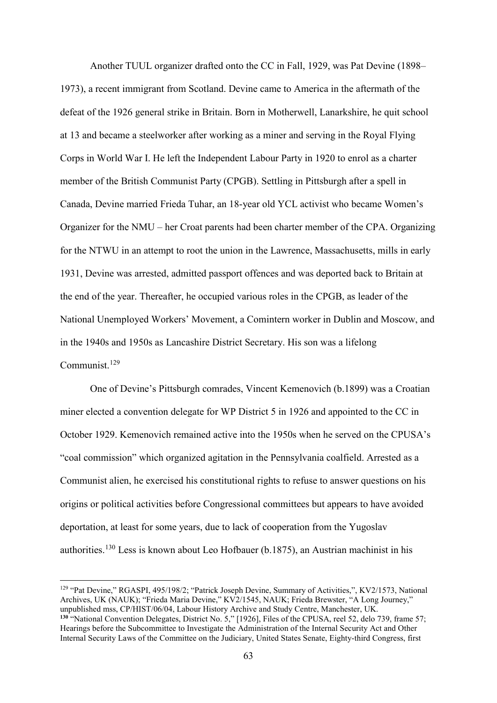Another TUUL organizer drafted onto the CC in Fall, 1929, was Pat Devine (1898– 1973), a recent immigrant from Scotland. Devine came to America in the aftermath of the defeat of the 1926 general strike in Britain. Born in Motherwell, Lanarkshire, he quit school at 13 and became a steelworker after working as a miner and serving in the Royal Flying Corps in World War I. He left the Independent Labour Party in 1920 to enrol as a charter member of the British Communist Party (CPGB). Settling in Pittsburgh after a spell in Canada, Devine married Frieda Tuhar, an 18-year old YCL activist who became Women's Organizer for the NMU – her Croat parents had been charter member of the CPA. Organizing for the NTWU in an attempt to root the union in the Lawrence, Massachusetts, mills in early 1931, Devine was arrested, admitted passport offences and was deported back to Britain at the end of the year. Thereafter, he occupied various roles in the CPGB, as leader of the National Unemployed Workers' Movement, a Comintern worker in Dublin and Moscow, and in the 1940s and 1950s as Lancashire District Secretary. His son was a lifelong Communist.[129](#page-63-0)

One of Devine's Pittsburgh comrades, Vincent Kemenovich (b.1899) was a Croatian miner elected a convention delegate for WP District 5 in 1926 and appointed to the CC in October 1929. Kemenovich remained active into the 1950s when he served on the CPUSA's "coal commission" which organized agitation in the Pennsylvania coalfield. Arrested as a Communist alien, he exercised his constitutional rights to refuse to answer questions on his origins or political activities before Congressional committees but appears to have avoided deportation, at least for some years, due to lack of cooperation from the Yugoslav authorities.[130](#page-63-1) Less is known about Leo Hofbauer (b.1875), an Austrian machinist in his

<span id="page-63-1"></span><span id="page-63-0"></span> 129 "Pat Devine," RGASPI, 495/198/2; "Patrick Joseph Devine, Summary of Activities,", KV2/1573, National Archives, UK (NAUK); "Frieda Maria Devine," KV2/1545, NAUK; Frieda Brewster, "A Long Journey," unpublished mss, CP/HIST/06/04, Labour History Archive and Study Centre, Manchester, UK. **<sup>130</sup>** "National Convention Delegates, District No. 5," [1926], Files of the CPUSA, reel 52, delo 739, frame 57; [Hearings before the Subcommittee to Investigate the Administration of the Internal Security Act and Other](https://archive.org/details/subversiveinflue1953unit)  [Internal Security Laws of the Committee on the Judiciary, United States Senate, Eighty-third Congress, first](https://archive.org/details/subversiveinflue1953unit)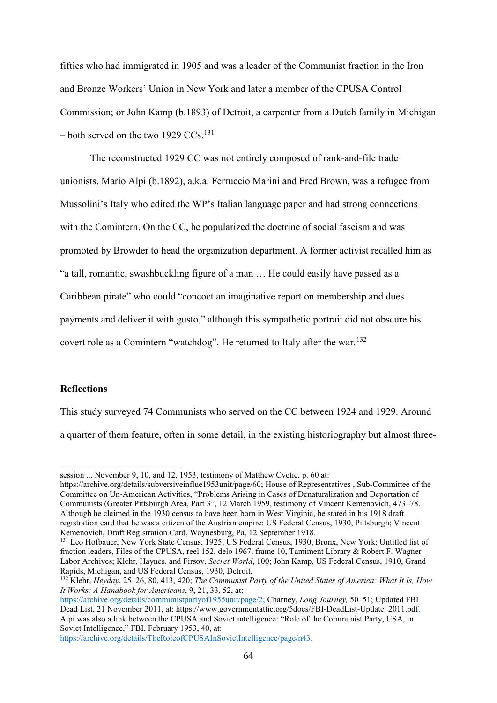fifties who had immigrated in 1905 and was a leader of the Communist fraction in the Iron and Bronze Workers' Union in New York and later a member of the CPUSA Control Commission; or John Kamp (b.1893) of Detroit, a carpenter from a Dutch family in Michigan – both served on the two 1929 CCs.<sup>[131](#page-64-0)</sup>

The reconstructed 1929 CC was not entirely composed of rank-and-file trade unionists. Mario Alpi (b.1892), a.k.a. Ferruccio Marini and Fred Brown, was a refugee from Mussolini's Italy who edited the WP's Italian language paper and had strong connections with the Comintern. On the CC, he popularized the doctrine of social fascism and was promoted by Browder to head the organization department. A former activist recalled him as "a tall, romantic, swashbuckling figure of a man … He could easily have passed as a Caribbean pirate" who could "concoct an imaginative report on membership and dues payments and deliver it with gusto," although this sympathetic portrait did not obscure his covert role as a Comintern "watchdog". He returned to Italy after the war.<sup>[132](#page-64-1)</sup>

## **Reflections**

<u>.</u>

This study surveyed 74 Communists who served on the CC between 1924 and 1929. Around a quarter of them feature, often in some detail, in the existing historiography but almost three-

[https://archive.org/details/subversiveinflue1953unit/page/60;](https://archive.org/details/subversiveinflue1953unit/page/60) House of Representatives , Sub-Committee of the Committee on Un-American Activities, "Problems Arising in Cases of Denaturalization and Deportation of Communists (Greater Pittsburgh Area, Part 3", 12 March 1959, testimony of Vincent Kemenovich, 473–78. Although he claimed in the 1930 census to have been born in West Virginia, he stated in his 1918 draft registration card that he was a citizen of the Austrian empire: US Federal Census, 1930, Pittsburgh; Vincent Kemenovich, Draft Registration Card, Waynesburg, Pa, 12 September 1918.

[https://archive.org/details/TheRoleofCPUSAInSovietIntelligence/page/n43.](https://archive.org/details/TheRoleofCPUSAInSovietIntelligence/page/n43)

[session ... November 9, 10, and 12, 1953,](https://archive.org/details/subversiveinflue1953unit) testimony of Matthew Cvetic, p. 60 at:

<span id="page-64-0"></span><sup>&</sup>lt;sup>131</sup> Leo Hofbauer, New York State Census, 1925; US Federal Census, 1930, Bronx, New York; Untitled list of fraction leaders, Files of the CPUSA, reel 152, delo 1967, frame 10, Tamiment Library & Robert F. Wagner Labor Archives; Klehr, Haynes, and Firsov, *Secret World*, 100; John Kamp, US Federal Census, 1910, Grand Rapids, Michigan, and US Federal Census, 1930, Detroit.

<span id="page-64-1"></span><sup>132</sup> Klehr, *Heyday*, 25–26, 80, 413, 420; *The Communist Party of the United States of America: What It Is, How It Works: A Handbook for Americans*, 9, 21, 33, 52, at:

[https://archive.org/details/communistpartyof1955unit/page/2;](https://archive.org/details/communistpartyof1955unit/page/2) Charney, *Long Journey,* 50–51; Updated FBI Dead List, 21 November 2011, at: [https://www.governmentattic.org/5docs/FBI-DeadList-Update\\_2011.pdf.](https://www.governmentattic.org/5docs/FBI-DeadList-Update_2011.pdf) Alpi was also a link between the CPUSA and Soviet intelligence: "Role of the Communist Party, USA, in Soviet Intelligence," FBI, February 1953, 40, at: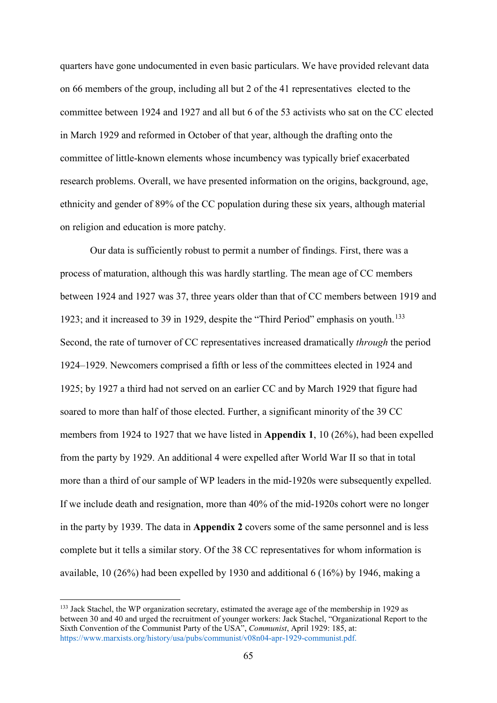quarters have gone undocumented in even basic particulars. We have provided relevant data on 66 members of the group, including all but 2 of the 41 representatives elected to the committee between 1924 and 1927 and all but 6 of the 53 activists who sat on the CC elected in March 1929 and reformed in October of that year, although the drafting onto the committee of little-known elements whose incumbency was typically brief exacerbated research problems. Overall, we have presented information on the origins, background, age, ethnicity and gender of 89% of the CC population during these six years, although material on religion and education is more patchy.

Our data is sufficiently robust to permit a number of findings. First, there was a process of maturation, although this was hardly startling. The mean age of CC members between 1924 and 1927 was 37, three years older than that of CC members between 1919 and 1923; and it increased to 39 in 1929, despite the "Third Period" emphasis on youth.<sup>[133](#page-65-0)</sup> Second, the rate of turnover of CC representatives increased dramatically *through* the period 1924–1929. Newcomers comprised a fifth or less of the committees elected in 1924 and 1925; by 1927 a third had not served on an earlier CC and by March 1929 that figure had soared to more than half of those elected. Further, a significant minority of the 39 CC members from 1924 to 1927 that we have listed in **Appendix 1**, 10 (26%), had been expelled from the party by 1929. An additional 4 were expelled after World War II so that in total more than a third of our sample of WP leaders in the mid-1920s were subsequently expelled. If we include death and resignation, more than 40% of the mid-1920s cohort were no longer in the party by 1939. The data in **Appendix 2** covers some of the same personnel and is less complete but it tells a similar story. Of the 38 CC representatives for whom information is available, 10 (26%) had been expelled by 1930 and additional 6 (16%) by 1946, making a

<span id="page-65-0"></span> <sup>133</sup> Jack Stachel, the WP organization secretary, estimated the average age of the membership in 1929 as between 30 and 40 and urged the recruitment of younger workers: Jack Stachel, "Organizational Report to the Sixth Convention of the Communist Party of the USA", *Communist*, April 1929: 185, at: [https://www.marxists.org/history/usa/pubs/communist/v08n04-apr-1929-communist.pdf.](https://www.marxists.org/history/usa/pubs/communist/v08n04-apr-1929-communist.pdf)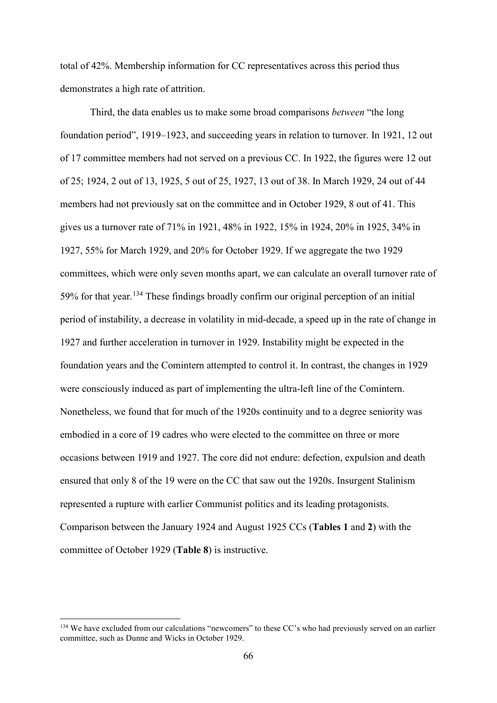total of 42%. Membership information for CC representatives across this period thus demonstrates a high rate of attrition.

Third, the data enables us to make some broad comparisons *between* "the long foundation period", 1919–1923, and succeeding years in relation to turnover. In 1921, 12 out of 17 committee members had not served on a previous CC. In 1922, the figures were 12 out of 25; 1924, 2 out of 13, 1925, 5 out of 25, 1927, 13 out of 38. In March 1929, 24 out of 44 members had not previously sat on the committee and in October 1929, 8 out of 41. This gives us a turnover rate of 71% in 1921, 48% in 1922, 15% in 1924, 20% in 1925, 34% in 1927, 55% for March 1929, and 20% for October 1929. If we aggregate the two 1929 committees, which were only seven months apart, we can calculate an overall turnover rate of 59% for that year.<sup>[134](#page-66-0)</sup> These findings broadly confirm our original perception of an initial period of instability, a decrease in volatility in mid-decade, a speed up in the rate of change in 1927 and further acceleration in turnover in 1929. Instability might be expected in the foundation years and the Comintern attempted to control it. In contrast, the changes in 1929 were consciously induced as part of implementing the ultra-left line of the Comintern. Nonetheless, we found that for much of the 1920s continuity and to a degree seniority was embodied in a core of 19 cadres who were elected to the committee on three or more occasions between 1919 and 1927. The core did not endure: defection, expulsion and death ensured that only 8 of the 19 were on the CC that saw out the 1920s. Insurgent Stalinism represented a rupture with earlier Communist politics and its leading protagonists. Comparison between the January 1924 and August 1925 CCs (**Tables 1** and **2**) with the committee of October 1929 (**Table 8**) is instructive.

<span id="page-66-0"></span><sup>&</sup>lt;sup>134</sup> We have excluded from our calculations "newcomers" to these CC's who had previously served on an earlier committee, such as Dunne and Wicks in October 1929.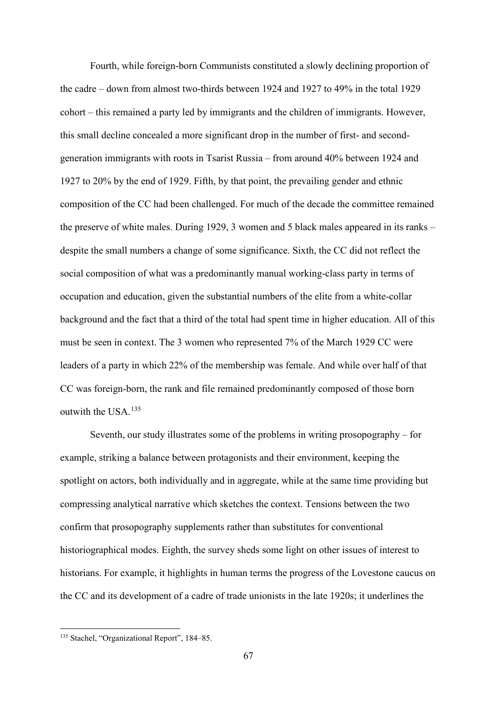Fourth, while foreign-born Communists constituted a slowly declining proportion of the cadre – down from almost two-thirds between 1924 and 1927 to 49% in the total 1929 cohort – this remained a party led by immigrants and the children of immigrants. However, this small decline concealed a more significant drop in the number of first- and secondgeneration immigrants with roots in Tsarist Russia – from around 40% between 1924 and 1927 to 20% by the end of 1929. Fifth, by that point, the prevailing gender and ethnic composition of the CC had been challenged. For much of the decade the committee remained the preserve of white males. During 1929, 3 women and 5 black males appeared in its ranks – despite the small numbers a change of some significance. Sixth, the CC did not reflect the social composition of what was a predominantly manual working-class party in terms of occupation and education, given the substantial numbers of the elite from a white-collar background and the fact that a third of the total had spent time in higher education. All of this must be seen in context. The 3 women who represented 7% of the March 1929 CC were leaders of a party in which 22% of the membership was female. And while over half of that CC was foreign-born, the rank and file remained predominantly composed of those born outwith the USA.<sup>[135](#page-67-0)</sup>

Seventh, our study illustrates some of the problems in writing prosopography – for example, striking a balance between protagonists and their environment, keeping the spotlight on actors, both individually and in aggregate, while at the same time providing but compressing analytical narrative which sketches the context. Tensions between the two confirm that prosopography supplements rather than substitutes for conventional historiographical modes. Eighth, the survey sheds some light on other issues of interest to historians. For example, it highlights in human terms the progress of the Lovestone caucus on the CC and its development of a cadre of trade unionists in the late 1920s; it underlines the

<span id="page-67-0"></span> <sup>135</sup> Stachel, "Organizational Report", 184–85.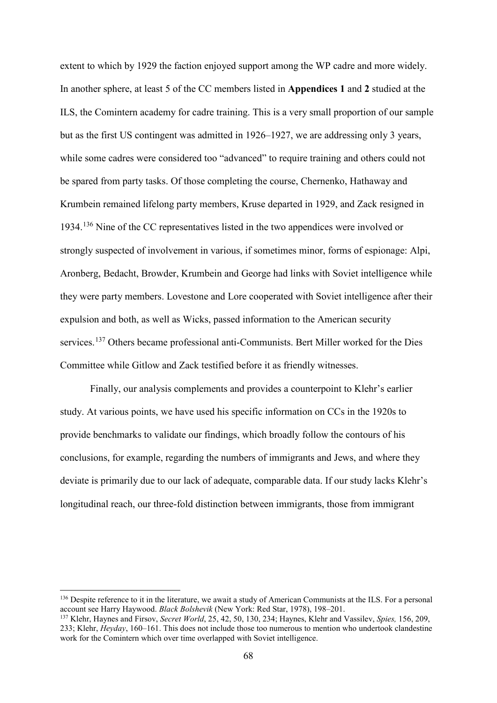extent to which by 1929 the faction enjoyed support among the WP cadre and more widely. In another sphere, at least 5 of the CC members listed in **Appendices 1** and **2** studied at the ILS, the Comintern academy for cadre training. This is a very small proportion of our sample but as the first US contingent was admitted in 1926–1927, we are addressing only 3 years, while some cadres were considered too "advanced" to require training and others could not be spared from party tasks. Of those completing the course, Chernenko, Hathaway and Krumbein remained lifelong party members, Kruse departed in 1929, and Zack resigned in 1934.[136](#page-68-0) Nine of the CC representatives listed in the two appendices were involved or strongly suspected of involvement in various, if sometimes minor, forms of espionage: Alpi, Aronberg, Bedacht, Browder, Krumbein and George had links with Soviet intelligence while they were party members. Lovestone and Lore cooperated with Soviet intelligence after their expulsion and both, as well as Wicks, passed information to the American security services.<sup>[137](#page-68-1)</sup> Others became professional anti-Communists. Bert Miller worked for the Dies Committee while Gitlow and Zack testified before it as friendly witnesses.

Finally, our analysis complements and provides a counterpoint to Klehr's earlier study. At various points, we have used his specific information on CCs in the 1920s to provide benchmarks to validate our findings, which broadly follow the contours of his conclusions, for example, regarding the numbers of immigrants and Jews, and where they deviate is primarily due to our lack of adequate, comparable data. If our study lacks Klehr's longitudinal reach, our three-fold distinction between immigrants, those from immigrant

<span id="page-68-0"></span><sup>&</sup>lt;sup>136</sup> Despite reference to it in the literature, we await a study of American Communists at the ILS. For a personal account see Harry Haywood. *Black Bolshevik* (New York: Red Star, 1978), 198–201.

<span id="page-68-1"></span><sup>137</sup> Klehr, Haynes and Firsov, *Secret World*, 25, 42, 50, 130, 234; Haynes, Klehr and Vassilev, *Spies,* 156, 209, 233; Klehr, *Heyday*, 160–161. This does not include those too numerous to mention who undertook clandestine work for the Comintern which over time overlapped with Soviet intelligence.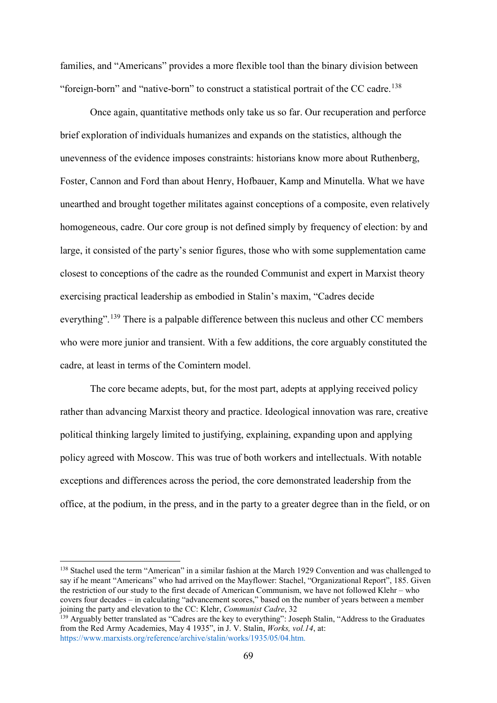families, and "Americans" provides a more flexible tool than the binary division between "foreign-born" and "native-born" to construct a statistical portrait of the CC cadre.<sup>[138](#page-69-0)</sup>

Once again, quantitative methods only take us so far. Our recuperation and perforce brief exploration of individuals humanizes and expands on the statistics, although the unevenness of the evidence imposes constraints: historians know more about Ruthenberg, Foster, Cannon and Ford than about Henry, Hofbauer, Kamp and Minutella. What we have unearthed and brought together militates against conceptions of a composite, even relatively homogeneous, cadre. Our core group is not defined simply by frequency of election: by and large, it consisted of the party's senior figures, those who with some supplementation came closest to conceptions of the cadre as the rounded Communist and expert in Marxist theory exercising practical leadership as embodied in Stalin's maxim, "Cadres decide everything".<sup>[139](#page-69-1)</sup> There is a palpable difference between this nucleus and other CC members who were more junior and transient. With a few additions, the core arguably constituted the cadre, at least in terms of the Comintern model.

The core became adepts, but, for the most part, adepts at applying received policy rather than advancing Marxist theory and practice. Ideological innovation was rare, creative political thinking largely limited to justifying, explaining, expanding upon and applying policy agreed with Moscow. This was true of both workers and intellectuals. With notable exceptions and differences across the period, the core demonstrated leadership from the office, at the podium, in the press, and in the party to a greater degree than in the field, or on

<span id="page-69-0"></span><sup>&</sup>lt;sup>138</sup> Stachel used the term "American" in a similar fashion at the March 1929 Convention and was challenged to say if he meant "Americans" who had arrived on the Mayflower: Stachel, "Organizational Report", 185. Given the restriction of our study to the first decade of American Communism, we have not followed Klehr – who covers four decades – in calculating "advancement scores," based on the number of years between a member<br>joining the party and elevation to the CC: Klehr, *Communist Cadre*, 32

<span id="page-69-1"></span><sup>&</sup>lt;sup>139</sup> Arguably better translated as "Cadres are the key to everything": Joseph Stalin, "Address to the Graduates from the Red Army Academies, May 4 1935", in J. V. Stalin, *Works, vol.14*, at: [https://www.marxists.org/reference/archive/stalin/works/1935/05/04.htm.](https://www.marxists.org/reference/archive/stalin/works/1935/05/04.htm)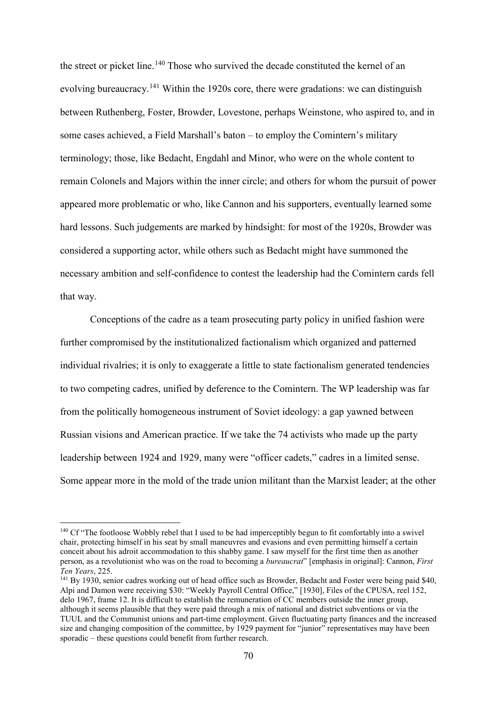the street or picket line.<sup>[140](#page-70-0)</sup> Those who survived the decade constituted the kernel of an evolving bureaucracy.<sup>[141](#page-70-1)</sup> Within the 1920s core, there were gradations: we can distinguish between Ruthenberg, Foster, Browder, Lovestone, perhaps Weinstone, who aspired to, and in some cases achieved, a Field Marshall's baton – to employ the Comintern's military terminology; those, like Bedacht, Engdahl and Minor, who were on the whole content to remain Colonels and Majors within the inner circle; and others for whom the pursuit of power appeared more problematic or who, like Cannon and his supporters, eventually learned some hard lessons. Such judgements are marked by hindsight: for most of the 1920s, Browder was considered a supporting actor, while others such as Bedacht might have summoned the necessary ambition and self-confidence to contest the leadership had the Comintern cards fell that way.

Conceptions of the cadre as a team prosecuting party policy in unified fashion were further compromised by the institutionalized factionalism which organized and patterned individual rivalries; it is only to exaggerate a little to state factionalism generated tendencies to two competing cadres, unified by deference to the Comintern. The WP leadership was far from the politically homogeneous instrument of Soviet ideology: a gap yawned between Russian visions and American practice. If we take the 74 activists who made up the party leadership between 1924 and 1929, many were "officer cadets," cadres in a limited sense. Some appear more in the mold of the trade union militant than the Marxist leader; at the other

<span id="page-70-0"></span><sup>&</sup>lt;sup>140</sup> Cf "The footloose Wobbly rebel that I used to be had imperceptibly begun to fit comfortably into a swivel chair, protecting himself in his seat by small maneuvres and evasions and even permitting himself a certain conceit about his adroit accommodation to this shabby game. I saw myself for the first time then as another person, as a revolutionist who was on the road to becoming a *bureaucrat*" [emphasis in original]: Cannon, *First* 

<span id="page-70-1"></span><sup>&</sup>lt;sup>141</sup> By 1930, senior cadres working out of head office such as Browder, Bedacht and Foster were being paid \$40, Alpi and Damon were receiving \$30: "Weekly Payroll Central Office," [1930], Files of the CPUSA, reel 152, delo 1967, frame 12. It is difficult to establish the remuneration of CC members outside the inner group, although it seems plausible that they were paid through a mix of national and district subventions or via the TUUL and the Communist unions and part-time employment. Given fluctuating party finances and the increased size and changing composition of the committee, by 1929 payment for "junior" representatives may have been sporadic – these questions could benefit from further research.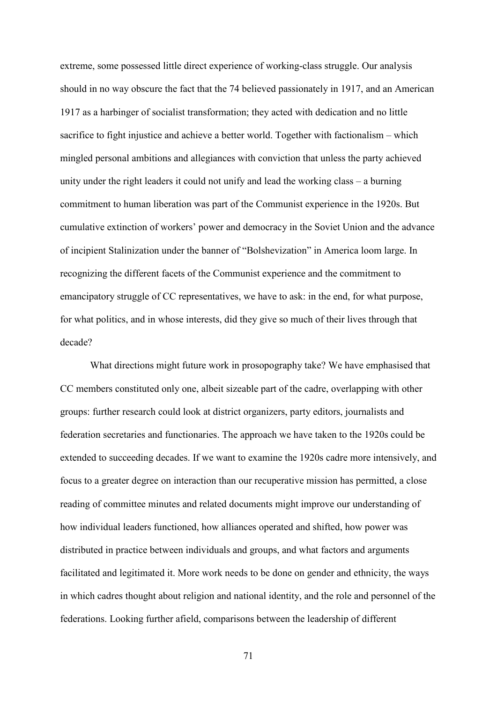extreme, some possessed little direct experience of working-class struggle. Our analysis should in no way obscure the fact that the 74 believed passionately in 1917, and an American 1917 as a harbinger of socialist transformation; they acted with dedication and no little sacrifice to fight injustice and achieve a better world. Together with factionalism – which mingled personal ambitions and allegiances with conviction that unless the party achieved unity under the right leaders it could not unify and lead the working class – a burning commitment to human liberation was part of the Communist experience in the 1920s. But cumulative extinction of workers' power and democracy in the Soviet Union and the advance of incipient Stalinization under the banner of "Bolshevization" in America loom large. In recognizing the different facets of the Communist experience and the commitment to emancipatory struggle of CC representatives, we have to ask: in the end, for what purpose, for what politics, and in whose interests, did they give so much of their lives through that decade?

What directions might future work in prosopography take? We have emphasised that CC members constituted only one, albeit sizeable part of the cadre, overlapping with other groups: further research could look at district organizers, party editors, journalists and federation secretaries and functionaries. The approach we have taken to the 1920s could be extended to succeeding decades. If we want to examine the 1920s cadre more intensively, and focus to a greater degree on interaction than our recuperative mission has permitted, a close reading of committee minutes and related documents might improve our understanding of how individual leaders functioned, how alliances operated and shifted, how power was distributed in practice between individuals and groups, and what factors and arguments facilitated and legitimated it. More work needs to be done on gender and ethnicity, the ways in which cadres thought about religion and national identity, and the role and personnel of the federations. Looking further afield, comparisons between the leadership of different

71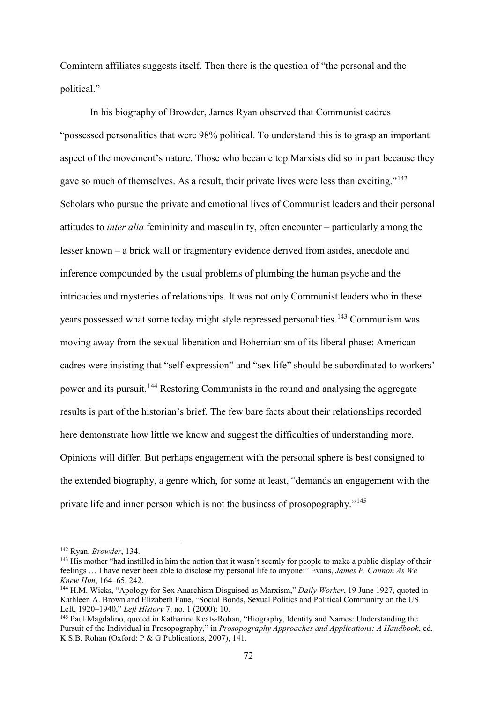Comintern affiliates suggests itself. Then there is the question of "the personal and the political."

In his biography of Browder, James Ryan observed that Communist cadres "possessed personalities that were 98% political. To understand this is to grasp an important aspect of the movement's nature. Those who became top Marxists did so in part because they gave so much of themselves. As a result, their private lives were less than exciting."[142](#page-72-0) Scholars who pursue the private and emotional lives of Communist leaders and their personal attitudes to *inter alia* femininity and masculinity, often encounter – particularly among the lesser known – a brick wall or fragmentary evidence derived from asides, anecdote and inference compounded by the usual problems of plumbing the human psyche and the intricacies and mysteries of relationships. It was not only Communist leaders who in these years possessed what some today might style repressed personalities.<sup>[143](#page-72-1)</sup> Communism was moving away from the sexual liberation and Bohemianism of its liberal phase: American cadres were insisting that "self-expression" and "sex life" should be subordinated to workers' power and its pursuit.[144](#page-72-2) Restoring Communists in the round and analysing the aggregate results is part of the historian's brief. The few bare facts about their relationships recorded here demonstrate how little we know and suggest the difficulties of understanding more. Opinions will differ. But perhaps engagement with the personal sphere is best consigned to the extended biography, a genre which, for some at least, "demands an engagement with the private life and inner person which is not the business of prosopography."[145](#page-72-3)

<span id="page-72-0"></span> <sup>142</sup> Ryan, *Browder*, 134.

<span id="page-72-1"></span><sup>&</sup>lt;sup>143</sup> His mother "had instilled in him the notion that it wasn't seemly for people to make a public display of their feelings … I have never been able to disclose my personal life to anyone:" Evans, *James P. Cannon As We Knew Him*, 164–65, 242.

<span id="page-72-2"></span><sup>144</sup> H.M. Wicks, "Apology for Sex Anarchism Disguised as Marxism," *Daily Worker*, 19 June 1927, quoted in Kathleen A. Brown and Elizabeth Faue, "Social Bonds, Sexual Politics and Political Community on the US Left, 1920–1940," *Left History* 7, no. 1 (2000): 10.

<span id="page-72-3"></span><sup>145</sup> Paul Magdalino, quoted in Katharine Keats-Rohan, "Biography, Identity and Names: Understanding the Pursuit of the Individual in Prosopography," in *Prosopography Approaches and Applications: A Handbook*, ed. K.S.B. Rohan (Oxford: P & G Publications, 2007), 141.